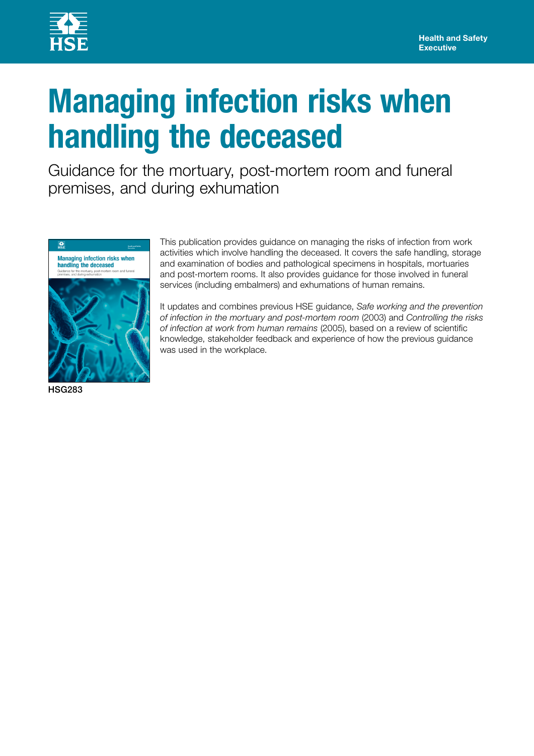# Managing infection risks when handling the deceased

Guidance for the mortuary, post-mortem room and funeral premises, and during exhumation



HSG283

This publication provides guidance on managing the risks of infection from work activities which involve handling the deceased. It covers the safe handling, storage and examination of bodies and pathological specimens in hospitals, mortuaries and post-mortem rooms. It also provides guidance for those involved in funeral services (including embalmers) and exhumations of human remains.

It updates and combines previous HSE guidance, *Safe working and the prevention of infection in the mortuary and post-mortem room* (2003) and *Controlling the risks of infection at work from human remains* (2005), based on a review of scientific knowledge, stakeholder feedback and experience of how the previous guidance was used in the workplace.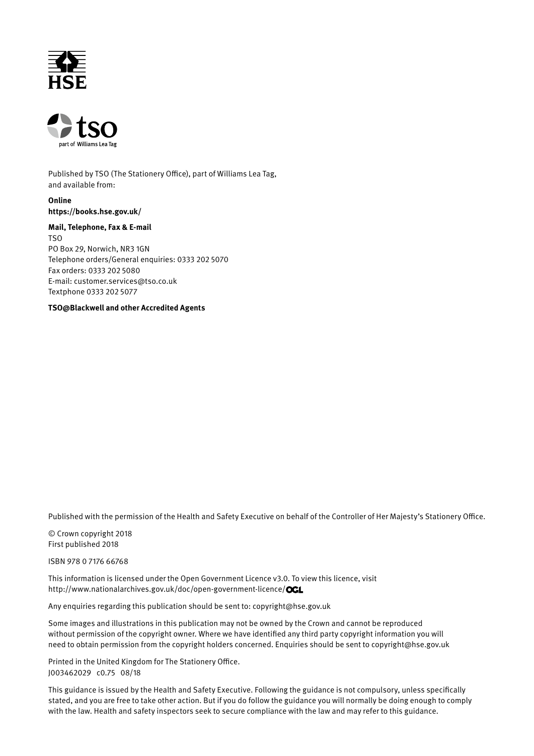



Published by TSO (The Stationery Office), part of Williams Lea Tag, and available from:

**Online https://books.hse.gov.uk/**

**Mail, Telephone, Fax & E-mail** TSO PO Box 29, Norwich, NR3 1GN Telephone orders/General enquiries: 0333 202 5070 Fax orders: 0333 202 5080 E-mail: customer.services@tso.co.uk Textphone 0333 202 5077

**TSO@Blackwell and other Accredited Agents**

Published with the permission of the Health and Safety Executive on behalf of the Controller of Her Majesty's Stationery Office.

© Crown copyright 2018 First published 2018

ISBN 978 0 7176 66768

This information is licensed under the Open Government Licence v3.0. To view this licence, visit http://www.nationalarchives.gov.uk/doc/open-government-licence/**OGL** 

Any enquiries regarding this publication should be sent to: copyright@hse.gov.uk

Some images and illustrations in this publication may not be owned by the Crown and cannot be reproduced without permission of the copyright owner. Where we have identified any third party copyright information you will need to obtain permission from the copyright holders concerned. Enquiries should be sent to copyright@hse.gov.uk

Printed in the United Kingdom for The Stationery Office. J003462029 c0.75 08/18

This guidance is issued by the Health and Safety Executive. Following the guidance is not compulsory, unless specifically stated, and you are free to take other action. But if you do follow the guidance you will normally be doing enough to comply with the law. Health and safety inspectors seek to secure compliance with the law and may refer to this guidance.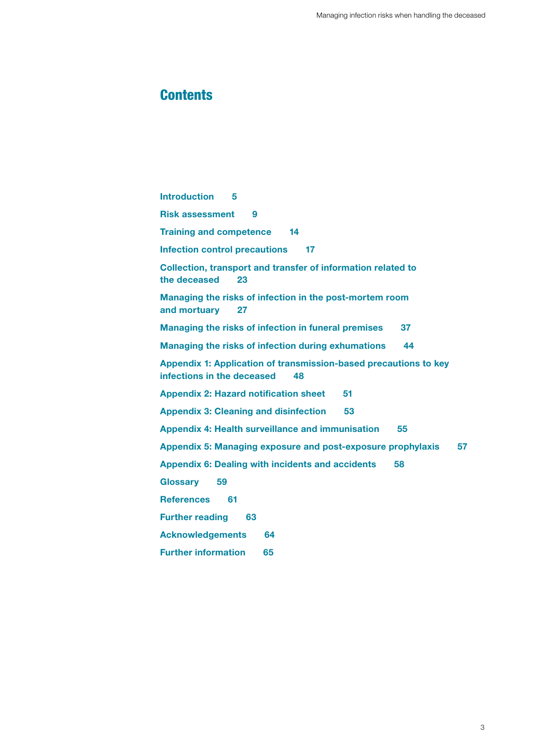# **Contents**

[Introduction 5](#page-4-0) [Risk assessment 9](#page-8-0) [Training and competence 14](#page-13-0) [Infection control precautions 17](#page-16-0) [Collection, transport and transfer of information related to](#page-22-0)  [the deceased 23](#page-22-0) [Managing the risks of infection in the post-mortem room](#page-26-0)  [and mortuary 27](#page-26-0) [Managing the risks of infection in funeral premises 37](#page-36-0) [Managing the risks of infection during exhumations 44](#page-43-0) [Appendix 1: Application of transmission-based precautions to key](#page-47-0)  [infections in the deceased 48](#page-47-0) [Appendix 2: Hazard notification sheet 51](#page-50-0) [Appendix 3: Cleaning and disinfection 53](#page-52-0) [Appendix 4: Health surveillance and immunisation 55](#page-54-0) [Appendix 5: Managing exposure and post-exposure prophylaxis 57](#page-56-0) [Appendix 6: Dealing with incidents and accidents 58](#page-57-0) [Glossary 59](#page-58-0) [References 61](#page-60-0) [Further reading 63](#page-62-0) [Acknowledgements 64](#page-63-0) [Further information 65](#page-64-0)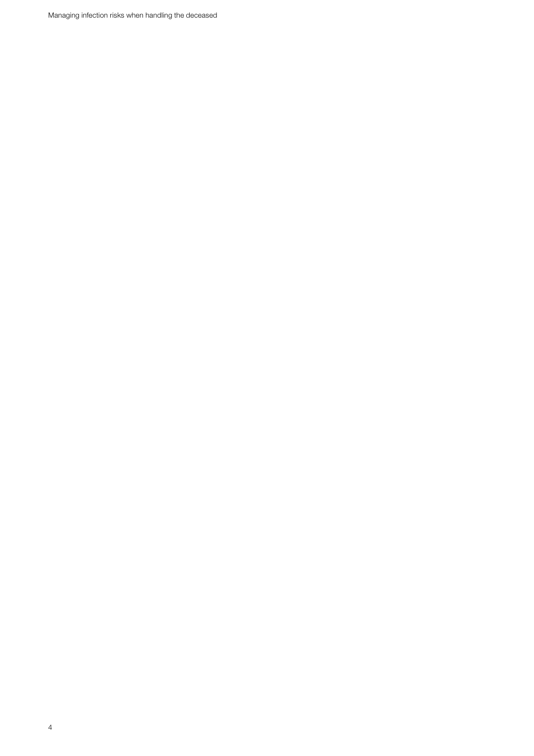Managing infection risks when handling the deceased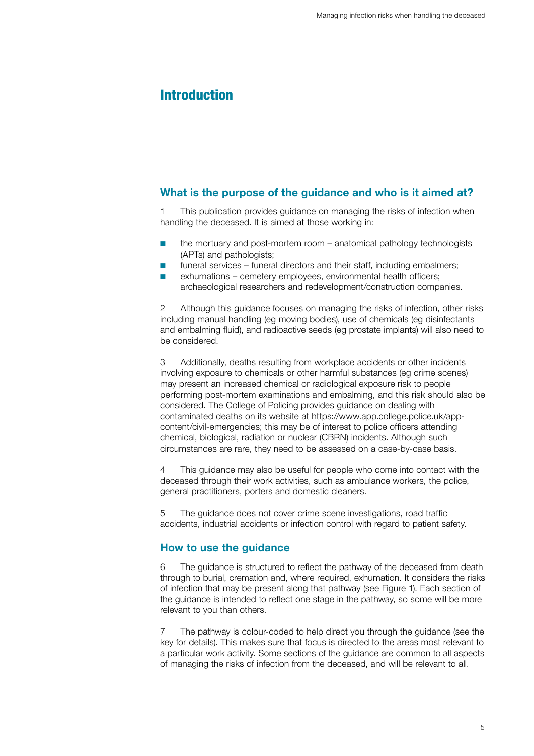# <span id="page-4-0"></span>Introduction

#### What is the purpose of the quidance and who is it aimed at?

1 This publication provides guidance on managing the risks of infection when handling the deceased. It is aimed at those working in:

- the mortuary and post-mortem room anatomical pathology technologists (APTs) and pathologists;
- funeral services funeral directors and their staff, including embalmers;
- exhumations cemetery employees, environmental health officers; archaeological researchers and redevelopment/construction companies.

2 Although this guidance focuses on managing the risks of infection, other risks including manual handling (eg moving bodies), use of chemicals (eg disinfectants and embalming fluid), and radioactive seeds (eg prostate implants) will also need to be considered.

3 Additionally, deaths resulting from workplace accidents or other incidents involving exposure to chemicals or other harmful substances (eg crime scenes) may present an increased chemical or radiological exposure risk to people performing post-mortem examinations and embalming, and this risk should also be considered. The College of Policing provides guidance on dealing with contaminated deaths on its website at https://www.app.college.police.uk/appcontent/civil-emergencies; this may be of interest to police officers attending chemical, biological, radiation or nuclear (CBRN) incidents. Although such circumstances are rare, they need to be assessed on a case-by-case basis.

4 This guidance may also be useful for people who come into contact with the deceased through their work activities, such as ambulance workers, the police, general practitioners, porters and domestic cleaners.

5 The guidance does not cover crime scene investigations, road traffic accidents, industrial accidents or infection control with regard to patient safety.

#### How to use the guidance

The guidance is structured to reflect the pathway of the deceased from death through to burial, cremation and, where required, exhumation. It considers the risks of infection that may be present along that pathway (see Figure 1). Each section of the guidance is intended to reflect one stage in the pathway, so some will be more relevant to you than others.

7 The pathway is colour-coded to help direct you through the guidance (see the key for details). This makes sure that focus is directed to the areas most relevant to a particular work activity. Some sections of the guidance are common to all aspects of managing the risks of infection from the deceased, and will be relevant to all.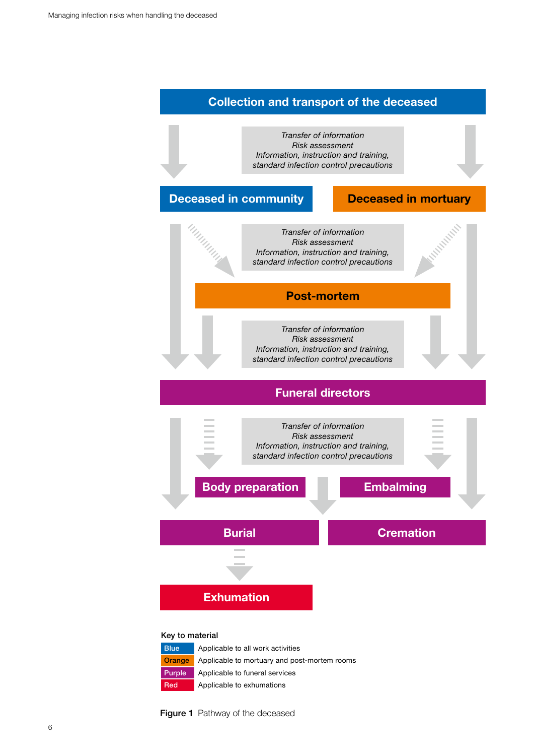### Collection and transport of the deceased

*Transfer of information Risk assessment Information, instruction and training, standard infection control precautions*

## Deceased in community **Deceased in mortuary**



#### Funeral directors



#### Key to material

| <b>Blue</b> | Applicable to all work activities            |
|-------------|----------------------------------------------|
| Orange      | Applicable to mortuary and post-mortem rooms |
| Purple      | Applicable to funeral services               |
| Red         | Applicable to exhumations                    |

Figure 1 Pathway of the deceased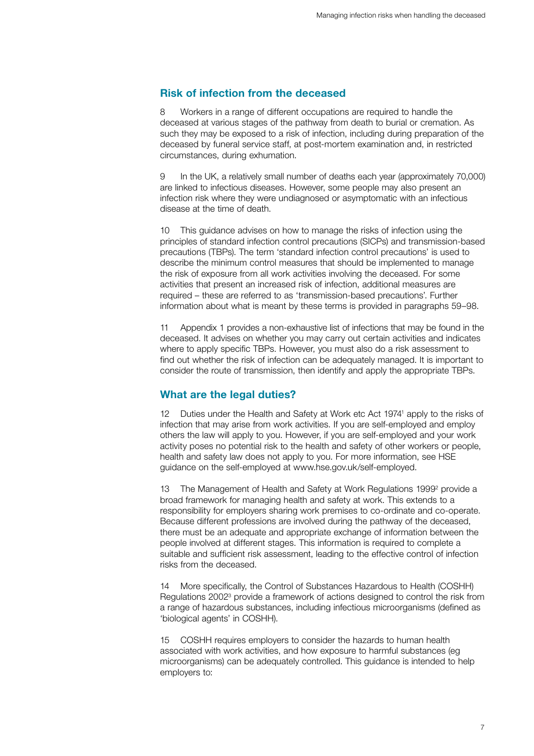#### Risk of infection from the deceased

8 Workers in a range of different occupations are required to handle the deceased at various stages of the pathway from death to burial or cremation. As such they may be exposed to a risk of infection, including during preparation of the deceased by funeral service staff, at post-mortem examination and, in restricted circumstances, during exhumation.

9 In the UK, a relatively small number of deaths each year (approximately 70,000) are linked to infectious diseases. However, some people may also present an infection risk where they were undiagnosed or asymptomatic with an infectious disease at the time of death.

10 This guidance advises on how to manage the risks of infection using the principles of standard infection control precautions (SICPs) and transmission-based precautions (TBPs). The term 'standard infection control precautions' is used to describe the minimum control measures that should be implemented to manage the risk of exposure from all work activities involving the deceased. For some activities that present an increased risk of infection, additional measures are required – these are referred to as 'transmission-based precautions'. Further information about what is meant by these terms is provided in paragraphs 59–98.

11 Appendix 1 provides a non-exhaustive list of infections that may be found in the deceased. It advises on whether you may carry out certain activities and indicates where to apply specific TBPs. However, you must also do a risk assessment to find out whether the risk of infection can be adequately managed. It is important to consider the route of transmission, then identify and apply the appropriate TBPs.

#### What are the legal duties?

12 Duties under the Health and Safety at Work etc Act 19741 apply to the risks of infection that may arise from work activities. If you are self-employed and employ others the law will apply to you. However, if you are self-employed and your work activity poses no potential risk to the health and safety of other workers or people, health and safety law does not apply to you. For more information, see HSE guidance on the self-employed at [www.hse.gov.uk/self-employed](http://www.hse.gov.uk/self-employed).

13 The Management of Health and Safety at Work Regulations 1999<sup>2</sup> provide a broad framework for managing health and safety at work. This extends to a responsibility for employers sharing work premises to co-ordinate and co-operate. Because different professions are involved during the pathway of the deceased, there must be an adequate and appropriate exchange of information between the people involved at different stages. This information is required to complete a suitable and sufficient risk assessment, leading to the effective control of infection risks from the deceased.

14 More specifically, the Control of Substances Hazardous to Health (COSHH) Regulations 20023 provide a framework of actions designed to control the risk from a range of hazardous substances, including infectious microorganisms (defined as 'biological agents' in COSHH).

15 COSHH requires employers to consider the hazards to human health associated with work activities, and how exposure to harmful substances (eg microorganisms) can be adequately controlled. This guidance is intended to help employers to: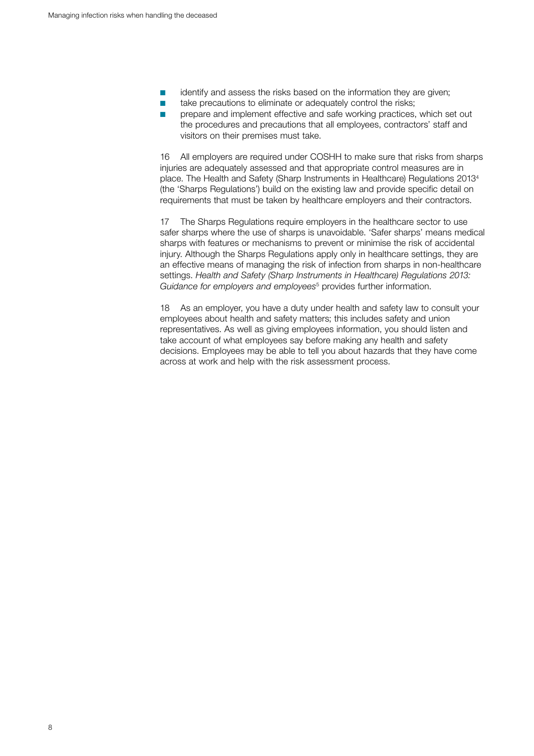- identify and assess the risks based on the information they are given;
- take precautions to eliminate or adequately control the risks;
- prepare and implement effective and safe working practices, which set out the procedures and precautions that all employees, contractors' staff and visitors on their premises must take.

16 All employers are required under COSHH to make sure that risks from sharps injuries are adequately assessed and that appropriate control measures are in place. The Health and Safety (Sharp Instruments in Healthcare) Regulations 20134 (the 'Sharps Regulations') build on the existing law and provide specific detail on requirements that must be taken by healthcare employers and their contractors.

17 The Sharps Regulations require employers in the healthcare sector to use safer sharps where the use of sharps is unavoidable. 'Safer sharps' means medical sharps with features or mechanisms to prevent or minimise the risk of accidental injury. Although the Sharps Regulations apply only in healthcare settings, they are an effective means of managing the risk of infection from sharps in non-healthcare settings. *Health and Safety (Sharp Instruments in Healthcare) Regulations 2013: Guidance for employers and employees*<sup>5</sup> provides further information.

18 As an employer, you have a duty under health and safety law to consult your employees about health and safety matters; this includes safety and union representatives. As well as giving employees information, you should listen and take account of what employees say before making any health and safety decisions. Employees may be able to tell you about hazards that they have come across at work and help with the risk assessment process.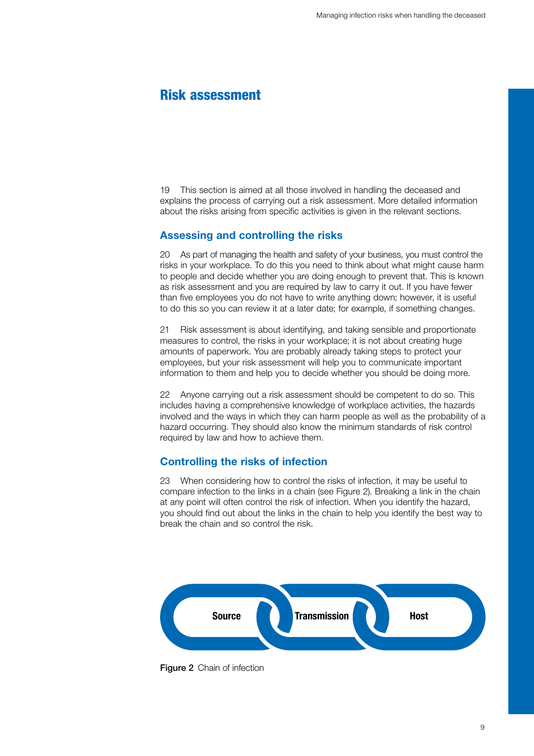## <span id="page-8-0"></span>Risk assessment

19 This section is aimed at all those involved in handling the deceased and explains the process of carrying out a risk assessment. More detailed information about the risks arising from specific activities is given in the relevant sections.

#### Assessing and controlling the risks

20 As part of managing the health and safety of your business, you must control the risks in your workplace. To do this you need to think about what might cause harm to people and decide whether you are doing enough to prevent that. This is known as risk assessment and you are required by law to carry it out. If you have fewer than five employees you do not have to write anything down; however, it is useful to do this so you can review it at a later date; for example, if something changes.

21 Risk assessment is about identifying, and taking sensible and proportionate measures to control, the risks in your workplace; it is not about creating huge amounts of paperwork. You are probably already taking steps to protect your employees, but your risk assessment will help you to communicate important information to them and help you to decide whether you should be doing more.

22 Anyone carrying out a risk assessment should be competent to do so. This includes having a comprehensive knowledge of workplace activities, the hazards involved and the ways in which they can harm people as well as the probability of a hazard occurring. They should also know the minimum standards of risk control required by law and how to achieve them.

#### Controlling the risks of infection

23 When considering how to control the risks of infection, it may be useful to compare infection to the links in a chain (see Figure 2). Breaking a link in the chain at any point will often control the risk of infection. When you identify the hazard, you should find out about the links in the chain to help you identify the best way to break the chain and so control the risk.



Figure 2 Chain of infection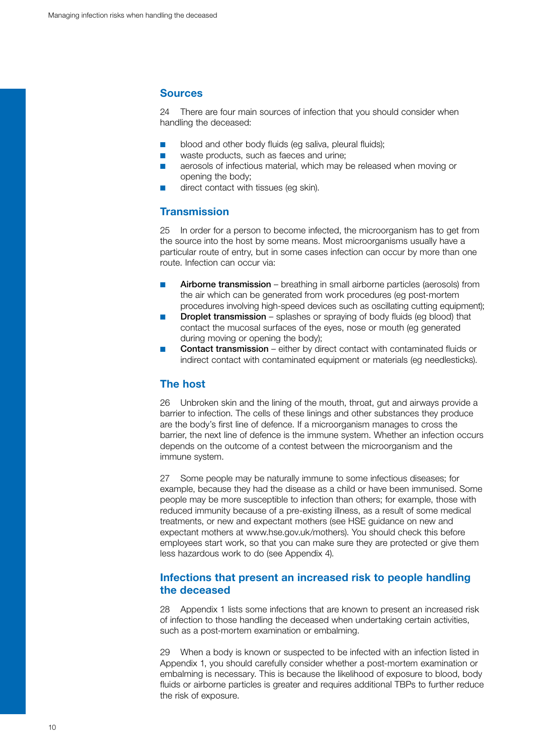#### Sources

24 There are four main sources of infection that you should consider when handling the deceased:

- blood and other body fluids (eg saliva, pleural fluids);
- waste products, such as faeces and urine;
- aerosols of infectious material, which may be released when moving or opening the body;
- direct contact with tissues (eg skin).

#### **Transmission**

25 In order for a person to become infected, the microorganism has to get from the source into the host by some means. Most microorganisms usually have a particular route of entry, but in some cases infection can occur by more than one route. Infection can occur via:

- Airborne transmission breathing in small airborne particles (aerosols) from the air which can be generated from work procedures (eg post-mortem procedures involving high-speed devices such as oscillating cutting equipment);
- **Droplet transmission** splashes or spraying of body fluids (eg blood) that contact the mucosal surfaces of the eyes, nose or mouth (eg generated during moving or opening the body);
- Contact transmission either by direct contact with contaminated fluids or indirect contact with contaminated equipment or materials (eg needlesticks).

#### The host

26 Unbroken skin and the lining of the mouth, throat, gut and airways provide a barrier to infection. The cells of these linings and other substances they produce are the body's first line of defence. If a microorganism manages to cross the barrier, the next line of defence is the immune system. Whether an infection occurs depends on the outcome of a contest between the microorganism and the immune system.

27 Some people may be naturally immune to some infectious diseases; for example, because they had the disease as a child or have been immunised. Some people may be more susceptible to infection than others; for example, those with reduced immunity because of a pre-existing illness, as a result of some medical treatments, or new and expectant mothers (see HSE guidance on new and expectant mothers at [www.hse.gov.uk/mothers](http://www.hse.gov.uk/mothers)). You should check this before employees start work, so that you can make sure they are protected or give them less hazardous work to do (see Appendix 4).

#### Infections that present an increased risk to people handling the deceased

28 Appendix 1 lists some infections that are known to present an increased risk of infection to those handling the deceased when undertaking certain activities, such as a post-mortem examination or embalming.

29 When a body is known or suspected to be infected with an infection listed in Appendix 1, you should carefully consider whether a post-mortem examination or embalming is necessary. This is because the likelihood of exposure to blood, body fluids or airborne particles is greater and requires additional TBPs to further reduce the risk of exposure.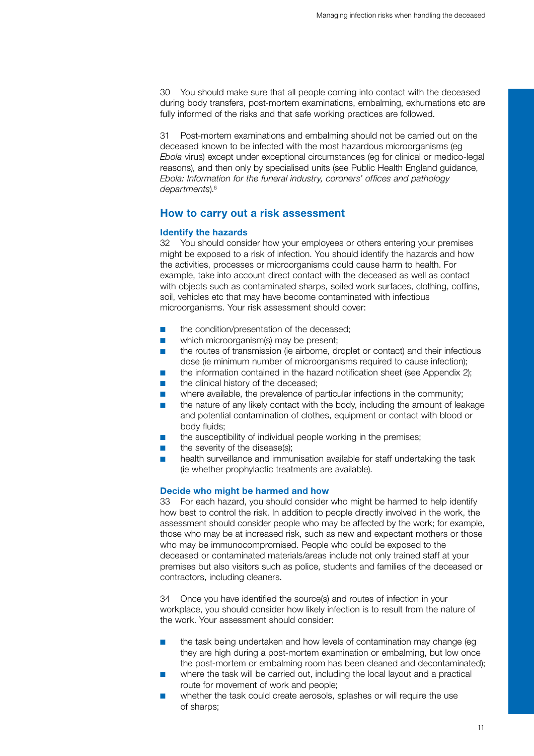30 You should make sure that all people coming into contact with the deceased during body transfers, post-mortem examinations, embalming, exhumations etc are fully informed of the risks and that safe working practices are followed.

31 Post-mortem examinations and embalming should not be carried out on the deceased known to be infected with the most hazardous microorganisms (eg *Ebola* virus) except under exceptional circumstances (eg for clinical or medico-legal reasons), and then only by specialised units (see Public Health England guidance, *Ebola: Information for the funeral industry, coroners' offices and pathology departments*).6

#### How to carry out a risk assessment

#### Identify the hazards

32 You should consider how your employees or others entering your premises might be exposed to a risk of infection. You should identify the hazards and how the activities, processes or microorganisms could cause harm to health. For example, take into account direct contact with the deceased as well as contact with objects such as contaminated sharps, soiled work surfaces, clothing, coffins, soil, vehicles etc that may have become contaminated with infectious microorganisms. Your risk assessment should cover:

- the condition/presentation of the deceased;
- which microorganism(s) may be present:
- the routes of transmission (ie airborne, droplet or contact) and their infectious dose (ie minimum number of microorganisms required to cause infection);
	- the information contained in the hazard notification sheet (see Appendix 2);
- the clinical history of the deceased;
- where available, the prevalence of particular infections in the community;
- the nature of any likely contact with the body, including the amount of leakage and potential contamination of clothes, equipment or contact with blood or body fluids;
- the susceptibility of individual people working in the premises;
- the severity of the disease(s);
- health surveillance and immunisation available for staff undertaking the task (ie whether prophylactic treatments are available).

#### Decide who might be harmed and how

33 For each hazard, you should consider who might be harmed to help identify how best to control the risk. In addition to people directly involved in the work, the assessment should consider people who may be affected by the work; for example, those who may be at increased risk, such as new and expectant mothers or those who may be immunocompromised. People who could be exposed to the deceased or contaminated materials/areas include not only trained staff at your premises but also visitors such as police, students and families of the deceased or contractors, including cleaners.

34 Once you have identified the source(s) and routes of infection in your workplace, you should consider how likely infection is to result from the nature of the work. Your assessment should consider:

- the task being undertaken and how levels of contamination may change (eg they are high during a post-mortem examination or embalming, but low once the post-mortem or embalming room has been cleaned and decontaminated);
- where the task will be carried out, including the local layout and a practical route for movement of work and people;
- whether the task could create aerosols, splashes or will require the use of sharps;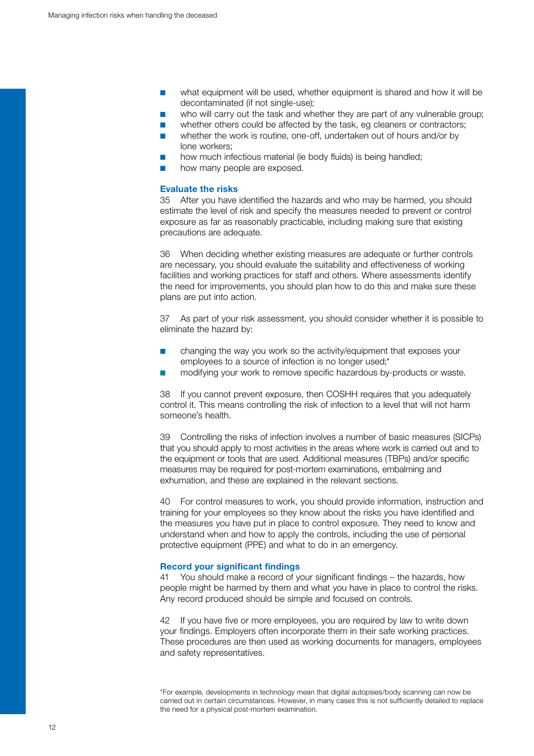- what equipment will be used, whether equipment is shared and how it will be decontaminated (if not single-use);
- who will carry out the task and whether they are part of any vulnerable group;
- whether others could be affected by the task, eg cleaners or contractors;
- whether the work is routine, one-off, undertaken out of hours and/or by lone workers;
- how much infectious material (ie body fluids) is being handled;
- how many people are exposed.

#### Evaluate the risks

35 After you have identified the hazards and who may be harmed, you should estimate the level of risk and specify the measures needed to prevent or control exposure as far as reasonably practicable, including making sure that existing precautions are adequate.

36 When deciding whether existing measures are adequate or further controls are necessary, you should evaluate the suitability and effectiveness of working facilities and working practices for staff and others. Where assessments identify the need for improvements, you should plan how to do this and make sure these plans are put into action.

37 As part of your risk assessment, you should consider whether it is possible to eliminate the hazard by:

- changing the way you work so the activity/equipment that exposes your employees to a source of infection is no longer used;\*
- modifying your work to remove specific hazardous by-products or waste.

38 If you cannot prevent exposure, then COSHH requires that you adequately control it. This means controlling the risk of infection to a level that will not harm someone's health.

39 Controlling the risks of infection involves a number of basic measures (SICPs) that you should apply to most activities in the areas where work is carried out and to the equipment or tools that are used. Additional measures (TBPs) and/or specific measures may be required for post-mortem examinations, embalming and exhumation, and these are explained in the relevant sections.

40 For control measures to work, you should provide information, instruction and training for your employees so they know about the risks you have identified and the measures you have put in place to control exposure. They need to know and understand when and how to apply the controls, including the use of personal protective equipment (PPE) and what to do in an emergency.

#### Record your significant findings

41 You should make a record of your significant findings – the hazards, how people might be harmed by them and what you have in place to control the risks. Any record produced should be simple and focused on controls.

42 If you have five or more employees, you are required by law to write down your findings. Employers often incorporate them in their safe working practices. These procedures are then used as working documents for managers, employees and safety representatives.

\*For example, developments in technology mean that digital autopsies/body scanning can now be carried out in certain circumstances. However, in many cases this is not sufficiently detailed to replace the need for a physical post-mortem examination.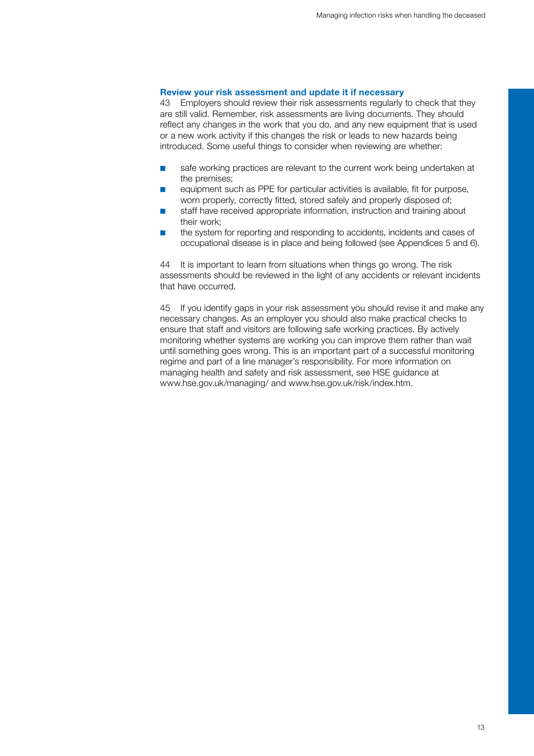#### Review your risk assessment and update it if necessary

43 Employers should review their risk assessments regularly to check that they are still valid. Remember, risk assessments are living documents. They should reflect any changes in the work that you do, and any new equipment that is used or a new work activity if this changes the risk or leads to new hazards being introduced. Some useful things to consider when reviewing are whether:

- safe working practices are relevant to the current work being undertaken at the premises;
- equipment such as PPE for particular activities is available, fit for purpose, worn properly, correctly fitted, stored safely and properly disposed of;
- staff have received appropriate information, instruction and training about their work;
- the system for reporting and responding to accidents, incidents and cases of occupational disease is in place and being followed (see Appendices 5 and 6).

44 It is important to learn from situations when things go wrong. The risk assessments should be reviewed in the light of any accidents or relevant incidents that have occurred.

45 If you identify gaps in your risk assessment you should revise it and make any necessary changes. As an employer you should also make practical checks to ensure that staff and visitors are following safe working practices. By actively monitoring whether systems are working you can improve them rather than wait until something goes wrong. This is an important part of a successful monitoring regime and part of a line manager's responsibility. For more information on managing health and safety and risk assessment, see HSE guidance at [www.hse.gov.uk/managing/](http://www.hse.gov.uk/managing/) and [www.hse.gov.uk/risk/index.htm.](http://www.hse.gov.uk/risk/index.htm)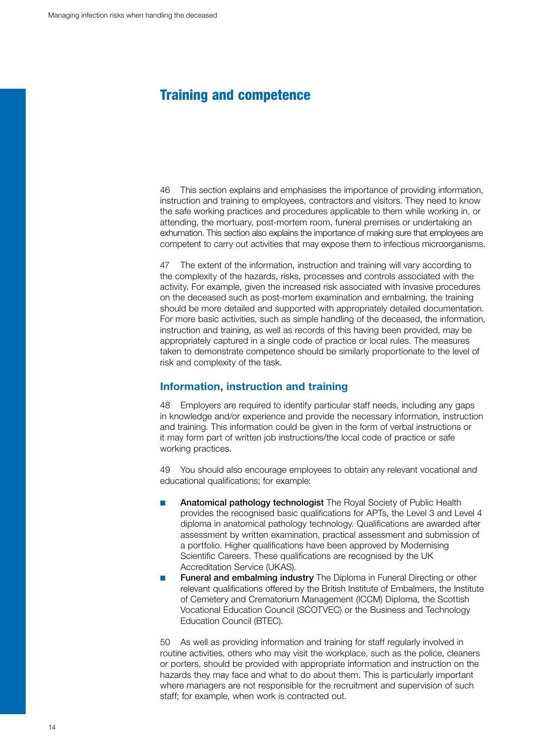# <span id="page-13-0"></span>Training and competence

46 This section explains and emphasises the importance of providing information, instruction and training to employees, contractors and visitors. They need to know the safe working practices and procedures applicable to them while working in, or attending, the mortuary, post-mortem room, funeral premises or undertaking an exhumation. This section also explains the importance of making sure that employees are competent to carry out activities that may expose them to infectious microorganisms.

47 The extent of the information, instruction and training will vary according to the complexity of the hazards, risks, processes and controls associated with the activity. For example, given the increased risk associated with invasive procedures on the deceased such as post-mortem examination and embalming, the training should be more detailed and supported with appropriately detailed documentation. For more basic activities, such as simple handling of the deceased, the information, instruction and training, as well as records of this having been provided, may be appropriately captured in a single code of practice or local rules. The measures taken to demonstrate competence should be similarly proportionate to the level of risk and complexity of the task.

#### Information, instruction and training

48 Employers are required to identify particular staff needs, including any gaps in knowledge and/or experience and provide the necessary information, instruction and training. This information could be given in the form of verbal instructions or it may form part of written job instructions/the local code of practice or safe working practices.

49 You should also encourage employees to obtain any relevant vocational and educational qualifications; for example:

- Anatomical pathology technologist The Royal Society of Public Health provides the recognised basic qualifications for APTs, the Level 3 and Level 4 diploma in anatomical pathology technology. Qualifications are awarded after assessment by written examination, practical assessment and submission of a portfolio. Higher qualifications have been approved by Modernising Scientific Careers. These qualifications are recognised by the UK Accreditation Service (UKAS).
- Funeral and embalming industry The Diploma in Funeral Directing or other relevant qualifications offered by the British Institute of Embalmers, the Institute of Cemetery and Crematorium Management (ICCM) Diploma, the Scottish Vocational Education Council (SCOTVEC) or the Business and Technology Education Council (BTEC).

50 As well as providing information and training for staff regularly involved in routine activities, others who may visit the workplace, such as the police, cleaners or porters, should be provided with appropriate information and instruction on the hazards they may face and what to do about them. This is particularly important where managers are not responsible for the recruitment and supervision of such staff; for example, when work is contracted out.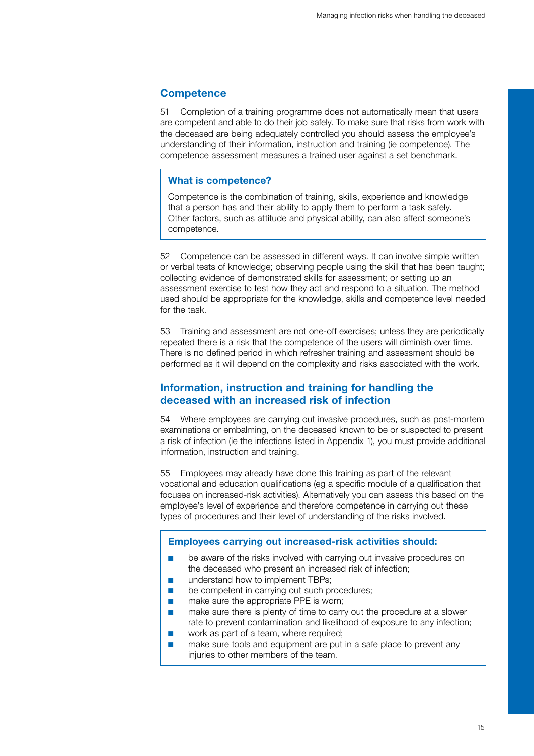#### **Competence**

51 Completion of a training programme does not automatically mean that users are competent and able to do their job safely. To make sure that risks from work with the deceased are being adequately controlled you should assess the employee's understanding of their information, instruction and training (ie competence). The competence assessment measures a trained user against a set benchmark.

#### What is competence?

Competence is the combination of training, skills, experience and knowledge that a person has and their ability to apply them to perform a task safely. Other factors, such as attitude and physical ability, can also affect someone's competence.

52 Competence can be assessed in different ways. It can involve simple written or verbal tests of knowledge; observing people using the skill that has been taught; collecting evidence of demonstrated skills for assessment; or setting up an assessment exercise to test how they act and respond to a situation. The method used should be appropriate for the knowledge, skills and competence level needed for the task.

53 Training and assessment are not one-off exercises; unless they are periodically repeated there is a risk that the competence of the users will diminish over time. There is no defined period in which refresher training and assessment should be performed as it will depend on the complexity and risks associated with the work.

#### Information, instruction and training for handling the deceased with an increased risk of infection

54 Where employees are carrying out invasive procedures, such as post-mortem examinations or embalming, on the deceased known to be or suspected to present a risk of infection (ie the infections listed in Appendix 1), you must provide additional information, instruction and training.

55 Employees may already have done this training as part of the relevant vocational and education qualifications (eg a specific module of a qualification that focuses on increased-risk activities). Alternatively you can assess this based on the employee's level of experience and therefore competence in carrying out these types of procedures and their level of understanding of the risks involved.

#### Employees carrying out increased-risk activities should:

- be aware of the risks involved with carrying out invasive procedures on the deceased who present an increased risk of infection;
- understand how to implement TBPs:
- be competent in carrying out such procedures;
- make sure the appropriate PPE is worn;
- make sure there is plenty of time to carry out the procedure at a slower rate to prevent contamination and likelihood of exposure to any infection;
- work as part of a team, where required;
- make sure tools and equipment are put in a safe place to prevent any injuries to other members of the team.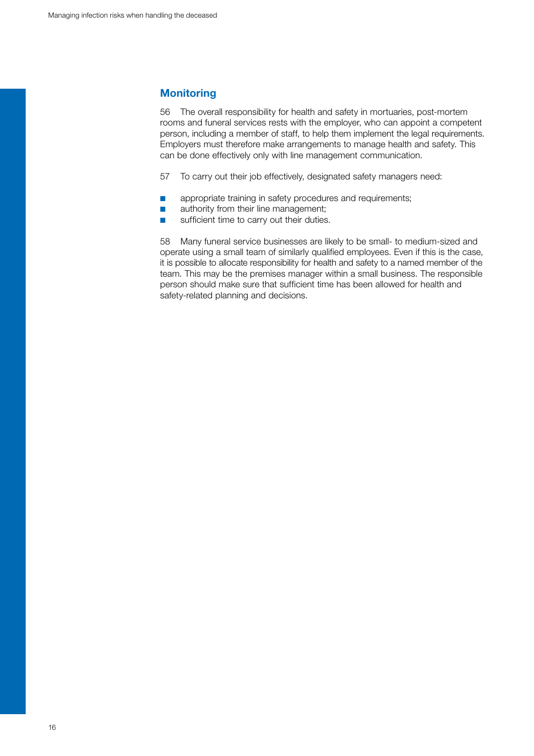#### **Monitoring**

56 The overall responsibility for health and safety in mortuaries, post-mortem rooms and funeral services rests with the employer, who can appoint a competent person, including a member of staff, to help them implement the legal requirements. Employers must therefore make arrangements to manage health and safety. This can be done effectively only with line management communication.

57 To carry out their job effectively, designated safety managers need:

- appropriate training in safety procedures and requirements;
- authority from their line management;
- sufficient time to carry out their duties.

58 Many funeral service businesses are likely to be small- to medium-sized and operate using a small team of similarly qualified employees. Even if this is the case, it is possible to allocate responsibility for health and safety to a named member of the team. This may be the premises manager within a small business. The responsible person should make sure that sufficient time has been allowed for health and safety-related planning and decisions.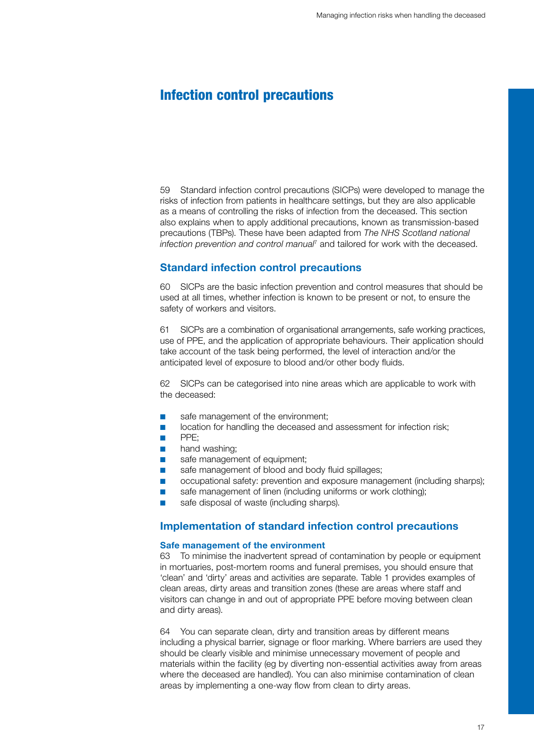## <span id="page-16-0"></span>Infection control precautions

59 Standard infection control precautions (SICPs) were developed to manage the risks of infection from patients in healthcare settings, but they are also applicable as a means of controlling the risks of infection from the deceased. This section also explains when to apply additional precautions, known as transmission-based precautions (TBPs). These have been adapted from *The NHS Scotland national infection prevention and control manual*7 and tailored for work with the deceased.

#### Standard infection control precautions

60 SICPs are the basic infection prevention and control measures that should be used at all times, whether infection is known to be present or not, to ensure the safety of workers and visitors.

61 SICPs are a combination of organisational arrangements, safe working practices, use of PPE, and the application of appropriate behaviours. Their application should take account of the task being performed, the level of interaction and/or the anticipated level of exposure to blood and/or other body fluids.

62 SICPs can be categorised into nine areas which are applicable to work with the deceased:

- safe management of the environment;
- location for handling the deceased and assessment for infection risk;
- PPE;
- hand washing:
- safe management of equipment;
- safe management of blood and body fluid spillages;
- occupational safety: prevention and exposure management (including sharps);
- safe management of linen (including uniforms or work clothing);
- safe disposal of waste (including sharps).

#### Implementation of standard infection control precautions

#### Safe management of the environment

63 To minimise the inadvertent spread of contamination by people or equipment in mortuaries, post-mortem rooms and funeral premises, you should ensure that 'clean' and 'dirty' areas and activities are separate. Table 1 provides examples of clean areas, dirty areas and transition zones (these are areas where staff and visitors can change in and out of appropriate PPE before moving between clean and dirty areas).

64 You can separate clean, dirty and transition areas by different means including a physical barrier, signage or floor marking. Where barriers are used they should be clearly visible and minimise unnecessary movement of people and materials within the facility (eg by diverting non-essential activities away from areas where the deceased are handled). You can also minimise contamination of clean areas by implementing a one-way flow from clean to dirty areas.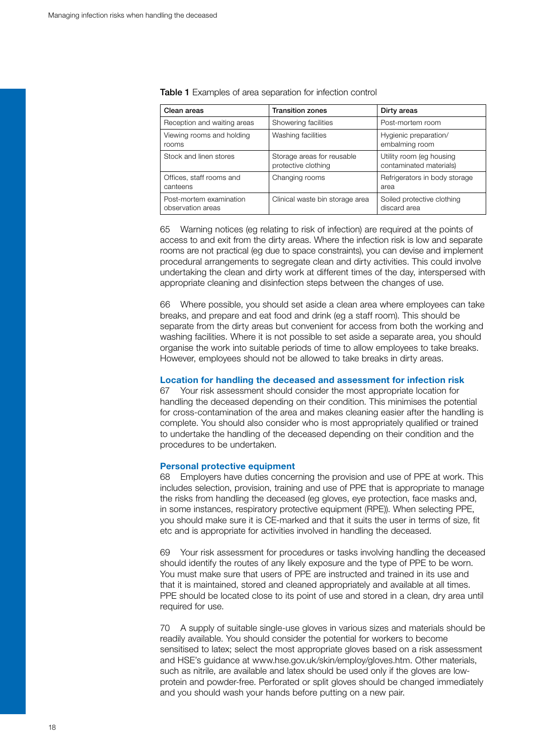| Clean areas                                  | <b>Transition zones</b>                           | Dirty areas                                         |  |
|----------------------------------------------|---------------------------------------------------|-----------------------------------------------------|--|
| Reception and waiting areas                  | Showering facilities                              | Post-mortem room                                    |  |
| Viewing rooms and holding<br>rooms           | Washing facilities                                | Hygienic preparation/<br>embalming room             |  |
| Stock and linen stores                       | Storage areas for reusable<br>protective clothing | Utility room (eg housing<br>contaminated materials) |  |
| Offices, staff rooms and<br>canteens         | Changing rooms                                    | Refrigerators in body storage<br>area               |  |
| Post-mortem examination<br>observation areas | Clinical waste bin storage area                   | Soiled protective clothing<br>discard area          |  |

Table 1 Examples of area separation for infection control

65 Warning notices (eg relating to risk of infection) are required at the points of access to and exit from the dirty areas. Where the infection risk is low and separate rooms are not practical (eg due to space constraints), you can devise and implement procedural arrangements to segregate clean and dirty activities. This could involve undertaking the clean and dirty work at different times of the day, interspersed with appropriate cleaning and disinfection steps between the changes of use.

66 Where possible, you should set aside a clean area where employees can take breaks, and prepare and eat food and drink (eg a staff room). This should be separate from the dirty areas but convenient for access from both the working and washing facilities. Where it is not possible to set aside a separate area, you should organise the work into suitable periods of time to allow employees to take breaks. However, employees should not be allowed to take breaks in dirty areas.

#### Location for handling the deceased and assessment for infection risk

67 Your risk assessment should consider the most appropriate location for handling the deceased depending on their condition. This minimises the potential for cross-contamination of the area and makes cleaning easier after the handling is complete. You should also consider who is most appropriately qualified or trained to undertake the handling of the deceased depending on their condition and the procedures to be undertaken.

#### Personal protective equipment

68 Employers have duties concerning the provision and use of PPE at work. This includes selection, provision, training and use of PPE that is appropriate to manage the risks from handling the deceased (eg gloves, eye protection, face masks and, in some instances, respiratory protective equipment (RPE)). When selecting PPE, you should make sure it is CE-marked and that it suits the user in terms of size, fit etc and is appropriate for activities involved in handling the deceased.

69 Your risk assessment for procedures or tasks involving handling the deceased should identify the routes of any likely exposure and the type of PPE to be worn. You must make sure that users of PPE are instructed and trained in its use and that it is maintained, stored and cleaned appropriately and available at all times. PPE should be located close to its point of use and stored in a clean, dry area until required for use.

70 A supply of suitable single-use gloves in various sizes and materials should be readily available. You should consider the potential for workers to become sensitised to latex; select the most appropriate gloves based on a risk assessment and HSE's guidance at [www.hse.gov.uk/skin/employ/gloves.htm](http://www.hse.gov.uk/skin/employ/gloves.htm). Other materials, such as nitrile, are available and latex should be used only if the gloves are lowprotein and powder-free. Perforated or split gloves should be changed immediately and you should wash your hands before putting on a new pair.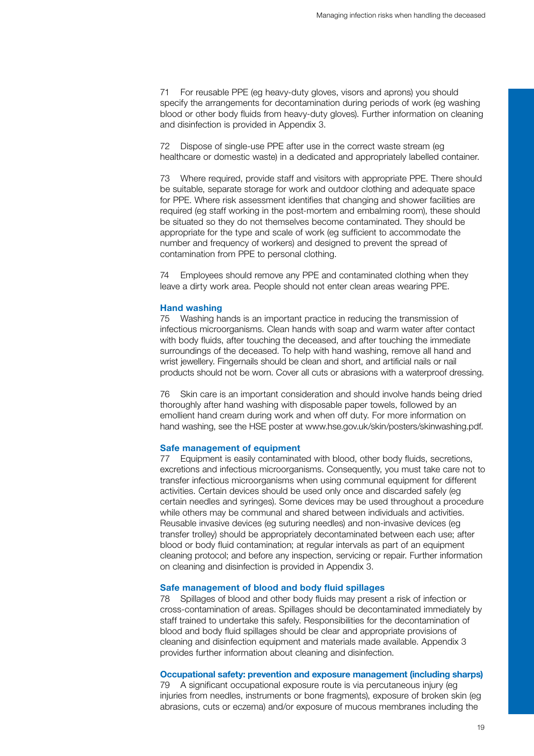71 For reusable PPE (eg heavy-duty gloves, visors and aprons) you should specify the arrangements for decontamination during periods of work (eg washing blood or other body fluids from heavy-duty gloves). Further information on cleaning and disinfection is provided in Appendix 3.

72 Dispose of single-use PPE after use in the correct waste stream (eg healthcare or domestic waste) in a dedicated and appropriately labelled container.

73 Where required, provide staff and visitors with appropriate PPE. There should be suitable, separate storage for work and outdoor clothing and adequate space for PPE. Where risk assessment identifies that changing and shower facilities are required (eg staff working in the post-mortem and embalming room), these should be situated so they do not themselves become contaminated. They should be appropriate for the type and scale of work (eg sufficient to accommodate the number and frequency of workers) and designed to prevent the spread of contamination from PPE to personal clothing.

74 Employees should remove any PPE and contaminated clothing when they leave a dirty work area. People should not enter clean areas wearing PPE.

#### Hand washing

75 Washing hands is an important practice in reducing the transmission of infectious microorganisms. Clean hands with soap and warm water after contact with body fluids, after touching the deceased, and after touching the immediate surroundings of the deceased. To help with hand washing, remove all hand and wrist jewellery. Fingernails should be clean and short, and artificial nails or nail products should not be worn. Cover all cuts or abrasions with a waterproof dressing.

76 Skin care is an important consideration and should involve hands being dried thoroughly after hand washing with disposable paper towels, followed by an emollient hand cream during work and when off duty. For more information on hand washing, see the HSE poster at [www.hse.gov.uk/skin/posters/skinwashing.pdf](http://www.hse.gov.uk/skin/posters/skinwashing.pdf).

#### Safe management of equipment

77 Equipment is easily contaminated with blood, other body fluids, secretions, excretions and infectious microorganisms. Consequently, you must take care not to transfer infectious microorganisms when using communal equipment for different activities. Certain devices should be used only once and discarded safely (eg certain needles and syringes). Some devices may be used throughout a procedure while others may be communal and shared between individuals and activities. Reusable invasive devices (eg suturing needles) and non-invasive devices (eg transfer trolley) should be appropriately decontaminated between each use; after blood or body fluid contamination; at regular intervals as part of an equipment cleaning protocol; and before any inspection, servicing or repair. Further information on cleaning and disinfection is provided in Appendix 3.

#### Safe management of blood and body fluid spillages

78 Spillages of blood and other body fluids may present a risk of infection or cross-contamination of areas. Spillages should be decontaminated immediately by staff trained to undertake this safely. Responsibilities for the decontamination of blood and body fluid spillages should be clear and appropriate provisions of cleaning and disinfection equipment and materials made available. Appendix 3 provides further information about cleaning and disinfection.

#### Occupational safety: prevention and exposure management (including sharps)

79 A significant occupational exposure route is via percutaneous injury (eg injuries from needles, instruments or bone fragments), exposure of broken skin (eg abrasions, cuts or eczema) and/or exposure of mucous membranes including the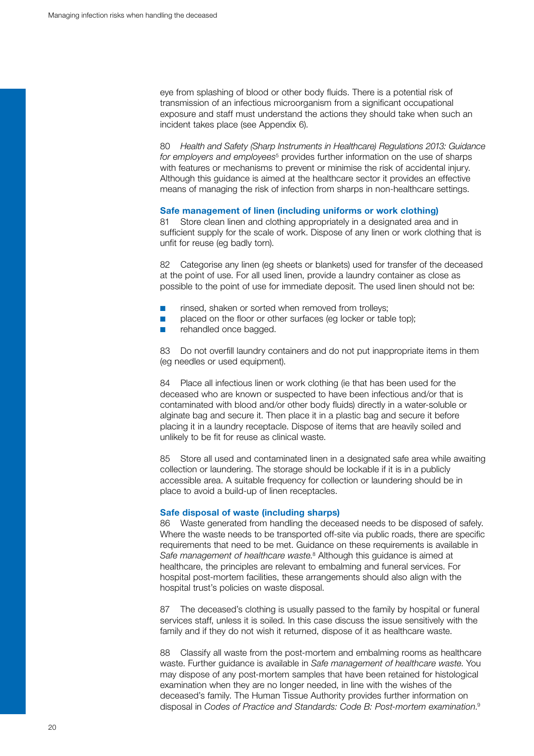eye from splashing of blood or other body fluids. There is a potential risk of transmission of an infectious microorganism from a significant occupational exposure and staff must understand the actions they should take when such an incident takes place (see Appendix 6).

80 *Health and Safety (Sharp Instruments in Healthcare) Regulations 2013: Guidance* for employers and employees<sup>5</sup> provides further information on the use of sharps with features or mechanisms to prevent or minimise the risk of accidental injury. Although this guidance is aimed at the healthcare sector it provides an effective means of managing the risk of infection from sharps in non-healthcare settings.

#### Safe management of linen (including uniforms or work clothing)

81 Store clean linen and clothing appropriately in a designated area and in sufficient supply for the scale of work. Dispose of any linen or work clothing that is unfit for reuse (eg badly torn).

82 Categorise any linen (eg sheets or blankets) used for transfer of the deceased at the point of use. For all used linen, provide a laundry container as close as possible to the point of use for immediate deposit. The used linen should not be:

- rinsed, shaken or sorted when removed from trolleys;
- placed on the floor or other surfaces (eg locker or table top);
- rehandled once bagged.

83 Do not overfill laundry containers and do not put inappropriate items in them (eg needles or used equipment).

84 Place all infectious linen or work clothing (ie that has been used for the deceased who are known or suspected to have been infectious and/or that is contaminated with blood and/or other body fluids) directly in a water-soluble or alginate bag and secure it. Then place it in a plastic bag and secure it before placing it in a laundry receptacle. Dispose of items that are heavily soiled and unlikely to be fit for reuse as clinical waste.

85 Store all used and contaminated linen in a designated safe area while awaiting collection or laundering. The storage should be lockable if it is in a publicly accessible area. A suitable frequency for collection or laundering should be in place to avoid a build-up of linen receptacles.

#### Safe disposal of waste (including sharps)

86 Waste generated from handling the deceased needs to be disposed of safely. Where the waste needs to be transported off-site via public roads, there are specific requirements that need to be met. Guidance on these requirements is available in *Safe management of healthcare waste*. 8 Although this guidance is aimed at healthcare, the principles are relevant to embalming and funeral services. For hospital post-mortem facilities, these arrangements should also align with the hospital trust's policies on waste disposal.

87 The deceased's clothing is usually passed to the family by hospital or funeral services staff, unless it is soiled. In this case discuss the issue sensitively with the family and if they do not wish it returned, dispose of it as healthcare waste.

88 Classify all waste from the post-mortem and embalming rooms as healthcare waste. Further guidance is available in *Safe management of healthcare waste*. You may dispose of any post-mortem samples that have been retained for histological examination when they are no longer needed, in line with the wishes of the deceased's family. The Human Tissue Authority provides further information on disposal in *Codes of Practice and Standards: Code B: Post-mortem examination*. 9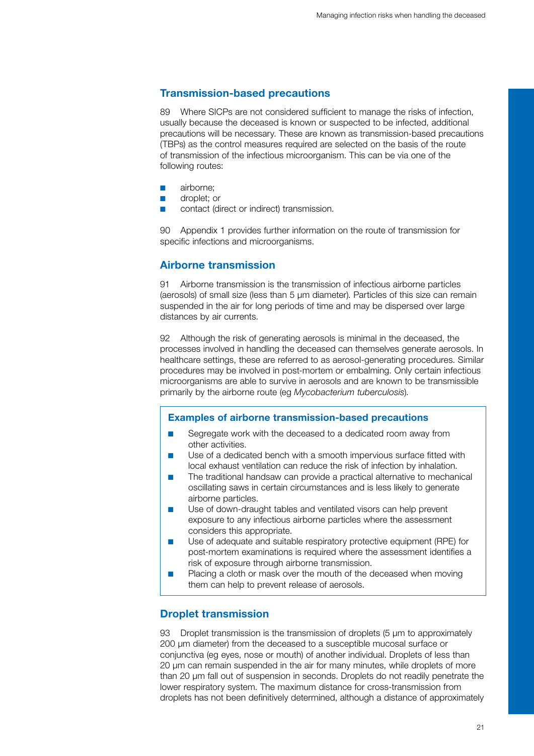#### Transmission-based precautions

89 Where SICPs are not considered sufficient to manage the risks of infection, usually because the deceased is known or suspected to be infected, additional precautions will be necessary. These are known as transmission-based precautions (TBPs) as the control measures required are selected on the basis of the route of transmission of the infectious microorganism. This can be via one of the following routes:

- airborne:
- droplet; or
- contact (direct or indirect) transmission.

90 Appendix 1 provides further information on the route of transmission for specific infections and microorganisms.

#### Airborne transmission

91 Airborne transmission is the transmission of infectious airborne particles (aerosols) of small size (less than 5 μm diameter). Particles of this size can remain suspended in the air for long periods of time and may be dispersed over large distances by air currents.

92 Although the risk of generating aerosols is minimal in the deceased, the processes involved in handling the deceased can themselves generate aerosols. In healthcare settings, these are referred to as aerosol-generating procedures. Similar procedures may be involved in post-mortem or embalming. Only certain infectious microorganisms are able to survive in aerosols and are known to be transmissible primarily by the airborne route (eg *Mycobacterium tuberculosis*).

#### Examples of airborne transmission-based precautions

- Segregate work with the deceased to a dedicated room away from other activities.
- Use of a dedicated bench with a smooth impervious surface fitted with local exhaust ventilation can reduce the risk of infection by inhalation.
- The traditional handsaw can provide a practical alternative to mechanical oscillating saws in certain circumstances and is less likely to generate airborne particles.
- Use of down-draught tables and ventilated visors can help prevent exposure to any infectious airborne particles where the assessment considers this appropriate.
- Use of adequate and suitable respiratory protective equipment (RPE) for post-mortem examinations is required where the assessment identifies a risk of exposure through airborne transmission.
- Placing a cloth or mask over the mouth of the deceased when moving them can help to prevent release of aerosols.

#### Droplet transmission

93 Droplet transmission is the transmission of droplets (5 μm to approximately 200 μm diameter) from the deceased to a susceptible mucosal surface or conjunctiva (eg eyes, nose or mouth) of another individual. Droplets of less than 20 μm can remain suspended in the air for many minutes, while droplets of more than 20 μm fall out of suspension in seconds. Droplets do not readily penetrate the lower respiratory system. The maximum distance for cross-transmission from droplets has not been definitively determined, although a distance of approximately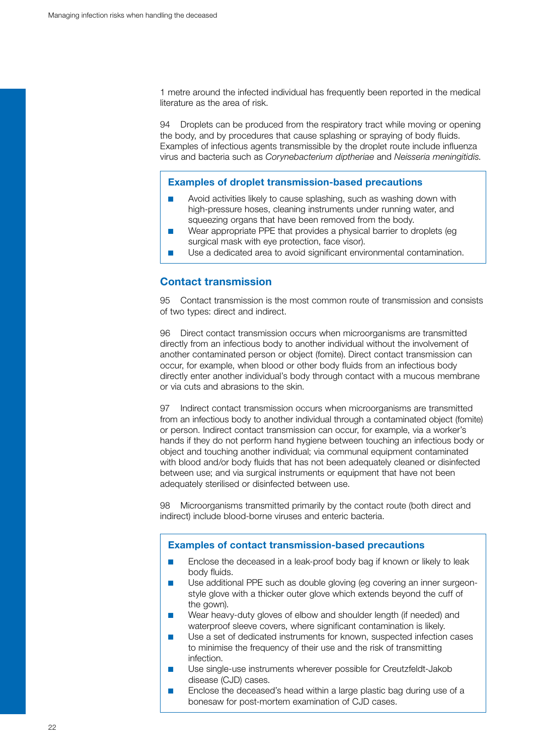1 metre around the infected individual has frequently been reported in the medical literature as the area of risk.

94 Droplets can be produced from the respiratory tract while moving or opening the body, and by procedures that cause splashing or spraying of body fluids. Examples of infectious agents transmissible by the droplet route include influenza virus and bacteria such as *Corynebacterium diptheriae* and *Neisseria meningitidis.*

#### Examples of droplet transmission-based precautions

- Avoid activities likely to cause splashing, such as washing down with high-pressure hoses, cleaning instruments under running water, and squeezing organs that have been removed from the body.
- Wear appropriate PPE that provides a physical barrier to droplets (eg surgical mask with eye protection, face visor).
- Use a dedicated area to avoid significant environmental contamination.

#### Contact transmission

95 Contact transmission is the most common route of transmission and consists of two types: direct and indirect.

96 Direct contact transmission occurs when microorganisms are transmitted directly from an infectious body to another individual without the involvement of another contaminated person or object (fomite). Direct contact transmission can occur, for example, when blood or other body fluids from an infectious body directly enter another individual's body through contact with a mucous membrane or via cuts and abrasions to the skin.

97 Indirect contact transmission occurs when microorganisms are transmitted from an infectious body to another individual through a contaminated object (fomite) or person. Indirect contact transmission can occur, for example, via a worker's hands if they do not perform hand hygiene between touching an infectious body or object and touching another individual; via communal equipment contaminated with blood and/or body fluids that has not been adequately cleaned or disinfected between use; and via surgical instruments or equipment that have not been adequately sterilised or disinfected between use.

98 Microorganisms transmitted primarily by the contact route (both direct and indirect) include blood-borne viruses and enteric bacteria.

#### Examples of contact transmission-based precautions

- Enclose the deceased in a leak-proof body bag if known or likely to leak body fluids.
- Use additional PPE such as double gloving (eg covering an inner surgeonstyle glove with a thicker outer glove which extends beyond the cuff of the gown).
- Wear heavy-duty gloves of elbow and shoulder length (if needed) and waterproof sleeve covers, where significant contamination is likely.
- Use a set of dedicated instruments for known, suspected infection cases to minimise the frequency of their use and the risk of transmitting infection.
- Use single-use instruments wherever possible for Creutzfeldt-Jakob disease (CJD) cases.
- Enclose the deceased's head within a large plastic bag during use of a bonesaw for post-mortem examination of CJD cases.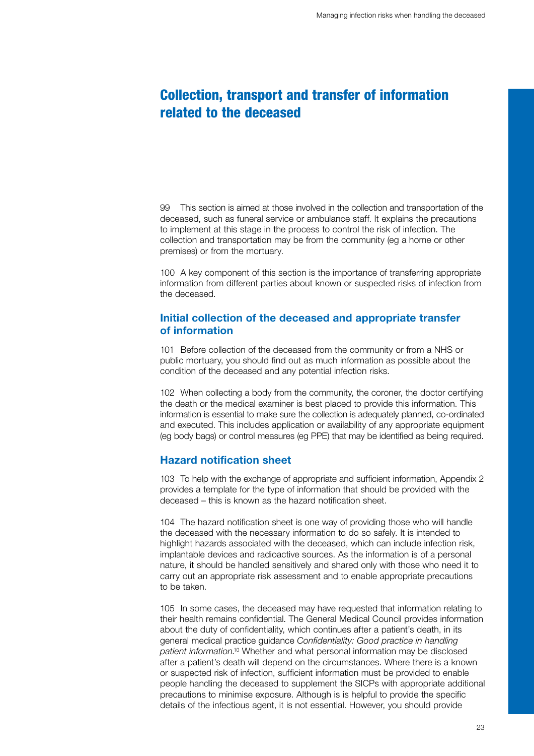# <span id="page-22-0"></span>Collection, transport and transfer of information related to the deceased

99 This section is aimed at those involved in the collection and transportation of the deceased, such as funeral service or ambulance staff. It explains the precautions to implement at this stage in the process to control the risk of infection. The collection and transportation may be from the community (eg a home or other premises) or from the mortuary.

100 A key component of this section is the importance of transferring appropriate information from different parties about known or suspected risks of infection from the deceased.

#### Initial collection of the deceased and appropriate transfer of information

101 Before collection of the deceased from the community or from a NHS or public mortuary, you should find out as much information as possible about the condition of the deceased and any potential infection risks.

102 When collecting a body from the community, the coroner, the doctor certifying the death or the medical examiner is best placed to provide this information. This information is essential to make sure the collection is adequately planned, co-ordinated and executed. This includes application or availability of any appropriate equipment (eg body bags) or control measures (eg PPE) that may be identified as being required.

#### Hazard notification sheet

103 To help with the exchange of appropriate and sufficient information, Appendix 2 provides a template for the type of information that should be provided with the deceased – this is known as the hazard notification sheet.

104 The hazard notification sheet is one way of providing those who will handle the deceased with the necessary information to do so safely. It is intended to highlight hazards associated with the deceased, which can include infection risk, implantable devices and radioactive sources. As the information is of a personal nature, it should be handled sensitively and shared only with those who need it to carry out an appropriate risk assessment and to enable appropriate precautions to be taken.

105 In some cases, the deceased may have requested that information relating to their health remains confidential. The General Medical Council provides information about the duty of confidentiality, which continues after a patient's death, in its general medical practice guidance *Confidentiality: Good practice in handling patient information*. 10 Whether and what personal information may be disclosed after a patient's death will depend on the circumstances. Where there is a known or suspected risk of infection, sufficient information must be provided to enable people handling the deceased to supplement the SICPs with appropriate additional precautions to minimise exposure. Although is is helpful to provide the specific details of the infectious agent, it is not essential. However, you should provide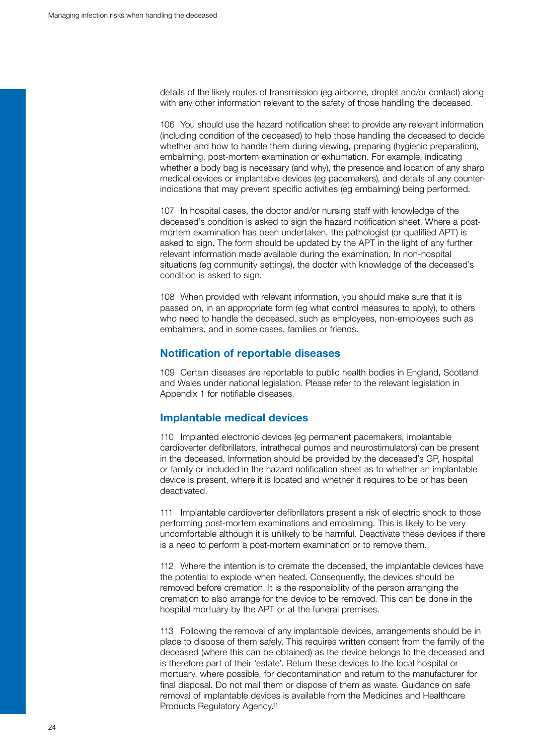details of the likely routes of transmission (eg airborne, droplet and/or contact) along with any other information relevant to the safety of those handling the deceased.

106 You should use the hazard notification sheet to provide any relevant information (including condition of the deceased) to help those handling the deceased to decide whether and how to handle them during viewing, preparing (hygienic preparation), embalming, post-mortem examination or exhumation. For example, indicating whether a body bag is necessary (and why), the presence and location of any sharp medical devices or implantable devices (eg pacemakers), and details of any counterindications that may prevent specific activities (eg embalming) being performed.

107 In hospital cases, the doctor and/or nursing staff with knowledge of the deceased's condition is asked to sign the hazard notification sheet. Where a postmortem examination has been undertaken, the pathologist (or qualified APT) is asked to sign. The form should be updated by the APT in the light of any further relevant information made available during the examination. In non-hospital situations (eg community settings), the doctor with knowledge of the deceased's condition is asked to sign.

108 When provided with relevant information, you should make sure that it is passed on, in an appropriate form (eg what control measures to apply), to others who need to handle the deceased, such as employees, non-employees such as embalmers, and in some cases, families or friends.

#### Notification of reportable diseases

109 Certain diseases are reportable to public health bodies in England, Scotland and Wales under national legislation. Please refer to the relevant legislation in Appendix 1 for notifiable diseases.

#### Implantable medical devices

110 Implanted electronic devices (eg permanent pacemakers, implantable cardioverter defibrillators, intrathecal pumps and neurostimulators) can be present in the deceased. Information should be provided by the deceased's GP, hospital or family or included in the hazard notification sheet as to whether an implantable device is present, where it is located and whether it requires to be or has been deactivated.

111 Implantable cardioverter defibrillators present a risk of electric shock to those performing post-mortem examinations and embalming. This is likely to be very uncomfortable although it is unlikely to be harmful. Deactivate these devices if there is a need to perform a post-mortem examination or to remove them.

112 Where the intention is to cremate the deceased, the implantable devices have the potential to explode when heated. Consequently, the devices should be removed before cremation. It is the responsibility of the person arranging the cremation to also arrange for the device to be removed. This can be done in the hospital mortuary by the APT or at the funeral premises.

113 Following the removal of any implantable devices, arrangements should be in place to dispose of them safely. This requires written consent from the family of the deceased (where this can be obtained) as the device belongs to the deceased and is therefore part of their 'estate'. Return these devices to the local hospital or mortuary, where possible, for decontamination and return to the manufacturer for final disposal. Do not mail them or dispose of them as waste. Guidance on safe removal of implantable devices is available from the Medicines and Healthcare Products Regulatory Agency.<sup>11</sup>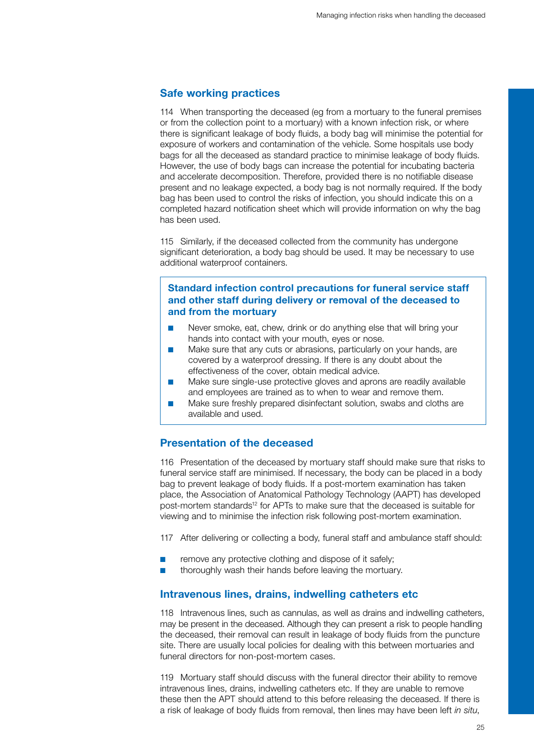#### Safe working practices

114 When transporting the deceased (eg from a mortuary to the funeral premises or from the collection point to a mortuary) with a known infection risk, or where there is significant leakage of body fluids, a body bag will minimise the potential for exposure of workers and contamination of the vehicle. Some hospitals use body bags for all the deceased as standard practice to minimise leakage of body fluids. However, the use of body bags can increase the potential for incubating bacteria and accelerate decomposition. Therefore, provided there is no notifiable disease present and no leakage expected, a body bag is not normally required. If the body bag has been used to control the risks of infection, you should indicate this on a completed hazard notification sheet which will provide information on why the bag has been used.

115 Similarly, if the deceased collected from the community has undergone significant deterioration, a body bag should be used. It may be necessary to use additional waterproof containers.

#### Standard infection control precautions for funeral service staff and other staff during delivery or removal of the deceased to and from the mortuary

- Never smoke, eat, chew, drink or do anything else that will bring your hands into contact with your mouth, eyes or nose.
- Make sure that any cuts or abrasions, particularly on your hands, are covered by a waterproof dressing. If there is any doubt about the effectiveness of the cover, obtain medical advice.
- Make sure single-use protective gloves and aprons are readily available and employees are trained as to when to wear and remove them.
- Make sure freshly prepared disinfectant solution, swabs and cloths are available and used.

#### Presentation of the deceased

116 Presentation of the deceased by mortuary staff should make sure that risks to funeral service staff are minimised. If necessary, the body can be placed in a body bag to prevent leakage of body fluids. If a post-mortem examination has taken place, the Association of Anatomical Pathology Technology (AAPT) has developed post-mortem standards<sup>12</sup> for APTs to make sure that the deceased is suitable for viewing and to minimise the infection risk following post-mortem examination.

- 117 After delivering or collecting a body, funeral staff and ambulance staff should:
- remove any protective clothing and dispose of it safely;
- thoroughly wash their hands before leaving the mortuary.

#### Intravenous lines, drains, indwelling catheters etc

118 Intravenous lines, such as cannulas, as well as drains and indwelling catheters, may be present in the deceased. Although they can present a risk to people handling the deceased, their removal can result in leakage of body fluids from the puncture site. There are usually local policies for dealing with this between mortuaries and funeral directors for non-post-mortem cases.

119 Mortuary staff should discuss with the funeral director their ability to remove intravenous lines, drains, indwelling catheters etc. If they are unable to remove these then the APT should attend to this before releasing the deceased. If there is a risk of leakage of body fluids from removal, then lines may have been left *in situ*,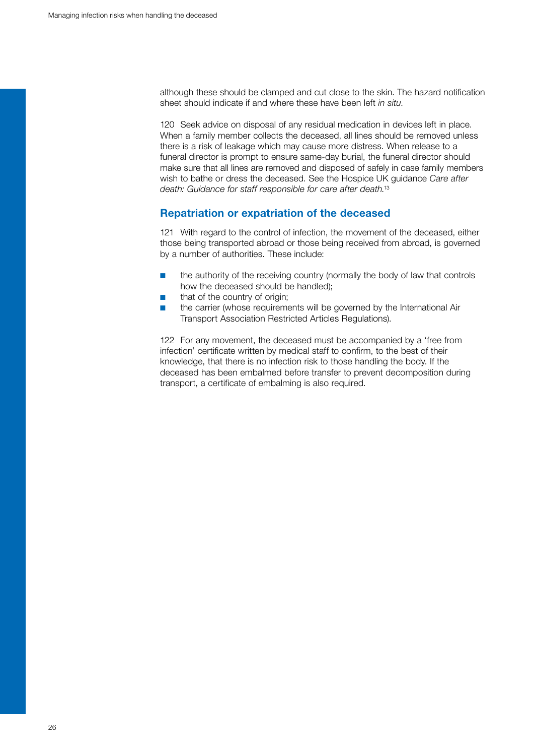although these should be clamped and cut close to the skin. The hazard notification sheet should indicate if and where these have been left *in situ*.

120 Seek advice on disposal of any residual medication in devices left in place. When a family member collects the deceased, all lines should be removed unless there is a risk of leakage which may cause more distress. When release to a funeral director is prompt to ensure same-day burial, the funeral director should make sure that all lines are removed and disposed of safely in case family members wish to bathe or dress the deceased. See the Hospice UK guidance *Care after death: Guidance for staff responsible for care after death.*<sup>13</sup>

#### Repatriation or expatriation of the deceased

121 With regard to the control of infection, the movement of the deceased, either those being transported abroad or those being received from abroad, is governed by a number of authorities. These include:

- the authority of the receiving country (normally the body of law that controls how the deceased should be handled);
- that of the country of origin;
- the carrier (whose requirements will be governed by the International Air Transport Association Restricted Articles Regulations).

122 For any movement, the deceased must be accompanied by a 'free from infection' certificate written by medical staff to confirm, to the best of their knowledge, that there is no infection risk to those handling the body. If the deceased has been embalmed before transfer to prevent decomposition during transport, a certificate of embalming is also required.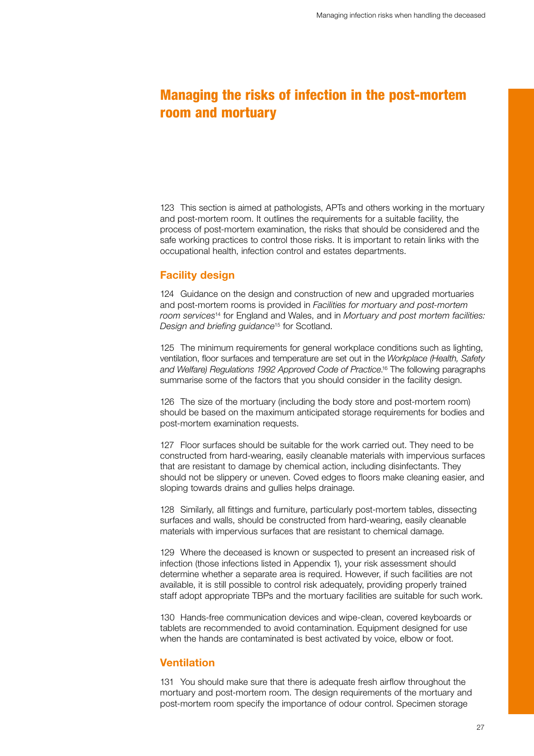# <span id="page-26-0"></span>Managing the risks of infection in the post-mortem room and mortuary

123 This section is aimed at pathologists, APTs and others working in the mortuary and post-mortem room. It outlines the requirements for a suitable facility, the process of post-mortem examination, the risks that should be considered and the safe working practices to control those risks. It is important to retain links with the occupational health, infection control and estates departments.

#### Facility design

124 Guidance on the design and construction of new and upgraded mortuaries and post-mortem rooms is provided in *Facilities for mortuary and post-mortem room services*14 for England and Wales, and in *Mortuary and post mortem facilities: Design and briefing guidance*15 for Scotland.

125 The minimum requirements for general workplace conditions such as lighting, ventilation, floor surfaces and temperature are set out in the *Workplace (Health, Safety and Welfare) Regulations 1992 Approved Code of Practice*. 16 The following paragraphs summarise some of the factors that you should consider in the facility design.

126 The size of the mortuary (including the body store and post-mortem room) should be based on the maximum anticipated storage requirements for bodies and post-mortem examination requests.

127 Floor surfaces should be suitable for the work carried out. They need to be constructed from hard-wearing, easily cleanable materials with impervious surfaces that are resistant to damage by chemical action, including disinfectants. They should not be slippery or uneven. Coved edges to floors make cleaning easier, and sloping towards drains and gullies helps drainage.

128 Similarly, all fittings and furniture, particularly post-mortem tables, dissecting surfaces and walls, should be constructed from hard-wearing, easily cleanable materials with impervious surfaces that are resistant to chemical damage.

129 Where the deceased is known or suspected to present an increased risk of infection (those infections listed in Appendix 1), your risk assessment should determine whether a separate area is required. However, if such facilities are not available, it is still possible to control risk adequately, providing properly trained staff adopt appropriate TBPs and the mortuary facilities are suitable for such work.

130 Hands-free communication devices and wipe-clean, covered keyboards or tablets are recommended to avoid contamination. Equipment designed for use when the hands are contaminated is best activated by voice, elbow or foot.

#### Ventilation

131 You should make sure that there is adequate fresh airflow throughout the mortuary and post-mortem room. The design requirements of the mortuary and post-mortem room specify the importance of odour control. Specimen storage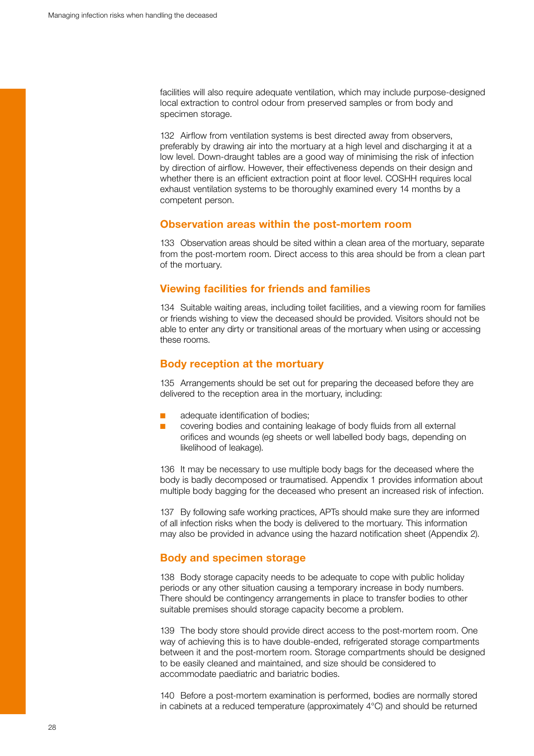facilities will also require adequate ventilation, which may include purpose-designed local extraction to control odour from preserved samples or from body and specimen storage.

132 Airflow from ventilation systems is best directed away from observers, preferably by drawing air into the mortuary at a high level and discharging it at a low level. Down-draught tables are a good way of minimising the risk of infection by direction of airflow. However, their effectiveness depends on their design and whether there is an efficient extraction point at floor level. COSHH requires local exhaust ventilation systems to be thoroughly examined every 14 months by a competent person.

#### Observation areas within the post-mortem room

133 Observation areas should be sited within a clean area of the mortuary, separate from the post-mortem room. Direct access to this area should be from a clean part of the mortuary.

#### Viewing facilities for friends and families

134 Suitable waiting areas, including toilet facilities, and a viewing room for families or friends wishing to view the deceased should be provided. Visitors should not be able to enter any dirty or transitional areas of the mortuary when using or accessing these rooms.

#### Body reception at the mortuary

135 Arrangements should be set out for preparing the deceased before they are delivered to the reception area in the mortuary, including:

- adequate identification of bodies;
- covering bodies and containing leakage of body fluids from all external orifices and wounds (eg sheets or well labelled body bags, depending on likelihood of leakage).

136 It may be necessary to use multiple body bags for the deceased where the body is badly decomposed or traumatised. Appendix 1 provides information about multiple body bagging for the deceased who present an increased risk of infection.

137 By following safe working practices, APTs should make sure they are informed of all infection risks when the body is delivered to the mortuary. This information may also be provided in advance using the hazard notification sheet (Appendix 2).

#### Body and specimen storage

138 Body storage capacity needs to be adequate to cope with public holiday periods or any other situation causing a temporary increase in body numbers. There should be contingency arrangements in place to transfer bodies to other suitable premises should storage capacity become a problem.

139 The body store should provide direct access to the post-mortem room. One way of achieving this is to have double-ended, refrigerated storage compartments between it and the post-mortem room. Storage compartments should be designed to be easily cleaned and maintained, and size should be considered to accommodate paediatric and bariatric bodies.

140 Before a post-mortem examination is performed, bodies are normally stored in cabinets at a reduced temperature (approximately 4°C) and should be returned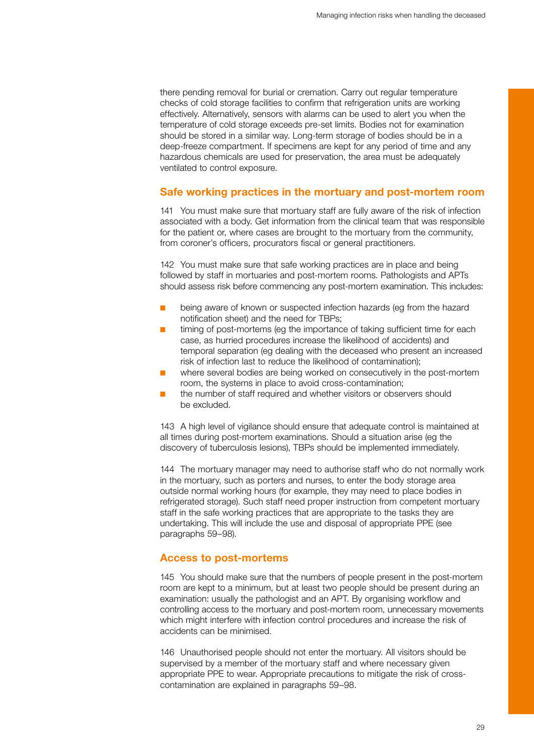there pending removal for burial or cremation. Carry out regular temperature checks of cold storage facilities to confirm that refrigeration units are working effectively. Alternatively, sensors with alarms can be used to alert you when the temperature of cold storage exceeds pre-set limits. Bodies not for examination should be stored in a similar way. Long-term storage of bodies should be in a deep-freeze compartment. If specimens are kept for any period of time and any hazardous chemicals are used for preservation, the area must be adequately ventilated to control exposure.

#### Safe working practices in the mortuary and post-mortem room

141 You must make sure that mortuary staff are fully aware of the risk of infection associated with a body. Get information from the clinical team that was responsible for the patient or, where cases are brought to the mortuary from the community, from coroner's officers, procurators fiscal or general practitioners.

142 You must make sure that safe working practices are in place and being followed by staff in mortuaries and post-mortem rooms. Pathologists and APTs should assess risk before commencing any post-mortem examination. This includes:

- being aware of known or suspected infection hazards (eg from the hazard notification sheet) and the need for TBPs;
- timing of post-mortems (eg the importance of taking sufficient time for each case, as hurried procedures increase the likelihood of accidents) and temporal separation (eg dealing with the deceased who present an increased risk of infection last to reduce the likelihood of contamination);
- where several bodies are being worked on consecutively in the post-mortem room, the systems in place to avoid cross-contamination;
- the number of staff required and whether visitors or observers should be excluded.

143 A high level of vigilance should ensure that adequate control is maintained at all times during post-mortem examinations. Should a situation arise (eg the discovery of tuberculosis lesions), TBPs should be implemented immediately.

144 The mortuary manager may need to authorise staff who do not normally work in the mortuary, such as porters and nurses, to enter the body storage area outside normal working hours (for example, they may need to place bodies in refrigerated storage). Such staff need proper instruction from competent mortuary staff in the safe working practices that are appropriate to the tasks they are undertaking. This will include the use and disposal of appropriate PPE (see paragraphs 59–98).

#### Access to post-mortems

145 You should make sure that the numbers of people present in the post-mortem room are kept to a minimum, but at least two people should be present during an examination: usually the pathologist and an APT. By organising workflow and controlling access to the mortuary and post-mortem room, unnecessary movements which might interfere with infection control procedures and increase the risk of accidents can be minimised.

146 Unauthorised people should not enter the mortuary. All visitors should be supervised by a member of the mortuary staff and where necessary given appropriate PPE to wear. Appropriate precautions to mitigate the risk of crosscontamination are explained in paragraphs 59–98.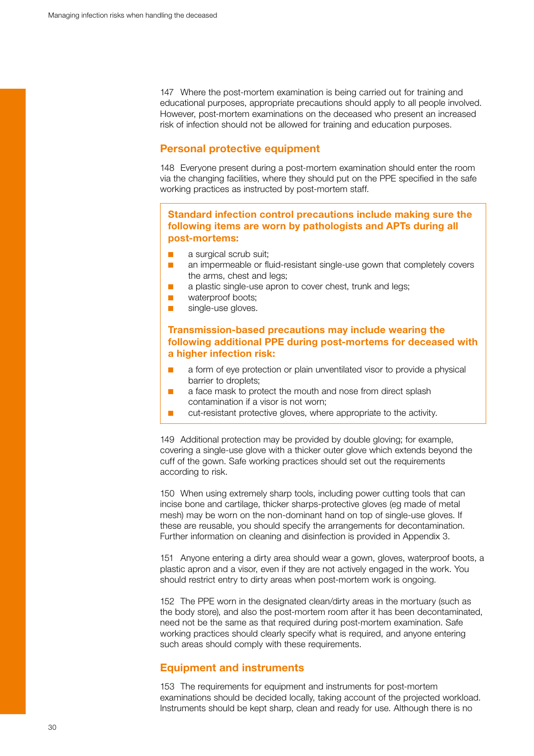147 Where the post-mortem examination is being carried out for training and educational purposes, appropriate precautions should apply to all people involved. However, post-mortem examinations on the deceased who present an increased risk of infection should not be allowed for training and education purposes.

#### Personal protective equipment

148 Everyone present during a post-mortem examination should enter the room via the changing facilities, where they should put on the PPE specified in the safe working practices as instructed by post-mortem staff.

#### Standard infection control precautions include making sure the following items are worn by pathologists and APTs during all post-mortems:

- a surgical scrub suit;
- an impermeable or fluid-resistant single-use gown that completely covers the arms, chest and legs;
- a plastic single-use apron to cover chest, trunk and legs;
	- waterproof boots:
- single-use gloves.

#### Transmission-based precautions may include wearing the following additional PPE during post-mortems for deceased with a higher infection risk:

- a form of eye protection or plain unventilated visor to provide a physical barrier to droplets;
- a face mask to protect the mouth and nose from direct splash contamination if a visor is not worn;
- cut-resistant protective gloves, where appropriate to the activity.

149 Additional protection may be provided by double gloving; for example, covering a single-use glove with a thicker outer glove which extends beyond the cuff of the gown. Safe working practices should set out the requirements according to risk.

150 When using extremely sharp tools, including power cutting tools that can incise bone and cartilage, thicker sharps-protective gloves (eg made of metal mesh) may be worn on the non-dominant hand on top of single-use gloves. If these are reusable, you should specify the arrangements for decontamination. Further information on cleaning and disinfection is provided in Appendix 3.

151 Anyone entering a dirty area should wear a gown, gloves, waterproof boots, a plastic apron and a visor, even if they are not actively engaged in the work. You should restrict entry to dirty areas when post-mortem work is ongoing.

152 The PPE worn in the designated clean/dirty areas in the mortuary (such as the body store), and also the post-mortem room after it has been decontaminated, need not be the same as that required during post-mortem examination. Safe working practices should clearly specify what is required, and anyone entering such areas should comply with these requirements.

#### Equipment and instruments

153 The requirements for equipment and instruments for post-mortem examinations should be decided locally, taking account of the projected workload. Instruments should be kept sharp, clean and ready for use. Although there is no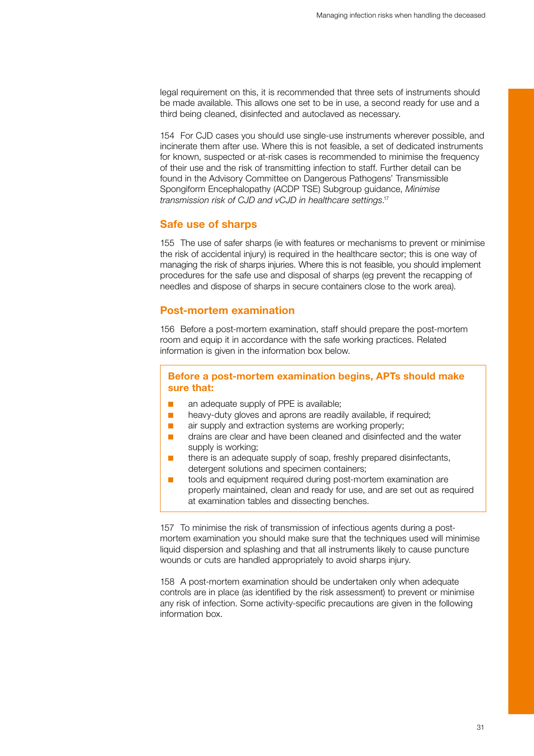legal requirement on this, it is recommended that three sets of instruments should be made available. This allows one set to be in use, a second ready for use and a third being cleaned, disinfected and autoclaved as necessary.

154 For CJD cases you should use single-use instruments wherever possible, and incinerate them after use. Where this is not feasible, a set of dedicated instruments for known, suspected or at-risk cases is recommended to minimise the frequency of their use and the risk of transmitting infection to staff. Further detail can be found in the Advisory Committee on Dangerous Pathogens' Transmissible Spongiform Encephalopathy (ACDP TSE) Subgroup guidance, *Minimise transmission risk of CJD and vCJD in healthcare settings*. 17

#### Safe use of sharps

155 The use of safer sharps (ie with features or mechanisms to prevent or minimise the risk of accidental injury) is required in the healthcare sector; this is one way of managing the risk of sharps injuries. Where this is not feasible, you should implement procedures for the safe use and disposal of sharps (eg prevent the recapping of needles and dispose of sharps in secure containers close to the work area).

#### Post-mortem examination

156 Before a post-mortem examination, staff should prepare the post-mortem room and equip it in accordance with the safe working practices. Related information is given in the information box below.

#### Before a post-mortem examination begins, APTs should make sure that:

- an adequate supply of PPE is available;
- heavy-duty gloves and aprons are readily available, if required;
- air supply and extraction systems are working properly;
- drains are clear and have been cleaned and disinfected and the water supply is working;
- there is an adequate supply of soap, freshly prepared disinfectants, detergent solutions and specimen containers;
- tools and equipment required during post-mortem examination are properly maintained, clean and ready for use, and are set out as required at examination tables and dissecting benches.

157 To minimise the risk of transmission of infectious agents during a postmortem examination you should make sure that the techniques used will minimise liquid dispersion and splashing and that all instruments likely to cause puncture wounds or cuts are handled appropriately to avoid sharps injury.

158 A post-mortem examination should be undertaken only when adequate controls are in place (as identified by the risk assessment) to prevent or minimise any risk of infection. Some activity-specific precautions are given in the following information box.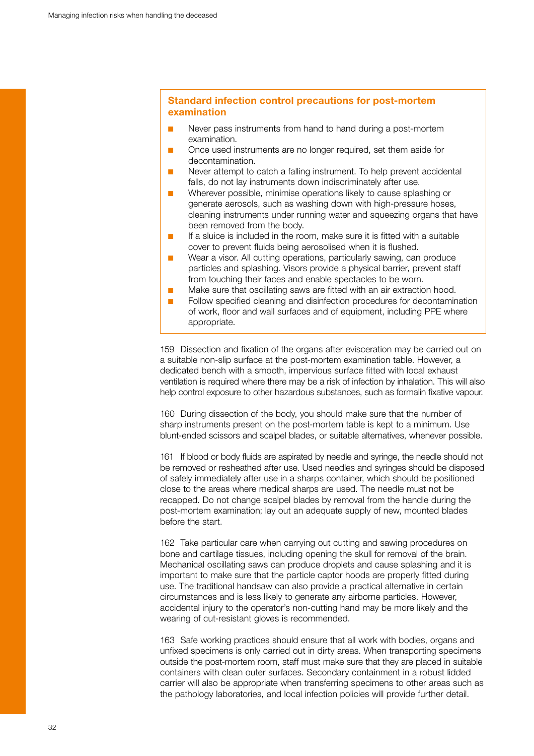#### Standard infection control precautions for post-mortem examination

- Never pass instruments from hand to hand during a post-mortem examination.
- Once used instruments are no longer required, set them aside for decontamination.
- Never attempt to catch a falling instrument. To help prevent accidental falls, do not lay instruments down indiscriminately after use.
- Wherever possible, minimise operations likely to cause splashing or generate aerosols, such as washing down with high-pressure hoses, cleaning instruments under running water and squeezing organs that have been removed from the body.
- If a sluice is included in the room, make sure it is fitted with a suitable cover to prevent fluids being aerosolised when it is flushed.
- Wear a visor. All cutting operations, particularly sawing, can produce particles and splashing. Visors provide a physical barrier, prevent staff from touching their faces and enable spectacles to be worn.
- Make sure that oscillating saws are fitted with an air extraction hood.
- Follow specified cleaning and disinfection procedures for decontamination of work, floor and wall surfaces and of equipment, including PPE where appropriate.

159 Dissection and fixation of the organs after evisceration may be carried out on a suitable non-slip surface at the post-mortem examination table. However, a dedicated bench with a smooth, impervious surface fitted with local exhaust ventilation is required where there may be a risk of infection by inhalation. This will also help control exposure to other hazardous substances, such as formalin fixative vapour.

160 During dissection of the body, you should make sure that the number of sharp instruments present on the post-mortem table is kept to a minimum. Use blunt-ended scissors and scalpel blades, or suitable alternatives, whenever possible.

161 If blood or body fluids are aspirated by needle and syringe, the needle should not be removed or resheathed after use. Used needles and syringes should be disposed of safely immediately after use in a sharps container, which should be positioned close to the areas where medical sharps are used. The needle must not be recapped. Do not change scalpel blades by removal from the handle during the post-mortem examination; lay out an adequate supply of new, mounted blades before the start.

162 Take particular care when carrying out cutting and sawing procedures on bone and cartilage tissues, including opening the skull for removal of the brain. Mechanical oscillating saws can produce droplets and cause splashing and it is important to make sure that the particle captor hoods are properly fitted during use. The traditional handsaw can also provide a practical alternative in certain circumstances and is less likely to generate any airborne particles. However, accidental injury to the operator's non-cutting hand may be more likely and the wearing of cut-resistant gloves is recommended.

163 Safe working practices should ensure that all work with bodies, organs and unfixed specimens is only carried out in dirty areas. When transporting specimens outside the post-mortem room, staff must make sure that they are placed in suitable containers with clean outer surfaces. Secondary containment in a robust lidded carrier will also be appropriate when transferring specimens to other areas such as the pathology laboratories, and local infection policies will provide further detail.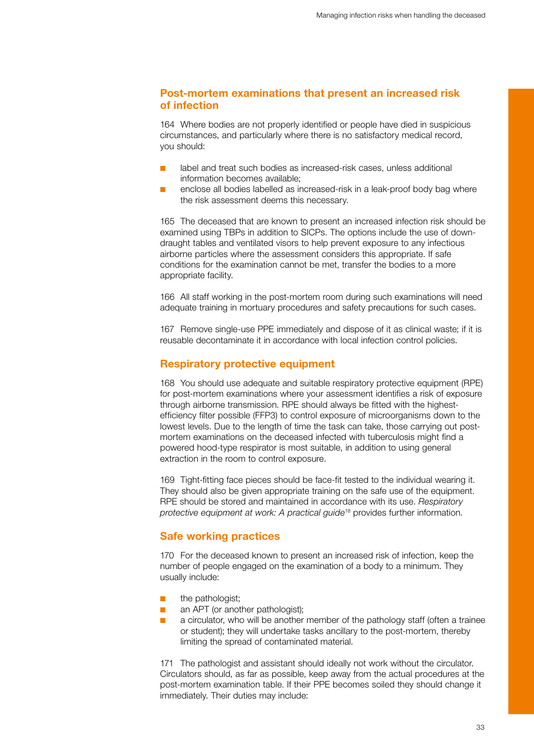#### Post-mortem examinations that present an increased risk of infection

164 Where bodies are not properly identified or people have died in suspicious circumstances, and particularly where there is no satisfactory medical record, you should:

- label and treat such bodies as increased-risk cases, unless additional information becomes available;
- enclose all bodies labelled as increased-risk in a leak-proof body bag where the risk assessment deems this necessary.

165 The deceased that are known to present an increased infection risk should be examined using TBPs in addition to SICPs. The options include the use of downdraught tables and ventilated visors to help prevent exposure to any infectious airborne particles where the assessment considers this appropriate. If safe conditions for the examination cannot be met, transfer the bodies to a more appropriate facility.

166 All staff working in the post-mortem room during such examinations will need adequate training in mortuary procedures and safety precautions for such cases.

167 Remove single-use PPE immediately and dispose of it as clinical waste; if it is reusable decontaminate it in accordance with local infection control policies.

#### Respiratory protective equipment

168 You should use adequate and suitable respiratory protective equipment (RPE) for post-mortem examinations where your assessment identifies a risk of exposure through airborne transmission. RPE should always be fitted with the highestefficiency filter possible (FFP3) to control exposure of microorganisms down to the lowest levels. Due to the length of time the task can take, those carrying out postmortem examinations on the deceased infected with tuberculosis might find a powered hood-type respirator is most suitable, in addition to using general extraction in the room to control exposure.

169 Tight-fitting face pieces should be face-fit tested to the individual wearing it. They should also be given appropriate training on the safe use of the equipment. RPE should be stored and maintained in accordance with its use. *Respiratory protective equipment at work: A practical guide*18 provides further information.

#### Safe working practices

170 For the deceased known to present an increased risk of infection, keep the number of people engaged on the examination of a body to a minimum. They usually include:

- the pathologist;
- an APT (or another pathologist);
- a circulator, who will be another member of the pathology staff (often a trainee or student); they will undertake tasks ancillary to the post-mortem, thereby limiting the spread of contaminated material.

171 The pathologist and assistant should ideally not work without the circulator. Circulators should, as far as possible, keep away from the actual procedures at the post-mortem examination table. If their PPE becomes soiled they should change it immediately. Their duties may include: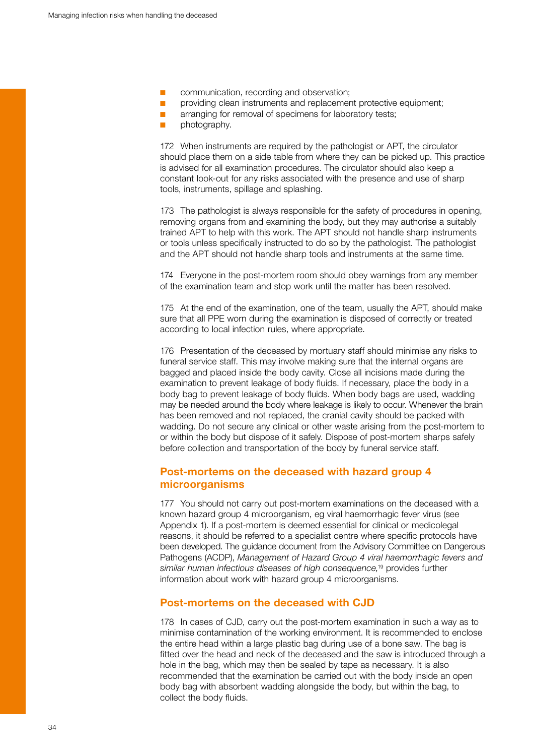- communication, recording and observation;
- providing clean instruments and replacement protective equipment;
- arranging for removal of specimens for laboratory tests;
- photography.

172 When instruments are required by the pathologist or APT, the circulator should place them on a side table from where they can be picked up. This practice is advised for all examination procedures. The circulator should also keep a constant look-out for any risks associated with the presence and use of sharp tools, instruments, spillage and splashing.

173 The pathologist is always responsible for the safety of procedures in opening, removing organs from and examining the body, but they may authorise a suitably trained APT to help with this work. The APT should not handle sharp instruments or tools unless specifically instructed to do so by the pathologist. The pathologist and the APT should not handle sharp tools and instruments at the same time.

174 Everyone in the post-mortem room should obey warnings from any member of the examination team and stop work until the matter has been resolved.

175 At the end of the examination, one of the team, usually the APT, should make sure that all PPE worn during the examination is disposed of correctly or treated according to local infection rules, where appropriate.

176 Presentation of the deceased by mortuary staff should minimise any risks to funeral service staff. This may involve making sure that the internal organs are bagged and placed inside the body cavity. Close all incisions made during the examination to prevent leakage of body fluids. If necessary, place the body in a body bag to prevent leakage of body fluids. When body bags are used, wadding may be needed around the body where leakage is likely to occur. Whenever the brain has been removed and not replaced, the cranial cavity should be packed with wadding. Do not secure any clinical or other waste arising from the post-mortem to or within the body but dispose of it safely. Dispose of post-mortem sharps safely before collection and transportation of the body by funeral service staff.

#### Post-mortems on the deceased with hazard group 4 microorganisms

177 You should not carry out post-mortem examinations on the deceased with a known hazard group 4 microorganism, eg viral haemorrhagic fever virus (see Appendix 1). If a post-mortem is deemed essential for clinical or medicolegal reasons, it should be referred to a specialist centre where specific protocols have been developed. The guidance document from the Advisory Committee on Dangerous Pathogens (ACDP), *Management of Hazard Group 4 viral haemorrhagic fevers and similar human infectious diseases of high consequence,*19 provides further information about work with hazard group 4 microorganisms.

#### Post-mortems on the deceased with CJD

178 In cases of CJD, carry out the post-mortem examination in such a way as to minimise contamination of the working environment. It is recommended to enclose the entire head within a large plastic bag during use of a bone saw. The bag is fitted over the head and neck of the deceased and the saw is introduced through a hole in the bag, which may then be sealed by tape as necessary. It is also recommended that the examination be carried out with the body inside an open body bag with absorbent wadding alongside the body, but within the bag, to collect the body fluids.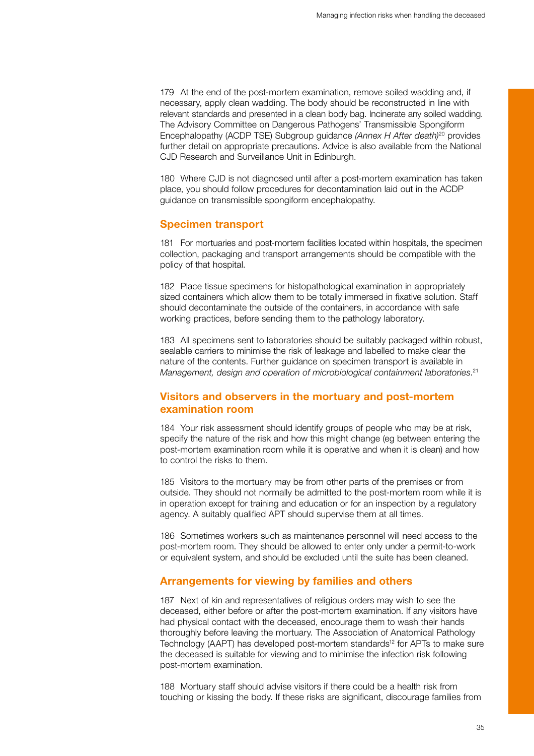179 At the end of the post-mortem examination, remove soiled wadding and, if necessary, apply clean wadding. The body should be reconstructed in line with relevant standards and presented in a clean body bag. Incinerate any soiled wadding. The Advisory Committee on Dangerous Pathogens' Transmissible Spongiform Encephalopathy (ACDP TSE) Subgroup guidance *(Annex H After death)*20 provides further detail on appropriate precautions. Advice is also available from the National CJD Research and Surveillance Unit in Edinburgh.

180 Where CJD is not diagnosed until after a post-mortem examination has taken place, you should follow procedures for decontamination laid out in the ACDP guidance on transmissible spongiform encephalopathy.

#### Specimen transport

181 For mortuaries and post-mortem facilities located within hospitals, the specimen collection, packaging and transport arrangements should be compatible with the policy of that hospital.

182 Place tissue specimens for histopathological examination in appropriately sized containers which allow them to be totally immersed in fixative solution. Staff should decontaminate the outside of the containers, in accordance with safe working practices, before sending them to the pathology laboratory.

183 All specimens sent to laboratories should be suitably packaged within robust, sealable carriers to minimise the risk of leakage and labelled to make clear the nature of the contents. Further guidance on specimen transport is available in *Management, design and operation of microbiological containment laboratories*. 21

#### Visitors and observers in the mortuary and post-mortem examination room

184 Your risk assessment should identify groups of people who may be at risk, specify the nature of the risk and how this might change (eg between entering the post-mortem examination room while it is operative and when it is clean) and how to control the risks to them.

185 Visitors to the mortuary may be from other parts of the premises or from outside. They should not normally be admitted to the post-mortem room while it is in operation except for training and education or for an inspection by a regulatory agency. A suitably qualified APT should supervise them at all times.

186 Sometimes workers such as maintenance personnel will need access to the post-mortem room. They should be allowed to enter only under a permit-to-work or equivalent system, and should be excluded until the suite has been cleaned.

#### Arrangements for viewing by families and others

187 Next of kin and representatives of religious orders may wish to see the deceased, either before or after the post-mortem examination. If any visitors have had physical contact with the deceased, encourage them to wash their hands thoroughly before leaving the mortuary. The Association of Anatomical Pathology Technology (AAPT) has developed post-mortem standards<sup>12</sup> for APTs to make sure the deceased is suitable for viewing and to minimise the infection risk following post-mortem examination.

188 Mortuary staff should advise visitors if there could be a health risk from touching or kissing the body. If these risks are significant, discourage families from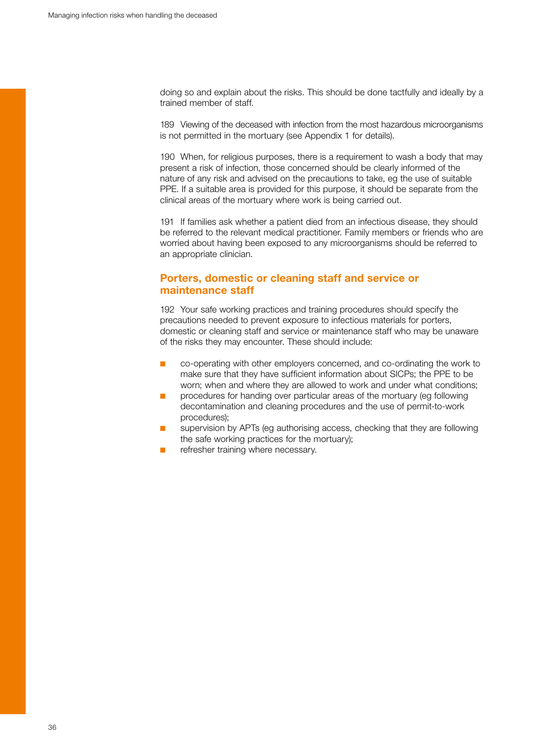doing so and explain about the risks. This should be done tactfully and ideally by a trained member of staff.

189 Viewing of the deceased with infection from the most hazardous microorganisms is not permitted in the mortuary (see Appendix 1 for details).

190 When, for religious purposes, there is a requirement to wash a body that may present a risk of infection, those concerned should be clearly informed of the nature of any risk and advised on the precautions to take, eg the use of suitable PPE. If a suitable area is provided for this purpose, it should be separate from the clinical areas of the mortuary where work is being carried out.

191 If families ask whether a patient died from an infectious disease, they should be referred to the relevant medical practitioner. Family members or friends who are worried about having been exposed to any microorganisms should be referred to an appropriate clinician.

#### Porters, domestic or cleaning staff and service or maintenance staff

192 Your safe working practices and training procedures should specify the precautions needed to prevent exposure to infectious materials for porters, domestic or cleaning staff and service or maintenance staff who may be unaware of the risks they may encounter. These should include:

- co-operating with other employers concerned, and co-ordinating the work to make sure that they have sufficient information about SICPs; the PPE to be worn; when and where they are allowed to work and under what conditions;
- procedures for handing over particular areas of the mortuary (eg following decontamination and cleaning procedures and the use of permit-to-work procedures);
- supervision by APTs (eg authorising access, checking that they are following the safe working practices for the mortuary);
- refresher training where necessary.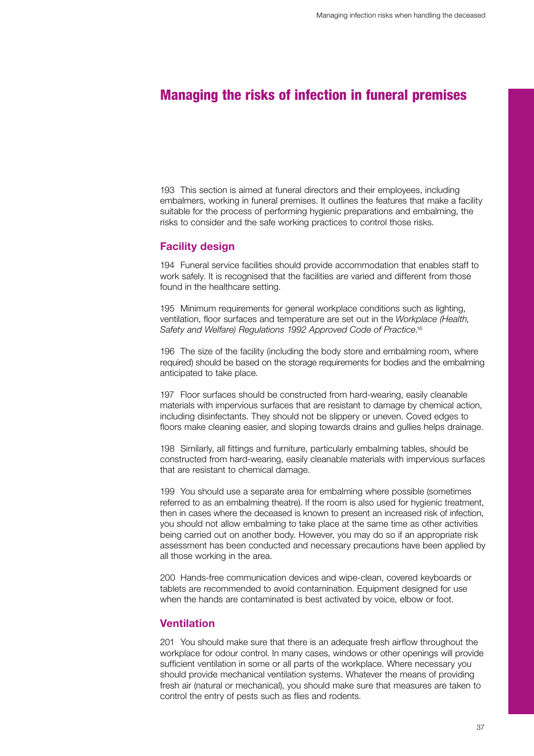# <span id="page-36-0"></span>Managing the risks of infection in funeral premises

193 This section is aimed at funeral directors and their employees, including embalmers, working in funeral premises. It outlines the features that make a facility suitable for the process of performing hygienic preparations and embalming, the risks to consider and the safe working practices to control those risks.

#### Facility design

194 Funeral service facilities should provide accommodation that enables staff to work safely. It is recognised that the facilities are varied and different from those found in the healthcare setting.

195 Minimum requirements for general workplace conditions such as lighting, ventilation, floor surfaces and temperature are set out in the *Workplace (Health, Safety and Welfare) Regulations 1992 Approved Code of Practice*. 16

196 The size of the facility (including the body store and embalming room, where required) should be based on the storage requirements for bodies and the embalming anticipated to take place.

197 Floor surfaces should be constructed from hard-wearing, easily cleanable materials with impervious surfaces that are resistant to damage by chemical action, including disinfectants. They should not be slippery or uneven. Coved edges to floors make cleaning easier, and sloping towards drains and gullies helps drainage.

198 Similarly, all fittings and furniture, particularly embalming tables, should be constructed from hard-wearing, easily cleanable materials with impervious surfaces that are resistant to chemical damage.

199 You should use a separate area for embalming where possible (sometimes referred to as an embalming theatre). If the room is also used for hygienic treatment, then in cases where the deceased is known to present an increased risk of infection, you should not allow embalming to take place at the same time as other activities being carried out on another body. However, you may do so if an appropriate risk assessment has been conducted and necessary precautions have been applied by all those working in the area.

200 Hands-free communication devices and wipe-clean, covered keyboards or tablets are recommended to avoid contamination. Equipment designed for use when the hands are contaminated is best activated by voice, elbow or foot.

#### **Ventilation**

201 You should make sure that there is an adequate fresh airflow throughout the workplace for odour control. In many cases, windows or other openings will provide sufficient ventilation in some or all parts of the workplace. Where necessary you should provide mechanical ventilation systems. Whatever the means of providing fresh air (natural or mechanical), you should make sure that measures are taken to control the entry of pests such as flies and rodents.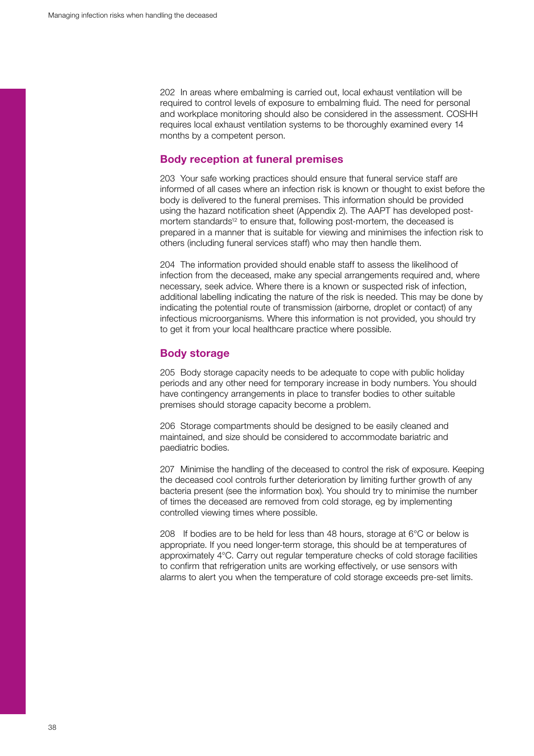202 In areas where embalming is carried out, local exhaust ventilation will be required to control levels of exposure to embalming fluid. The need for personal and workplace monitoring should also be considered in the assessment. COSHH requires local exhaust ventilation systems to be thoroughly examined every 14 months by a competent person.

#### Body reception at funeral premises

203 Your safe working practices should ensure that funeral service staff are informed of all cases where an infection risk is known or thought to exist before the body is delivered to the funeral premises. This information should be provided using the hazard notification sheet (Appendix 2). The AAPT has developed postmortem standards<sup>12</sup> to ensure that, following post-mortem, the deceased is prepared in a manner that is suitable for viewing and minimises the infection risk to others (including funeral services staff) who may then handle them.

204 The information provided should enable staff to assess the likelihood of infection from the deceased, make any special arrangements required and, where necessary, seek advice. Where there is a known or suspected risk of infection, additional labelling indicating the nature of the risk is needed. This may be done by indicating the potential route of transmission (airborne, droplet or contact) of any infectious microorganisms. Where this information is not provided, you should try to get it from your local healthcare practice where possible.

#### Body storage

205 Body storage capacity needs to be adequate to cope with public holiday periods and any other need for temporary increase in body numbers. You should have contingency arrangements in place to transfer bodies to other suitable premises should storage capacity become a problem.

206 Storage compartments should be designed to be easily cleaned and maintained, and size should be considered to accommodate bariatric and paediatric bodies.

207 Minimise the handling of the deceased to control the risk of exposure. Keeping the deceased cool controls further deterioration by limiting further growth of any bacteria present (see the information box). You should try to minimise the number of times the deceased are removed from cold storage, eg by implementing controlled viewing times where possible.

208 If bodies are to be held for less than 48 hours, storage at 6°C or below is appropriate. If you need longer-term storage, this should be at temperatures of approximately 4°C. Carry out regular temperature checks of cold storage facilities to confirm that refrigeration units are working effectively, or use sensors with alarms to alert you when the temperature of cold storage exceeds pre-set limits.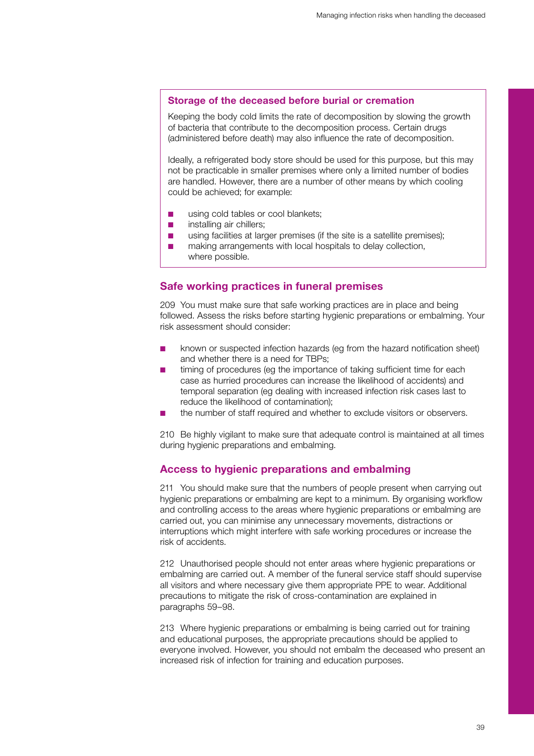#### Storage of the deceased before burial or cremation

Keeping the body cold limits the rate of decomposition by slowing the growth of bacteria that contribute to the decomposition process. Certain drugs (administered before death) may also influence the rate of decomposition.

Ideally, a refrigerated body store should be used for this purpose, but this may not be practicable in smaller premises where only a limited number of bodies are handled. However, there are a number of other means by which cooling could be achieved; for example:

- using cold tables or cool blankets;
- installing air chillers:
- using facilities at larger premises (if the site is a satellite premises);
- making arrangements with local hospitals to delay collection,

where possible.

#### Safe working practices in funeral premises

209 You must make sure that safe working practices are in place and being followed. Assess the risks before starting hygienic preparations or embalming. Your risk assessment should consider:

- known or suspected infection hazards (eg from the hazard notification sheet) and whether there is a need for TBPs;
- timing of procedures (eg the importance of taking sufficient time for each case as hurried procedures can increase the likelihood of accidents) and temporal separation (eg dealing with increased infection risk cases last to reduce the likelihood of contamination);
- the number of staff required and whether to exclude visitors or observers.

210 Be highly vigilant to make sure that adequate control is maintained at all times during hygienic preparations and embalming.

#### Access to hygienic preparations and embalming

211 You should make sure that the numbers of people present when carrying out hygienic preparations or embalming are kept to a minimum. By organising workflow and controlling access to the areas where hygienic preparations or embalming are carried out, you can minimise any unnecessary movements, distractions or interruptions which might interfere with safe working procedures or increase the risk of accidents.

212 Unauthorised people should not enter areas where hygienic preparations or embalming are carried out. A member of the funeral service staff should supervise all visitors and where necessary give them appropriate PPE to wear. Additional precautions to mitigate the risk of cross-contamination are explained in paragraphs 59–98.

213 Where hygienic preparations or embalming is being carried out for training and educational purposes, the appropriate precautions should be applied to everyone involved. However, you should not embalm the deceased who present an increased risk of infection for training and education purposes.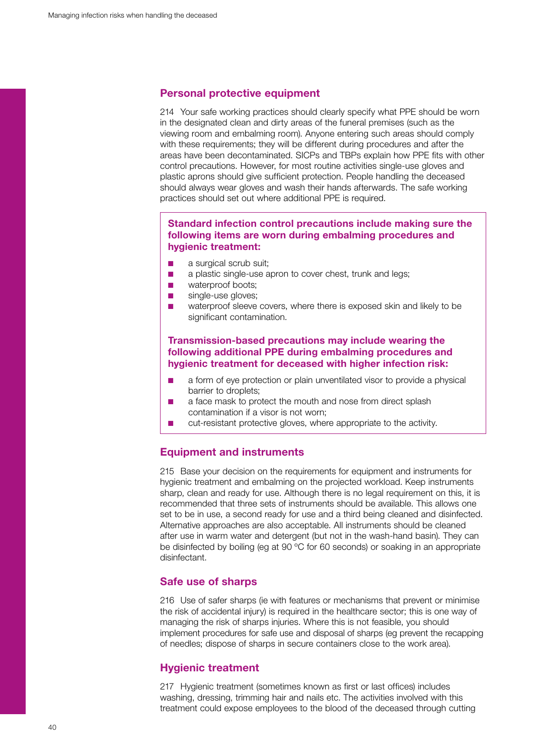#### Personal protective equipment

214 Your safe working practices should clearly specify what PPE should be worn in the designated clean and dirty areas of the funeral premises (such as the viewing room and embalming room). Anyone entering such areas should comply with these requirements; they will be different during procedures and after the areas have been decontaminated. SICPs and TBPs explain how PPE fits with other control precautions. However, for most routine activities single-use gloves and plastic aprons should give sufficient protection. People handling the deceased should always wear gloves and wash their hands afterwards. The safe working practices should set out where additional PPE is required.

#### Standard infection control precautions include making sure the following items are worn during embalming procedures and hygienic treatment:

- a surgical scrub suit;
- a plastic single-use apron to cover chest, trunk and legs;
- waterproof boots;
- single-use gloves;
- waterproof sleeve covers, where there is exposed skin and likely to be significant contamination.

#### Transmission-based precautions may include wearing the following additional PPE during embalming procedures and hygienic treatment for deceased with higher infection risk:

- a form of eye protection or plain unventilated visor to provide a physical barrier to droplets;
- a face mask to protect the mouth and nose from direct splash contamination if a visor is not worn;
- cut-resistant protective gloves, where appropriate to the activity.

#### Equipment and instruments

215 Base your decision on the requirements for equipment and instruments for hygienic treatment and embalming on the projected workload. Keep instruments sharp, clean and ready for use. Although there is no legal requirement on this, it is recommended that three sets of instruments should be available. This allows one set to be in use, a second ready for use and a third being cleaned and disinfected. Alternative approaches are also acceptable. All instruments should be cleaned after use in warm water and detergent (but not in the wash-hand basin). They can be disinfected by boiling (eg at 90 ºC for 60 seconds) or soaking in an appropriate disinfectant.

#### Safe use of sharps

216 Use of safer sharps (ie with features or mechanisms that prevent or minimise the risk of accidental injury) is required in the healthcare sector; this is one way of managing the risk of sharps injuries. Where this is not feasible, you should implement procedures for safe use and disposal of sharps (eg prevent the recapping of needles; dispose of sharps in secure containers close to the work area).

#### Hygienic treatment

217 Hygienic treatment (sometimes known as first or last offices) includes washing, dressing, trimming hair and nails etc. The activities involved with this treatment could expose employees to the blood of the deceased through cutting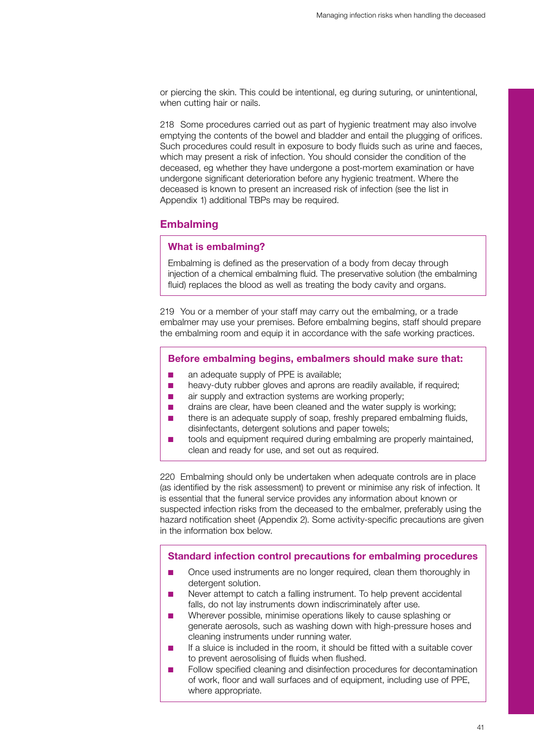or piercing the skin. This could be intentional, eg during suturing, or unintentional, when cutting hair or nails.

218 Some procedures carried out as part of hygienic treatment may also involve emptying the contents of the bowel and bladder and entail the plugging of orifices. Such procedures could result in exposure to body fluids such as urine and faeces, which may present a risk of infection. You should consider the condition of the deceased, eg whether they have undergone a post-mortem examination or have undergone significant deterioration before any hygienic treatment. Where the deceased is known to present an increased risk of infection (see the list in Appendix 1) additional TBPs may be required.

#### **Embalming**

#### What is embalming?

Embalming is defined as the preservation of a body from decay through injection of a chemical embalming fluid. The preservative solution (the embalming fluid) replaces the blood as well as treating the body cavity and organs.

219 You or a member of your staff may carry out the embalming, or a trade embalmer may use your premises. Before embalming begins, staff should prepare the embalming room and equip it in accordance with the safe working practices.

#### Before embalming begins, embalmers should make sure that:

- an adequate supply of PPE is available;
- heavy-duty rubber gloves and aprons are readily available, if required;
- air supply and extraction systems are working properly;
- drains are clear, have been cleaned and the water supply is working;
- there is an adequate supply of soap, freshly prepared embalming fluids, disinfectants, detergent solutions and paper towels;
- tools and equipment required during embalming are properly maintained, clean and ready for use, and set out as required.

220 Embalming should only be undertaken when adequate controls are in place (as identified by the risk assessment) to prevent or minimise any risk of infection. It is essential that the funeral service provides any information about known or suspected infection risks from the deceased to the embalmer, preferably using the hazard notification sheet (Appendix 2). Some activity-specific precautions are given in the information box below.

#### Standard infection control precautions for embalming procedures

- Once used instruments are no longer required, clean them thoroughly in detergent solution.
- Never attempt to catch a falling instrument. To help prevent accidental falls, do not lay instruments down indiscriminately after use.
- Wherever possible, minimise operations likely to cause splashing or generate aerosols, such as washing down with high-pressure hoses and cleaning instruments under running water.
- If a sluice is included in the room, it should be fitted with a suitable cover to prevent aerosolising of fluids when flushed.
- Follow specified cleaning and disinfection procedures for decontamination of work, floor and wall surfaces and of equipment, including use of PPE, where appropriate.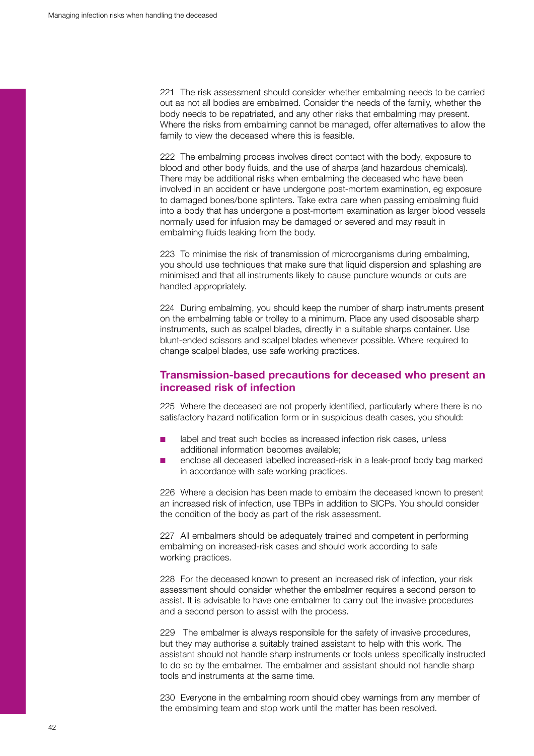221 The risk assessment should consider whether embalming needs to be carried out as not all bodies are embalmed. Consider the needs of the family, whether the body needs to be repatriated, and any other risks that embalming may present. Where the risks from embalming cannot be managed, offer alternatives to allow the family to view the deceased where this is feasible.

222 The embalming process involves direct contact with the body, exposure to blood and other body fluids, and the use of sharps (and hazardous chemicals). There may be additional risks when embalming the deceased who have been involved in an accident or have undergone post-mortem examination, eg exposure to damaged bones/bone splinters. Take extra care when passing embalming fluid into a body that has undergone a post-mortem examination as larger blood vessels normally used for infusion may be damaged or severed and may result in embalming fluids leaking from the body.

223 To minimise the risk of transmission of microorganisms during embalming, you should use techniques that make sure that liquid dispersion and splashing are minimised and that all instruments likely to cause puncture wounds or cuts are handled appropriately.

224 During embalming, you should keep the number of sharp instruments present on the embalming table or trolley to a minimum. Place any used disposable sharp instruments, such as scalpel blades, directly in a suitable sharps container. Use blunt-ended scissors and scalpel blades whenever possible. Where required to change scalpel blades, use safe working practices.

#### Transmission-based precautions for deceased who present an increased risk of infection

225 Where the deceased are not properly identified, particularly where there is no satisfactory hazard notification form or in suspicious death cases, you should:

- label and treat such bodies as increased infection risk cases, unless additional information becomes available;
- enclose all deceased labelled increased-risk in a leak-proof body bag marked in accordance with safe working practices.

226 Where a decision has been made to embalm the deceased known to present an increased risk of infection, use TBPs in addition to SICPs. You should consider the condition of the body as part of the risk assessment.

227 All embalmers should be adequately trained and competent in performing embalming on increased-risk cases and should work according to safe working practices.

228 For the deceased known to present an increased risk of infection, your risk assessment should consider whether the embalmer requires a second person to assist. It is advisable to have one embalmer to carry out the invasive procedures and a second person to assist with the process.

229 The embalmer is always responsible for the safety of invasive procedures, but they may authorise a suitably trained assistant to help with this work. The assistant should not handle sharp instruments or tools unless specifically instructed to do so by the embalmer. The embalmer and assistant should not handle sharp tools and instruments at the same time.

230 Everyone in the embalming room should obey warnings from any member of the embalming team and stop work until the matter has been resolved.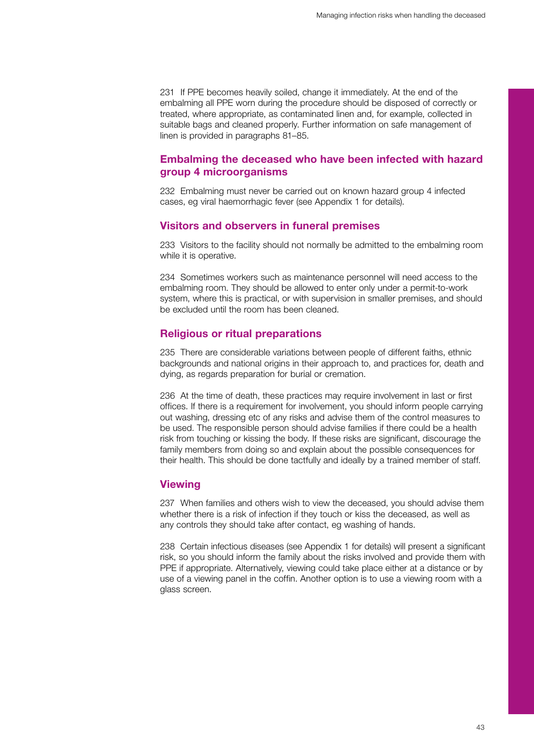231 If PPE becomes heavily soiled, change it immediately. At the end of the embalming all PPE worn during the procedure should be disposed of correctly or treated, where appropriate, as contaminated linen and, for example, collected in suitable bags and cleaned properly. Further information on safe management of linen is provided in paragraphs 81–85.

#### Embalming the deceased who have been infected with hazard group 4 microorganisms

232 Embalming must never be carried out on known hazard group 4 infected cases, eg viral haemorrhagic fever (see Appendix 1 for details).

#### Visitors and observers in funeral premises

233 Visitors to the facility should not normally be admitted to the embalming room while it is operative.

234 Sometimes workers such as maintenance personnel will need access to the embalming room. They should be allowed to enter only under a permit-to-work system, where this is practical, or with supervision in smaller premises, and should be excluded until the room has been cleaned.

#### Religious or ritual preparations

235 There are considerable variations between people of different faiths, ethnic backgrounds and national origins in their approach to, and practices for, death and dying, as regards preparation for burial or cremation.

236 At the time of death, these practices may require involvement in last or first offices. If there is a requirement for involvement, you should inform people carrying out washing, dressing etc of any risks and advise them of the control measures to be used. The responsible person should advise families if there could be a health risk from touching or kissing the body. If these risks are significant, discourage the family members from doing so and explain about the possible consequences for their health. This should be done tactfully and ideally by a trained member of staff.

#### Viewing

237 When families and others wish to view the deceased, you should advise them whether there is a risk of infection if they touch or kiss the deceased, as well as any controls they should take after contact, eg washing of hands.

238 Certain infectious diseases (see Appendix 1 for details) will present a significant risk, so you should inform the family about the risks involved and provide them with PPE if appropriate. Alternatively, viewing could take place either at a distance or by use of a viewing panel in the coffin. Another option is to use a viewing room with a glass screen.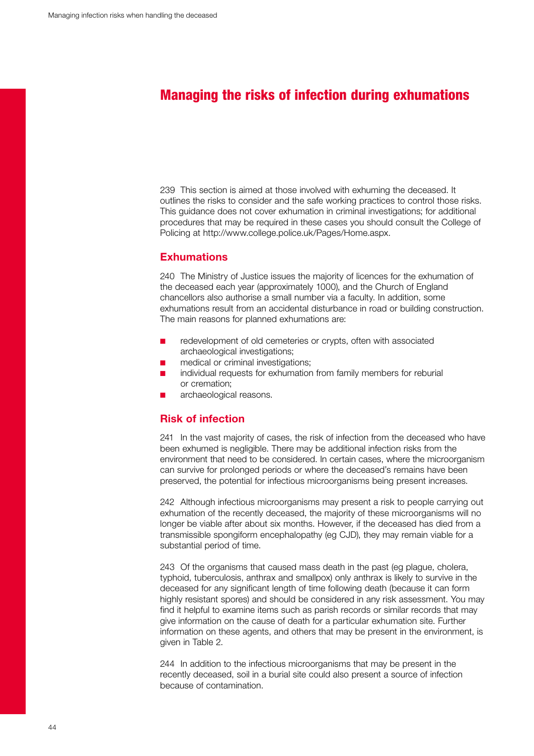# <span id="page-43-0"></span>Managing the risks of infection during exhumations

239 This section is aimed at those involved with exhuming the deceased. It outlines the risks to consider and the safe working practices to control those risks. This guidance does not cover exhumation in criminal investigations; for additional procedures that may be required in these cases you should consult the College of Policing at [http://www.college.police.uk/Pages/Home.aspx.](http://www.college.police.uk/Pages/Home.aspx)

#### **Exhumations**

240 The Ministry of Justice issues the majority of licences for the exhumation of the deceased each year (approximately 1000), and the Church of England chancellors also authorise a small number via a faculty. In addition, some exhumations result from an accidental disturbance in road or building construction. The main reasons for planned exhumations are:

- redevelopment of old cemeteries or crypts, often with associated archaeological investigations;
- medical or criminal investigations;
- individual requests for exhumation from family members for reburial or cremation;
- archaeological reasons.

#### Risk of infection

241 In the vast majority of cases, the risk of infection from the deceased who have been exhumed is negligible. There may be additional infection risks from the environment that need to be considered. In certain cases, where the microorganism can survive for prolonged periods or where the deceased's remains have been preserved, the potential for infectious microorganisms being present increases.

242 Although infectious microorganisms may present a risk to people carrying out exhumation of the recently deceased, the majority of these microorganisms will no longer be viable after about six months. However, if the deceased has died from a transmissible spongiform encephalopathy (eg CJD), they may remain viable for a substantial period of time.

243 Of the organisms that caused mass death in the past (eg plague, cholera, typhoid, tuberculosis, anthrax and smallpox) only anthrax is likely to survive in the deceased for any significant length of time following death (because it can form highly resistant spores) and should be considered in any risk assessment. You may find it helpful to examine items such as parish records or similar records that may give information on the cause of death for a particular exhumation site. Further information on these agents, and others that may be present in the environment, is given in Table 2.

244 In addition to the infectious microorganisms that may be present in the recently deceased, soil in a burial site could also present a source of infection because of contamination.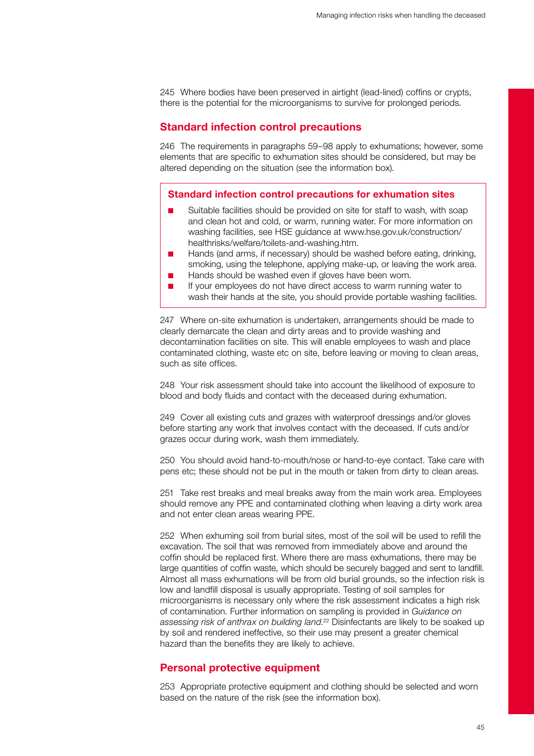245 Where bodies have been preserved in airtight (lead-lined) coffins or crypts, there is the potential for the microorganisms to survive for prolonged periods.

#### Standard infection control precautions

246 The requirements in paragraphs 59–98 apply to exhumations; however, some elements that are specific to exhumation sites should be considered, but may be altered depending on the situation (see the information box).

#### Standard infection control precautions for exhumation sites

- Suitable facilities should be provided on site for staff to wash, with soap and clean hot and cold, or warm, running water. For more information on washing facilities, see HSE guidance at [www.hse.gov.uk/construction/](http://www.hse.gov.uk/construction/healthrisks/welfare/toilets-and-washing.htm) [healthrisks/welfare/toilets-and-washing.htm](http://www.hse.gov.uk/construction/healthrisks/welfare/toilets-and-washing.htm).
- Hands (and arms, if necessary) should be washed before eating, drinking, smoking, using the telephone, applying make-up, or leaving the work area.
- Hands should be washed even if gloves have been worn.
- If your employees do not have direct access to warm running water to wash their hands at the site, you should provide portable washing facilities.

247 Where on-site exhumation is undertaken, arrangements should be made to clearly demarcate the clean and dirty areas and to provide washing and decontamination facilities on site. This will enable employees to wash and place contaminated clothing, waste etc on site, before leaving or moving to clean areas, such as site offices.

248 Your risk assessment should take into account the likelihood of exposure to blood and body fluids and contact with the deceased during exhumation.

249 Cover all existing cuts and grazes with waterproof dressings and/or gloves before starting any work that involves contact with the deceased. If cuts and/or grazes occur during work, wash them immediately.

250 You should avoid hand-to-mouth/nose or hand-to-eye contact. Take care with pens etc; these should not be put in the mouth or taken from dirty to clean areas.

251 Take rest breaks and meal breaks away from the main work area. Employees should remove any PPE and contaminated clothing when leaving a dirty work area and not enter clean areas wearing PPE.

252 When exhuming soil from burial sites, most of the soil will be used to refill the excavation. The soil that was removed from immediately above and around the coffin should be replaced first. Where there are mass exhumations, there may be large quantities of coffin waste, which should be securely bagged and sent to landfill. Almost all mass exhumations will be from old burial grounds, so the infection risk is low and landfill disposal is usually appropriate. Testing of soil samples for microorganisms is necessary only where the risk assessment indicates a high risk of contamination. Further information on sampling is provided in *Guidance on assessing risk of anthrax on building land*. 22 Disinfectants are likely to be soaked up by soil and rendered ineffective, so their use may present a greater chemical hazard than the benefits they are likely to achieve.

#### Personal protective equipment

253 Appropriate protective equipment and clothing should be selected and worn based on the nature of the risk (see the information box).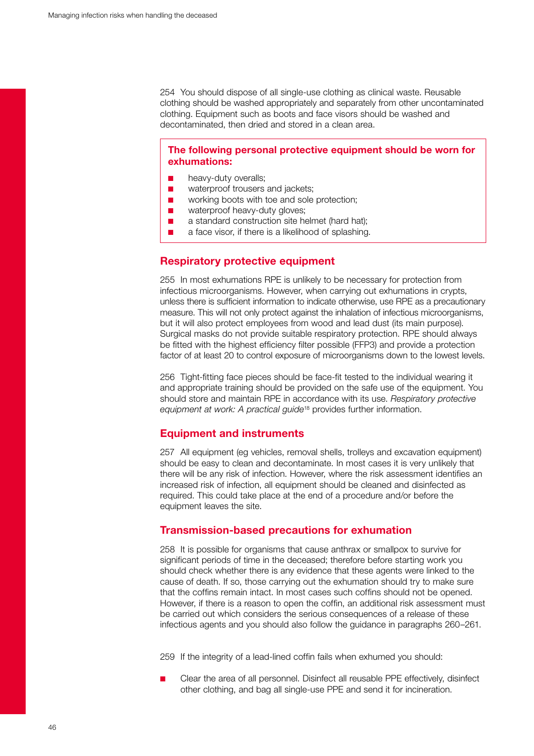254 You should dispose of all single-use clothing as clinical waste. Reusable clothing should be washed appropriately and separately from other uncontaminated clothing. Equipment such as boots and face visors should be washed and decontaminated, then dried and stored in a clean area.

#### The following personal protective equipment should be worn for exhumations:

- **■** heavy-duty overalls;
- waterproof trousers and jackets;
- working boots with toe and sole protection;
- waterproof heavy-duty gloves;
- a standard construction site helmet (hard hat);
- a face visor, if there is a likelihood of splashing.

#### Respiratory protective equipment

255 In most exhumations RPE is unlikely to be necessary for protection from infectious microorganisms. However, when carrying out exhumations in crypts, unless there is sufficient information to indicate otherwise, use RPE as a precautionary measure. This will not only protect against the inhalation of infectious microorganisms, but it will also protect employees from wood and lead dust (its main purpose). Surgical masks do not provide suitable respiratory protection. RPE should always be fitted with the highest efficiency filter possible (FFP3) and provide a protection factor of at least 20 to control exposure of microorganisms down to the lowest levels.

256 Tight-fitting face pieces should be face-fit tested to the individual wearing it and appropriate training should be provided on the safe use of the equipment. You should store and maintain RPE in accordance with its use. *Respiratory protective equipment at work: A practical guide*18 provides further information.

#### Equipment and instruments

257 All equipment (eg vehicles, removal shells, trolleys and excavation equipment) should be easy to clean and decontaminate. In most cases it is very unlikely that there will be any risk of infection. However, where the risk assessment identifies an increased risk of infection, all equipment should be cleaned and disinfected as required. This could take place at the end of a procedure and/or before the equipment leaves the site.

#### Transmission-based precautions for exhumation

258 It is possible for organisms that cause anthrax or smallpox to survive for significant periods of time in the deceased; therefore before starting work you should check whether there is any evidence that these agents were linked to the cause of death. If so, those carrying out the exhumation should try to make sure that the coffins remain intact. In most cases such coffins should not be opened. However, if there is a reason to open the coffin, an additional risk assessment must be carried out which considers the serious consequences of a release of these infectious agents and you should also follow the guidance in paragraphs 260–261.

259 If the integrity of a lead-lined coffin fails when exhumed you should:

Clear the area of all personnel. Disinfect all reusable PPE effectively, disinfect other clothing, and bag all single-use PPE and send it for incineration.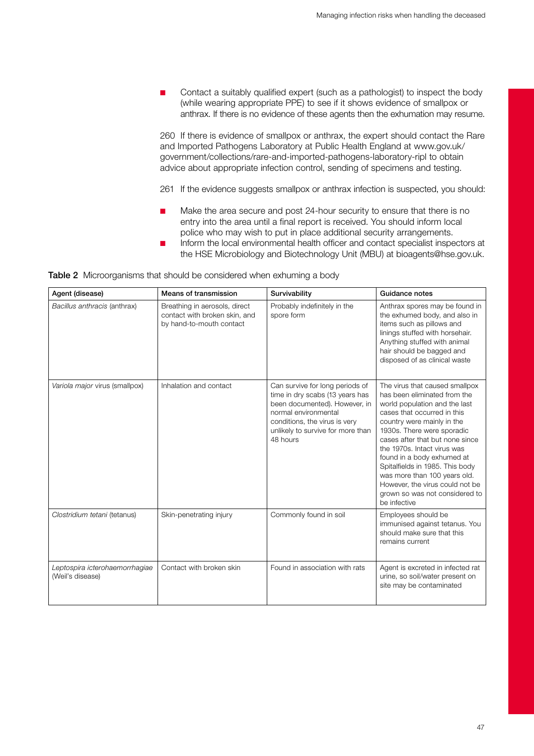Contact a suitably qualified expert (such as a pathologist) to inspect the body (while wearing appropriate PPE) to see if it shows evidence of smallpox or anthrax. If there is no evidence of these agents then the exhumation may resume.

260 If there is evidence of smallpox or anthrax, the expert should contact the Rare and Imported Pathogens Laboratory at Public Health England at [www.gov.uk/](http://www.gov.uk/government/collections/rare-and-imported-pathogens-laboratory-ripl) [government/collections/rare-and-imported-pathogens-laboratory-ripl](http://www.gov.uk/government/collections/rare-and-imported-pathogens-laboratory-ripl) to obtain advice about appropriate infection control, sending of specimens and testing.

261 If the evidence suggests smallpox or anthrax infection is suspected, you should:

- Make the area secure and post 24-hour security to ensure that there is no entry into the area until a final report is received. You should inform local police who may wish to put in place additional security arrangements.
- Inform the local environmental health officer and contact specialist inspectors at the HSE Microbiology and Biotechnology Unit (MBU) at [bioagents@hse.gov.uk](mailto:bioagents@hse.gov.uk).

| Table 2 Microorganisms that should be considered when exhuming a body |  |  |  |
|-----------------------------------------------------------------------|--|--|--|
|                                                                       |  |  |  |

| Agent (disease)                                    | <b>Means of transmission</b>                                                               | Survivability                                                                                                                                                                                                 | Guidance notes                                                                                                                                                                                                                                                                                                                                                                                                                                     |
|----------------------------------------------------|--------------------------------------------------------------------------------------------|---------------------------------------------------------------------------------------------------------------------------------------------------------------------------------------------------------------|----------------------------------------------------------------------------------------------------------------------------------------------------------------------------------------------------------------------------------------------------------------------------------------------------------------------------------------------------------------------------------------------------------------------------------------------------|
| Bacillus anthracis (anthrax)                       | Breathing in aerosols, direct<br>contact with broken skin, and<br>by hand-to-mouth contact | Probably indefinitely in the<br>spore form                                                                                                                                                                    | Anthrax spores may be found in<br>the exhumed body, and also in<br>items such as pillows and<br>linings stuffed with horsehair.<br>Anything stuffed with animal<br>hair should be bagged and<br>disposed of as clinical waste                                                                                                                                                                                                                      |
| Variola major virus (smallpox)                     | Inhalation and contact                                                                     | Can survive for long periods of<br>time in dry scabs (13 years has<br>been documented). However, in<br>normal environmental<br>conditions, the virus is very<br>unlikely to survive for more than<br>48 hours | The virus that caused smallpox<br>has been eliminated from the<br>world population and the last<br>cases that occurred in this<br>country were mainly in the<br>1930s. There were sporadic<br>cases after that but none since<br>the 1970s. Intact virus was<br>found in a body exhumed at<br>Spitalfields in 1985. This body<br>was more than 100 years old.<br>However, the virus could not be<br>grown so was not considered to<br>be infective |
| Clostridium tetani (tetanus)                       | Skin-penetrating injury                                                                    | Commonly found in soil                                                                                                                                                                                        | Employees should be<br>immunised against tetanus. You<br>should make sure that this<br>remains current                                                                                                                                                                                                                                                                                                                                             |
| Leptospira icterohaemorrhagiae<br>(Weil's disease) | Contact with broken skin                                                                   | Found in association with rats                                                                                                                                                                                | Agent is excreted in infected rat<br>urine, so soil/water present on<br>site may be contaminated                                                                                                                                                                                                                                                                                                                                                   |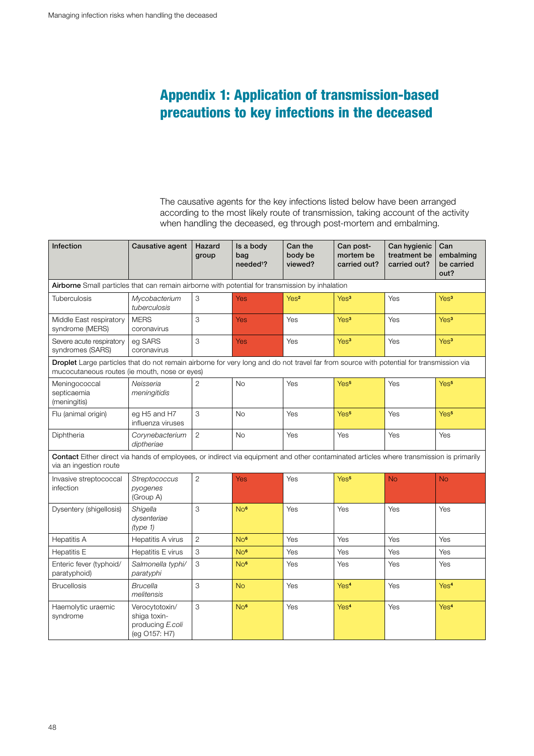# <span id="page-47-0"></span>Appendix 1: Application of transmission-based precautions to key infections in the deceased

The causative agents for the key infections listed below have been arranged according to the most likely route of transmission, taking account of the activity when handling the deceased, eg through post-mortem and embalming.

| Infection                                                                                                                                                                                | Causative agent                                                     | Hazard<br>group | Is a body<br>bag<br>needed <sup>1</sup> ? | Can the<br>body be<br>viewed? | Can post-<br>mortem be<br>carried out? | Can hygienic<br>treatment be<br>carried out? | Can<br>embalming<br>be carried<br>out? |
|------------------------------------------------------------------------------------------------------------------------------------------------------------------------------------------|---------------------------------------------------------------------|-----------------|-------------------------------------------|-------------------------------|----------------------------------------|----------------------------------------------|----------------------------------------|
| Airborne Small particles that can remain airborne with potential for transmission by inhalation                                                                                          |                                                                     |                 |                                           |                               |                                        |                                              |                                        |
| <b>Tuberculosis</b>                                                                                                                                                                      | Mycobacterium<br>tuberculosis                                       | 3               | Yes                                       | Yes <sup>2</sup>              | Yes <sup>3</sup>                       | Yes                                          | Yes <sup>3</sup>                       |
| Middle East respiratory<br>syndrome (MERS)                                                                                                                                               | <b>MERS</b><br>coronavirus                                          | 3               | Yes                                       | Yes                           | Yes <sup>3</sup>                       | Yes                                          | Yes <sup>3</sup>                       |
| Severe acute respiratory<br>syndromes (SARS)                                                                                                                                             | eg SARS<br>coronavirus                                              | 3               | Yes                                       | Yes                           | Yes <sup>3</sup>                       | Yes                                          | Yes <sup>3</sup>                       |
| Droplet Large particles that do not remain airborne for very long and do not travel far from source with potential for transmission via<br>mucocutaneous routes (ie mouth, nose or eyes) |                                                                     |                 |                                           |                               |                                        |                                              |                                        |
| Meningococcal<br>septicaemia<br>(meningitis)                                                                                                                                             | Neisseria<br>meningitidis                                           | $\overline{2}$  | <b>No</b>                                 | Yes                           | Yes <sup>5</sup>                       | Yes                                          | Yes <sup>5</sup>                       |
| Flu (animal origin)                                                                                                                                                                      | eg H5 and H7<br>influenza viruses                                   | 3               | <b>No</b>                                 | Yes                           | Yes <sup>5</sup>                       | Yes                                          | Yes <sup>5</sup>                       |
| Diphtheria                                                                                                                                                                               | Corynebacterium<br>diptheriae                                       | $\overline{2}$  | <b>No</b>                                 | Yes                           | Yes                                    | Yes                                          | Yes                                    |
| Contact Either direct via hands of employees, or indirect via equipment and other contaminated articles where transmission is primarily<br>via an ingestion route                        |                                                                     |                 |                                           |                               |                                        |                                              |                                        |
| Invasive streptococcal<br>infection                                                                                                                                                      | Streptococcus<br>pyogenes<br>(Group A)                              | $\overline{2}$  | Yes                                       | Yes                           | Yes <sup>5</sup>                       | No                                           | <b>No</b>                              |
| Dysentery (shigellosis)                                                                                                                                                                  | Shigella<br>dysenteriae<br>$(t$ ype $1)$                            | 3               | No <sup>6</sup>                           | Yes                           | Yes                                    | Yes                                          | Yes                                    |
| Hepatitis A                                                                                                                                                                              | Hepatitis A virus                                                   | $\overline{c}$  | No <sup>6</sup>                           | Yes                           | Yes                                    | Yes                                          | Yes                                    |
| <b>Hepatitis E</b>                                                                                                                                                                       | Hepatitis E virus                                                   | 3               | No <sup>6</sup>                           | Yes                           | Yes                                    | Yes                                          | Yes                                    |
| Enteric fever (typhoid/<br>paratyphoid)                                                                                                                                                  | Salmonella typhi/<br>paratyphi                                      | 3               | No <sup>6</sup>                           | Yes                           | Yes                                    | Yes                                          | Yes                                    |
| <b>Brucellosis</b>                                                                                                                                                                       | <b>Brucella</b><br>melitensis                                       | 3               | <b>No</b>                                 | Yes                           | Yes <sup>4</sup>                       | Yes                                          | Yes <sup>4</sup>                       |
| Haemolytic uraemic<br>syndrome                                                                                                                                                           | Verocytotoxin/<br>shiga toxin-<br>producing E.coli<br>(eg O157: H7) | 3               | No <sup>6</sup>                           | Yes                           | Yes <sup>4</sup>                       | Yes                                          | Yes <sup>4</sup>                       |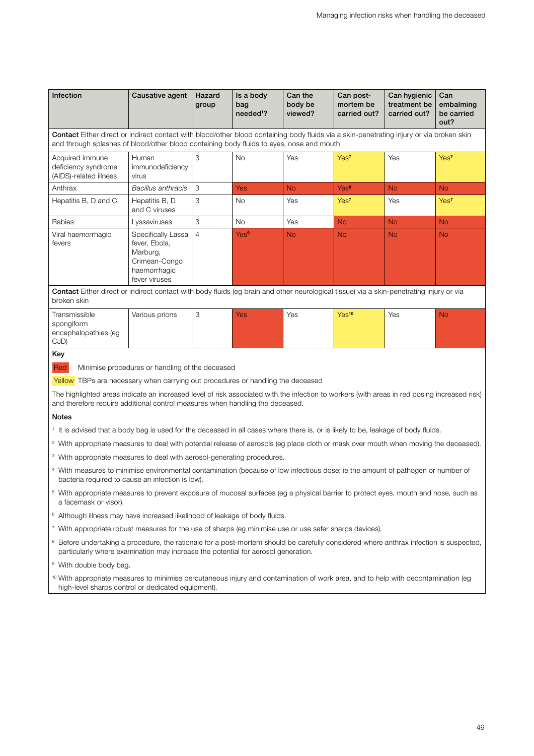| Infection                                                                                                                                                                                                                              | Causative agent                                                                                   | Hazard<br>group | Is a body<br>bag<br>needed <sup>1</sup> ? | Can the<br>body be<br>viewed? | Can post-<br>mortem be<br>carried out? | Can hygienic<br>treatment be<br>carried out? | Can<br>embalming<br>be carried<br>out? |  |
|----------------------------------------------------------------------------------------------------------------------------------------------------------------------------------------------------------------------------------------|---------------------------------------------------------------------------------------------------|-----------------|-------------------------------------------|-------------------------------|----------------------------------------|----------------------------------------------|----------------------------------------|--|
| Contact Either direct or indirect contact with blood/other blood containing body fluids via a skin-penetrating injury or via broken skin<br>and through splashes of blood/other blood containing body fluids to eyes, nose and mouth   |                                                                                                   |                 |                                           |                               |                                        |                                              |                                        |  |
| Acquired immune<br>deficiency syndrome<br>(AIDS)-related illness                                                                                                                                                                       | Human<br>immunodeficiency<br>virus                                                                | 3               | <b>No</b>                                 | Yes                           | Yes <sup>7</sup>                       | Yes                                          | Yes <sup>7</sup>                       |  |
| Anthrax                                                                                                                                                                                                                                | Bacillus anthracis                                                                                | 3               | <b>Yes</b>                                | <b>No</b>                     | Yes <sup>8</sup>                       | <b>No</b>                                    | <b>No</b>                              |  |
| Hepatitis B, D and C                                                                                                                                                                                                                   | Hepatitis B, D<br>and C viruses                                                                   | 3               | No                                        | Yes                           | Yes <sup>7</sup>                       | Yes                                          | Yes <sup>7</sup>                       |  |
| Rabies                                                                                                                                                                                                                                 | Lyssaviruses                                                                                      | 3               | <b>No</b>                                 | Yes                           | <b>No</b>                              | <b>No</b>                                    | <b>No</b>                              |  |
| Viral haemorrhagic<br>fevers                                                                                                                                                                                                           | Specifically Lassa<br>fever, Ebola,<br>Marburg,<br>Crimean-Congo<br>haemorrhagic<br>fever viruses | $\overline{4}$  | Yes <sup>9</sup>                          | <b>No</b>                     | <b>No</b>                              | <b>No</b>                                    | <b>No</b>                              |  |
| <b>Contact</b> Either direct or indirect contact with body fluids (eg brain and other neurological tissue) via a skin-penetrating injury or via<br>broken skin                                                                         |                                                                                                   |                 |                                           |                               |                                        |                                              |                                        |  |
| Transmissible<br>spongiform<br>encephalopathies (eg<br>CJD)                                                                                                                                                                            | Various prions                                                                                    | 3               | Yes                                       | Yes                           | Yes <sup>10</sup>                      | Yes                                          | <b>No</b>                              |  |
| Key                                                                                                                                                                                                                                    |                                                                                                   |                 |                                           |                               |                                        |                                              |                                        |  |
| Red                                                                                                                                                                                                                                    | Minimise procedures or handling of the deceased                                                   |                 |                                           |                               |                                        |                                              |                                        |  |
| <b>Yellow</b> TBPs are necessary when carrying out procedures or handling the deceased                                                                                                                                                 |                                                                                                   |                 |                                           |                               |                                        |                                              |                                        |  |
| The highlighted areas indicate an increased level of risk associated with the infection to workers (with areas in red posing increased risk)<br>and therefore require additional control measures when handling the deceased.          |                                                                                                   |                 |                                           |                               |                                        |                                              |                                        |  |
| <b>Notes</b>                                                                                                                                                                                                                           |                                                                                                   |                 |                                           |                               |                                        |                                              |                                        |  |
| <sup>1</sup> It is advised that a body bag is used for the deceased in all cases where there is, or is likely to be, leakage of body fluids.                                                                                           |                                                                                                   |                 |                                           |                               |                                        |                                              |                                        |  |
| <sup>2</sup> With appropriate measures to deal with potential release of aerosols (eg place cloth or mask over mouth when moving the deceased).                                                                                        |                                                                                                   |                 |                                           |                               |                                        |                                              |                                        |  |
| <sup>3</sup> With appropriate measures to deal with aerosol-generating procedures.                                                                                                                                                     |                                                                                                   |                 |                                           |                               |                                        |                                              |                                        |  |
| 4 With measures to minimise environmental contamination (because of low infectious dose; ie the amount of pathogen or number of<br>bacteria required to cause an infection is low).                                                    |                                                                                                   |                 |                                           |                               |                                        |                                              |                                        |  |
| <sup>5</sup> With appropriate measures to prevent exposure of mucosal surfaces (eg a physical barrier to protect eyes, mouth and nose, such as<br>a facemask or visor).                                                                |                                                                                                   |                 |                                           |                               |                                        |                                              |                                        |  |
| <sup>6</sup> Although illness may have increased likelihood of leakage of body fluids.                                                                                                                                                 |                                                                                                   |                 |                                           |                               |                                        |                                              |                                        |  |
| 7 With appropriate robust measures for the use of sharps (eg minimise use or use safer sharps devices).                                                                                                                                |                                                                                                   |                 |                                           |                               |                                        |                                              |                                        |  |
| <sup>8</sup> Before undertaking a procedure, the rationale for a post-mortem should be carefully considered where anthrax infection is suspected,<br>particularly where examination may increase the potential for aerosol generation. |                                                                                                   |                 |                                           |                               |                                        |                                              |                                        |  |
| <sup>9</sup> With double body bag.                                                                                                                                                                                                     |                                                                                                   |                 |                                           |                               |                                        |                                              |                                        |  |
| <sup>10</sup> With appropriate measures to minimise percutaneous injury and contamination of work area, and to help with decontamination (eg<br>high-level sharps control or dedicated equipment).                                     |                                                                                                   |                 |                                           |                               |                                        |                                              |                                        |  |
|                                                                                                                                                                                                                                        |                                                                                                   |                 |                                           |                               |                                        |                                              |                                        |  |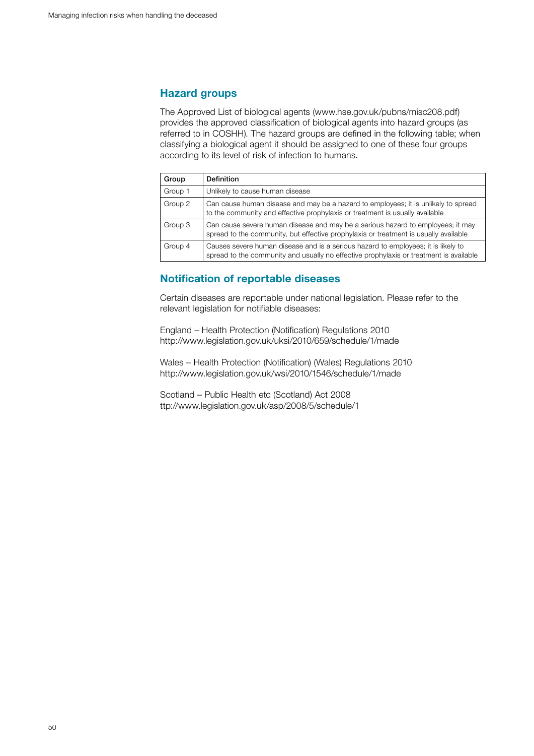#### Hazard groups

The Approved List of biological agents [\(www.hse.gov.uk/pubns/misc208.pdf](http://www.hse.gov.uk/pubns/misc208.pdf)) provides the approved classification of biological agents into hazard groups (as referred to in COSHH). The hazard groups are defined in the following table; when classifying a biological agent it should be assigned to one of these four groups according to its level of risk of infection to humans.

| Group   | <b>Definition</b>                                                                                                                                                           |
|---------|-----------------------------------------------------------------------------------------------------------------------------------------------------------------------------|
| Group 1 | Unlikely to cause human disease                                                                                                                                             |
| Group 2 | Can cause human disease and may be a hazard to employees; it is unlikely to spread<br>to the community and effective prophylaxis or treatment is usually available          |
| Group 3 | Can cause severe human disease and may be a serious hazard to employees; it may<br>spread to the community, but effective prophylaxis or treatment is usually available     |
| Group 4 | Causes severe human disease and is a serious hazard to employees; it is likely to<br>spread to the community and usually no effective prophylaxis or treatment is available |

#### Notification of reportable diseases

Certain diseases are reportable under national legislation. Please refer to the relevant legislation for notifiable diseases:

England – Health Protection (Notification) Regulations 2010 <http://www.legislation.gov.uk/uksi/2010/659/schedule/1/made>

Wales – Health Protection (Notification) (Wales) Regulations 2010 <http://www.legislation.gov.uk/wsi/2010/1546/schedule/1/made>

Scotland – Public Health etc (Scotland) Act 2008 [ttp://www.legislation.gov.uk/asp/2008/5/schedule/1](http://www.legislation.gov.uk/asp/2008/5/schedule/1)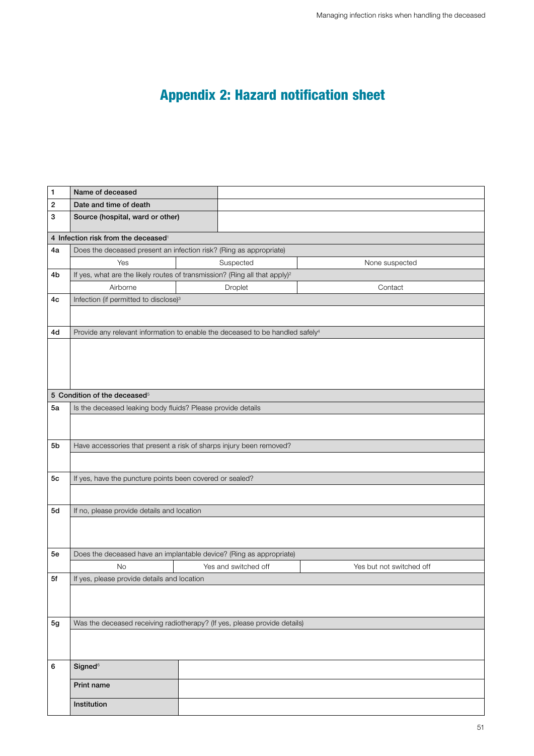# <span id="page-50-0"></span>Appendix 2: Hazard notification sheet

| $\mathbf{1}$   | Name of deceased                                                                          |  |                      |  |                          |  |  |
|----------------|-------------------------------------------------------------------------------------------|--|----------------------|--|--------------------------|--|--|
| $\overline{c}$ | Date and time of death                                                                    |  |                      |  |                          |  |  |
| 3              | Source (hospital, ward or other)                                                          |  |                      |  |                          |  |  |
|                | 4 Infection risk from the deceased <sup>1</sup>                                           |  |                      |  |                          |  |  |
| 4a             | Does the deceased present an infection risk? (Ring as appropriate)                        |  |                      |  |                          |  |  |
|                | Yes                                                                                       |  | Suspected            |  | None suspected           |  |  |
| 4b             | If yes, what are the likely routes of transmission? (Ring all that apply) <sup>2</sup>    |  |                      |  |                          |  |  |
|                | Airborne                                                                                  |  | Droplet              |  | Contact                  |  |  |
| 4c             | Infection (if permitted to disclose) <sup>3</sup>                                         |  |                      |  |                          |  |  |
|                |                                                                                           |  |                      |  |                          |  |  |
| 4d             | Provide any relevant information to enable the deceased to be handled safely <sup>4</sup> |  |                      |  |                          |  |  |
|                |                                                                                           |  |                      |  |                          |  |  |
|                | 5 Condition of the deceased <sup>5</sup>                                                  |  |                      |  |                          |  |  |
| 5a             | Is the deceased leaking body fluids? Please provide details                               |  |                      |  |                          |  |  |
|                |                                                                                           |  |                      |  |                          |  |  |
| 5b             | Have accessories that present a risk of sharps injury been removed?                       |  |                      |  |                          |  |  |
|                |                                                                                           |  |                      |  |                          |  |  |
| 5c             | If yes, have the puncture points been covered or sealed?                                  |  |                      |  |                          |  |  |
|                |                                                                                           |  |                      |  |                          |  |  |
| 5d             | If no, please provide details and location                                                |  |                      |  |                          |  |  |
|                |                                                                                           |  |                      |  |                          |  |  |
|                |                                                                                           |  |                      |  |                          |  |  |
| 5e             | Does the deceased have an implantable device? (Ring as appropriate)                       |  |                      |  |                          |  |  |
|                | <b>No</b>                                                                                 |  | Yes and switched off |  | Yes but not switched off |  |  |
| 5f             | If yes, please provide details and location                                               |  |                      |  |                          |  |  |
|                |                                                                                           |  |                      |  |                          |  |  |
|                |                                                                                           |  |                      |  |                          |  |  |
| 5 <sub>g</sub> |                                                                                           |  |                      |  |                          |  |  |
|                | Was the deceased receiving radiotherapy? (If yes, please provide details)                 |  |                      |  |                          |  |  |
|                |                                                                                           |  |                      |  |                          |  |  |
|                |                                                                                           |  |                      |  |                          |  |  |
| 6              | Signed <sup>6</sup>                                                                       |  |                      |  |                          |  |  |
|                | Print name                                                                                |  |                      |  |                          |  |  |
|                | Institution                                                                               |  |                      |  |                          |  |  |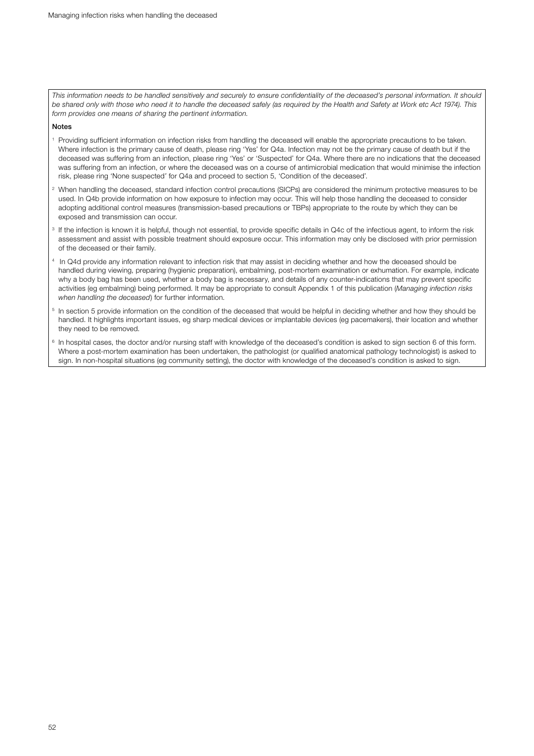*This information needs to be handled sensitively and securely to ensure confidentiality of the deceased's personal information. It should be shared only with those who need it to handle the deceased safely (as required by the Health and Safety at Work etc Act 1974). This form provides one means of sharing the pertinent information.*

#### Notes

- Providing sufficient information on infection risks from handling the deceased will enable the appropriate precautions to be taken. Where infection is the primary cause of death, please ring 'Yes' for Q4a. Infection may not be the primary cause of death but if the deceased was suffering from an infection, please ring 'Yes' or 'Suspected' for Q4a. Where there are no indications that the deceased was suffering from an infection, or where the deceased was on a course of antimicrobial medication that would minimise the infection risk, please ring 'None suspected*'* for Q4a and proceed to section 5, 'Condition of the deceased'.
- <sup>2</sup> When handling the deceased, standard infection control precautions (SICPs) are considered the minimum protective measures to be used. In Q4b provide information on how exposure to infection may occur. This will help those handling the deceased to consider adopting additional control measures (transmission-based precautions or TBPs) appropriate to the route by which they can be exposed and transmission can occur.
- <sup>3</sup> If the infection is known it is helpful, though not essential, to provide specific details in Q4c of the infectious agent, to inform the risk assessment and assist with possible treatment should exposure occur. This information may only be disclosed with prior permission of the deceased or their family.
- In Q4d provide any information relevant to infection risk that may assist in deciding whether and how the deceased should be handled during viewing, preparing (hygienic preparation), embalming, post-mortem examination or exhumation. For example, indicate why a body bag has been used, whether a body bag is necessary, and details of any counter-indications that may prevent specific activities (eg embalming) being performed. It may be appropriate to consult Appendix 1 of this publication (*Managing infection risks when handling the deceased*) for further information.
- <sup>5</sup> In section 5 provide information on the condition of the deceased that would be helpful in deciding whether and how they should be handled. It highlights important issues, eg sharp medical devices or implantable devices (eg pacemakers), their location and whether they need to be removed.
- <sup>6</sup> In hospital cases, the doctor and/or nursing staff with knowledge of the deceased's condition is asked to sign section 6 of this form. Where a post-mortem examination has been undertaken, the pathologist (or qualified anatomical pathology technologist) is asked to sign. In non-hospital situations (eg community setting), the doctor with knowledge of the deceased's condition is asked to sign.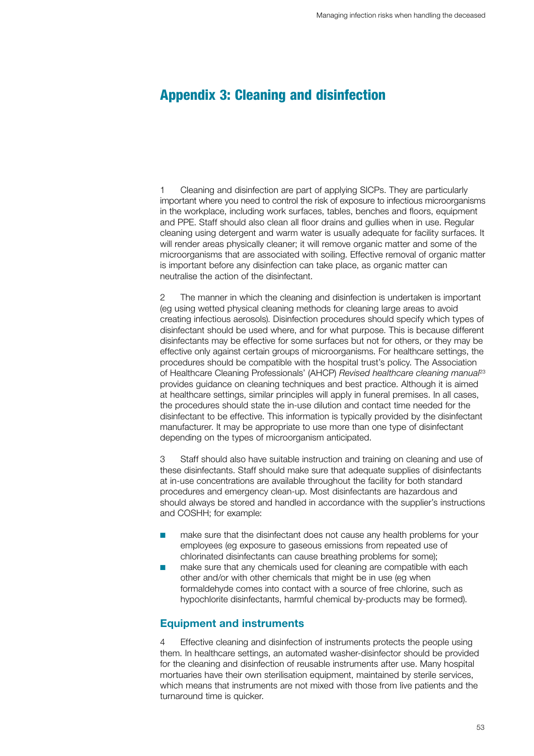# <span id="page-52-0"></span>Appendix 3: Cleaning and disinfection

1 Cleaning and disinfection are part of applying SICPs. They are particularly important where you need to control the risk of exposure to infectious microorganisms in the workplace, including work surfaces, tables, benches and floors, equipment and PPE. Staff should also clean all floor drains and gullies when in use. Regular cleaning using detergent and warm water is usually adequate for facility surfaces. It will render areas physically cleaner; it will remove organic matter and some of the microorganisms that are associated with soiling. Effective removal of organic matter is important before any disinfection can take place, as organic matter can neutralise the action of the disinfectant.

2 The manner in which the cleaning and disinfection is undertaken is important (eg using wetted physical cleaning methods for cleaning large areas to avoid creating infectious aerosols). Disinfection procedures should specify which types of disinfectant should be used where, and for what purpose. This is because different disinfectants may be effective for some surfaces but not for others, or they may be effective only against certain groups of microorganisms. For healthcare settings, the procedures should be compatible with the hospital trust's policy. The Association of Healthcare Cleaning Professionals' (AHCP) *Revised healthcare cleaning manual*<sup>23</sup> provides guidance on cleaning techniques and best practice. Although it is aimed at healthcare settings, similar principles will apply in funeral premises. In all cases, the procedures should state the in-use dilution and contact time needed for the disinfectant to be effective. This information is typically provided by the disinfectant manufacturer. It may be appropriate to use more than one type of disinfectant depending on the types of microorganism anticipated.

3 Staff should also have suitable instruction and training on cleaning and use of these disinfectants. Staff should make sure that adequate supplies of disinfectants at in-use concentrations are available throughout the facility for both standard procedures and emergency clean-up. Most disinfectants are hazardous and should always be stored and handled in accordance with the supplier's instructions and COSHH; for example:

- make sure that the disinfectant does not cause any health problems for your employees (eg exposure to gaseous emissions from repeated use of chlorinated disinfectants can cause breathing problems for some);
- make sure that any chemicals used for cleaning are compatible with each other and/or with other chemicals that might be in use (eg when formaldehyde comes into contact with a source of free chlorine, such as hypochlorite disinfectants, harmful chemical by-products may be formed).

#### Equipment and instruments

4 Effective cleaning and disinfection of instruments protects the people using them. In healthcare settings, an automated washer-disinfector should be provided for the cleaning and disinfection of reusable instruments after use. Many hospital mortuaries have their own sterilisation equipment, maintained by sterile services, which means that instruments are not mixed with those from live patients and the turnaround time is quicker.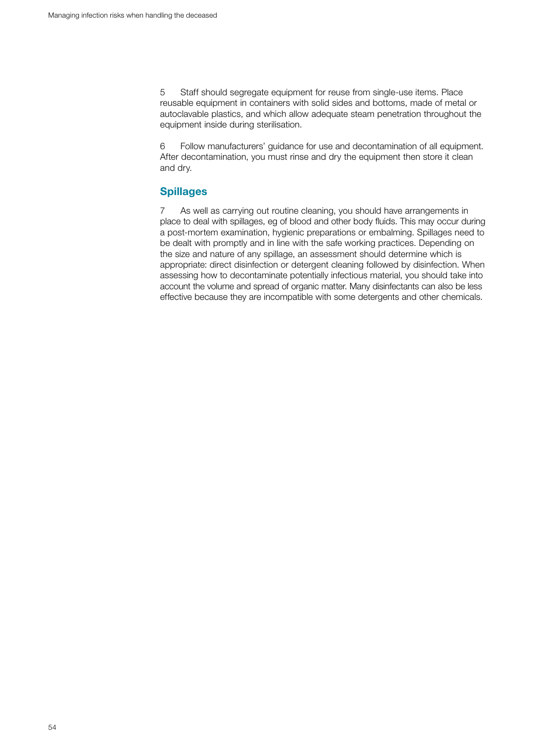5 Staff should segregate equipment for reuse from single-use items. Place reusable equipment in containers with solid sides and bottoms, made of metal or autoclavable plastics, and which allow adequate steam penetration throughout the equipment inside during sterilisation.

6 Follow manufacturers' guidance for use and decontamination of all equipment. After decontamination, you must rinse and dry the equipment then store it clean and dry.

#### **Spillages**

7 As well as carrying out routine cleaning, you should have arrangements in place to deal with spillages, eg of blood and other body fluids. This may occur during a post-mortem examination, hygienic preparations or embalming. Spillages need to be dealt with promptly and in line with the safe working practices. Depending on the size and nature of any spillage, an assessment should determine which is appropriate: direct disinfection or detergent cleaning followed by disinfection. When assessing how to decontaminate potentially infectious material, you should take into account the volume and spread of organic matter. Many disinfectants can also be less effective because they are incompatible with some detergents and other chemicals.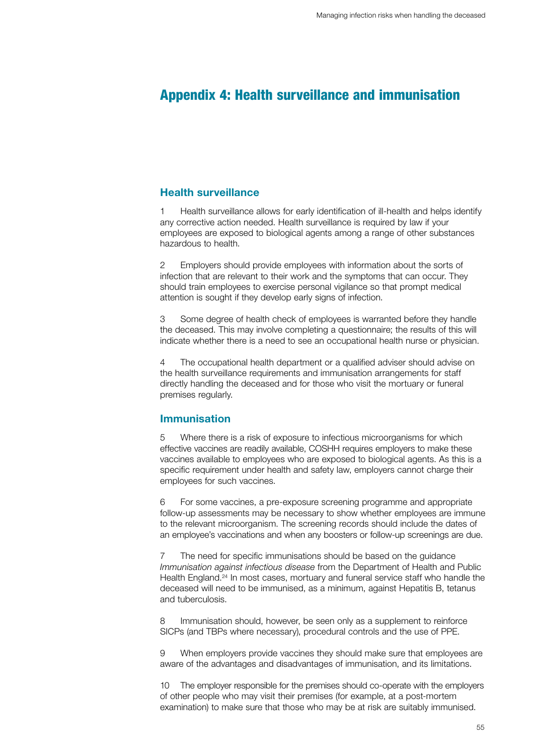# <span id="page-54-0"></span>Appendix 4: Health surveillance and immunisation

#### Health surveillance

Health surveillance allows for early identification of ill-health and helps identify any corrective action needed. Health surveillance is required by law if your employees are exposed to biological agents among a range of other substances hazardous to health.

2 Employers should provide employees with information about the sorts of infection that are relevant to their work and the symptoms that can occur. They should train employees to exercise personal vigilance so that prompt medical attention is sought if they develop early signs of infection.

3 Some degree of health check of employees is warranted before they handle the deceased. This may involve completing a questionnaire; the results of this will indicate whether there is a need to see an occupational health nurse or physician.

4 The occupational health department or a qualified adviser should advise on the health surveillance requirements and immunisation arrangements for staff directly handling the deceased and for those who visit the mortuary or funeral premises regularly.

#### Immunisation

5 Where there is a risk of exposure to infectious microorganisms for which effective vaccines are readily available, COSHH requires employers to make these vaccines available to employees who are exposed to biological agents. As this is a specific requirement under health and safety law, employers cannot charge their employees for such vaccines.

6 For some vaccines, a pre-exposure screening programme and appropriate follow-up assessments may be necessary to show whether employees are immune to the relevant microorganism. The screening records should include the dates of an employee's vaccinations and when any boosters or follow-up screenings are due.

7 The need for specific immunisations should be based on the guidance *Immunisation against infectious disease* from the Department of Health and Public Health England.24 In most cases, mortuary and funeral service staff who handle the deceased will need to be immunised, as a minimum, against Hepatitis B, tetanus and tuberculosis.

8 Immunisation should, however, be seen only as a supplement to reinforce SICPs (and TBPs where necessary), procedural controls and the use of PPE.

9 When employers provide vaccines they should make sure that employees are aware of the advantages and disadvantages of immunisation, and its limitations.

10 The employer responsible for the premises should co-operate with the employers of other people who may visit their premises (for example, at a post-mortem examination) to make sure that those who may be at risk are suitably immunised.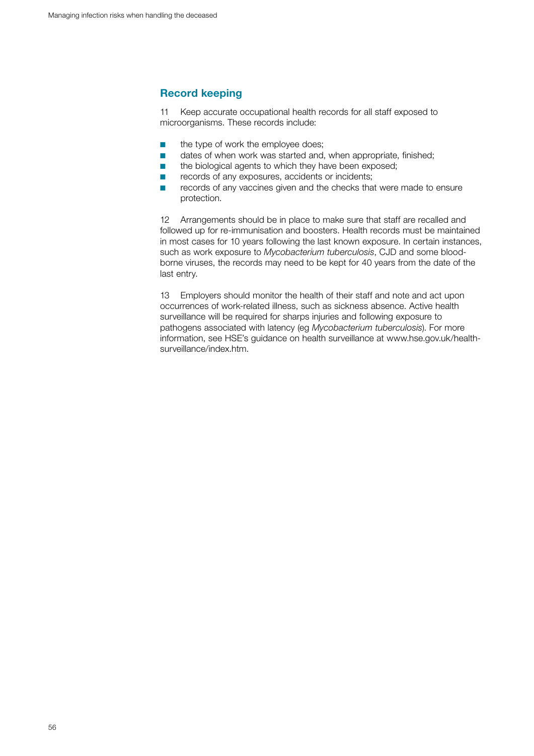#### Record keeping

11 Keep accurate occupational health records for all staff exposed to microorganisms. These records include:

- the type of work the employee does;
- dates of when work was started and, when appropriate, finished;
- the biological agents to which they have been exposed;
- records of any exposures, accidents or incidents;
- records of any vaccines given and the checks that were made to ensure protection.

12 Arrangements should be in place to make sure that staff are recalled and followed up for re-immunisation and boosters. Health records must be maintained in most cases for 10 years following the last known exposure. In certain instances, such as work exposure to *Mycobacterium tuberculosis*, CJD and some bloodborne viruses, the records may need to be kept for 40 years from the date of the last entry.

13 Employers should monitor the health of their staff and note and act upon occurrences of work-related illness, such as sickness absence. Active health surveillance will be required for sharps injuries and following exposure to pathogens associated with latency (eg *Mycobacterium tuberculosis*). For more information, see HSE's guidance on health surveillance at [www.hse.gov.uk/health](http://www.hse.gov.uk/health-surveillance/index.htm)[surveillance/index.htm.](http://www.hse.gov.uk/health-surveillance/index.htm)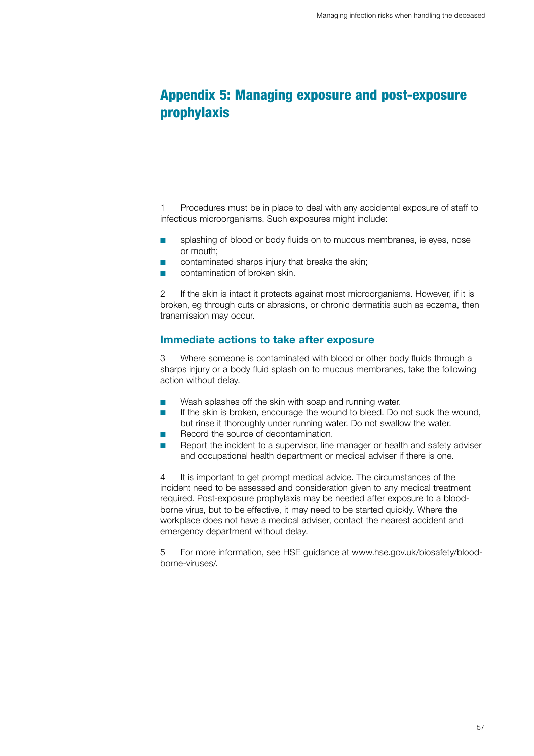# <span id="page-56-0"></span>Appendix 5: Managing exposure and post-exposure prophylaxis

1 Procedures must be in place to deal with any accidental exposure of staff to infectious microorganisms. Such exposures might include:

- splashing of blood or body fluids on to mucous membranes, ie eyes, nose or mouth;
- contaminated sharps injury that breaks the skin;
- contamination of broken skin.

2 If the skin is intact it protects against most microorganisms. However, if it is broken, eg through cuts or abrasions, or chronic dermatitis such as eczema, then transmission may occur.

#### Immediate actions to take after exposure

3 Where someone is contaminated with blood or other body fluids through a sharps injury or a body fluid splash on to mucous membranes, take the following action without delay.

- Wash splashes off the skin with soap and running water.
- If the skin is broken, encourage the wound to bleed. Do not suck the wound, but rinse it thoroughly under running water. Do not swallow the water.
- Record the source of decontamination.
- Report the incident to a supervisor, line manager or health and safety adviser and occupational health department or medical adviser if there is one.

4 It is important to get prompt medical advice. The circumstances of the incident need to be assessed and consideration given to any medical treatment required. Post-exposure prophylaxis may be needed after exposure to a bloodborne virus, but to be effective, it may need to be started quickly. Where the workplace does not have a medical adviser, contact the nearest accident and emergency department without delay.

5 For more information, see HSE guidance at [www.hse.gov.uk/biosafety/blood](http://www.hse.gov.uk/biosafety/blood-borne-viruses/)[borne-viruses/](http://www.hse.gov.uk/biosafety/blood-borne-viruses/).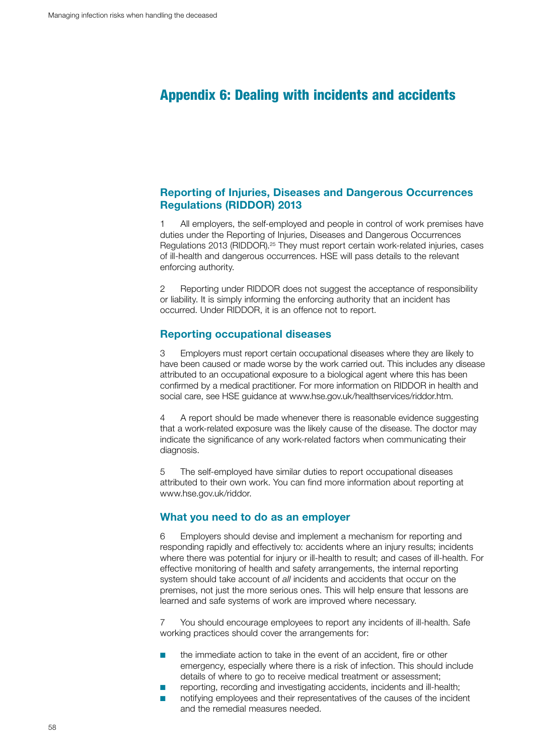# <span id="page-57-0"></span>Appendix 6: Dealing with incidents and accidents

#### Reporting of Injuries, Diseases and Dangerous Occurrences Regulations (RIDDOR) 2013

1 All employers, the self-employed and people in control of work premises have duties under the Reporting of Injuries, Diseases and Dangerous Occurrences Regulations 2013 (RIDDOR).25 They must report certain work-related injuries, cases of ill-health and dangerous occurrences. HSE will pass details to the relevant enforcing authority.

2 Reporting under RIDDOR does not suggest the acceptance of responsibility or liability. It is simply informing the enforcing authority that an incident has occurred. Under RIDDOR, it is an offence not to report.

#### Reporting occupational diseases

Employers must report certain occupational diseases where they are likely to have been caused or made worse by the work carried out. This includes any disease attributed to an occupational exposure to a biological agent where this has been confirmed by a medical practitioner. For more information on RIDDOR in health and social care, see HSE guidance at [www.hse.gov.uk/healthservices/riddor.htm.](http://www.hse.gov.uk/healthservices/riddor.htm)

4 A report should be made whenever there is reasonable evidence suggesting that a work-related exposure was the likely cause of the disease. The doctor may indicate the significance of any work-related factors when communicating their diagnosis.

5 The self-employed have similar duties to report occupational diseases attributed to their own work. You can find more information about reporting at [www.hse.gov.uk/riddor.](http://www.hse.gov.uk/riddor)

#### What you need to do as an employer

6 Employers should devise and implement a mechanism for reporting and responding rapidly and effectively to: accidents where an injury results; incidents where there was potential for injury or ill-health to result; and cases of ill-health. For effective monitoring of health and safety arrangements, the internal reporting system should take account of *all* incidents and accidents that occur on the premises, not just the more serious ones. This will help ensure that lessons are learned and safe systems of work are improved where necessary.

7 You should encourage employees to report any incidents of ill-health. Safe working practices should cover the arrangements for:

- the immediate action to take in the event of an accident, fire or other emergency, especially where there is a risk of infection. This should include details of where to go to receive medical treatment or assessment;
- reporting, recording and investigating accidents, incidents and ill-health;
- notifying employees and their representatives of the causes of the incident and the remedial measures needed.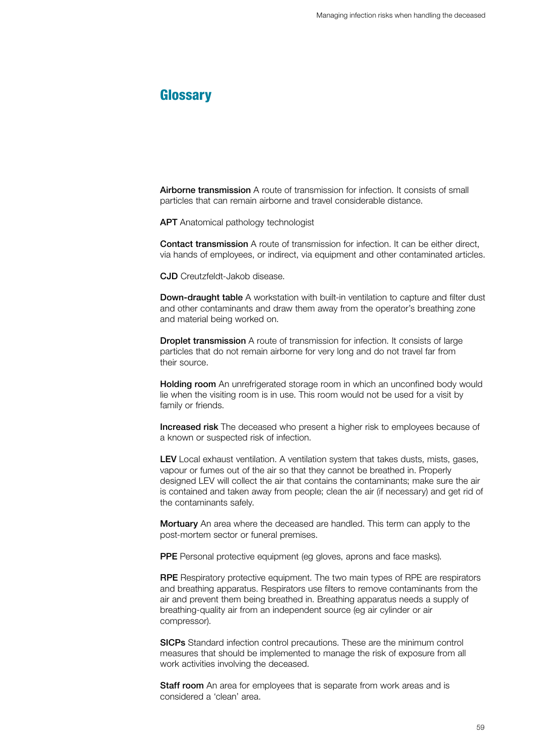## <span id="page-58-0"></span>**Glossarv**

Airborne transmission A route of transmission for infection. It consists of small particles that can remain airborne and travel considerable distance.

APT Anatomical pathology technologist

**Contact transmission** A route of transmission for infection. It can be either direct, via hands of employees, or indirect, via equipment and other contaminated articles.

CJD Creutzfeldt-Jakob disease.

**Down-draught table** A workstation with built-in ventilation to capture and filter dust and other contaminants and draw them away from the operator's breathing zone and material being worked on.

**Droplet transmission** A route of transmission for infection. It consists of large particles that do not remain airborne for very long and do not travel far from their source.

Holding room An unrefrigerated storage room in which an unconfined body would lie when the visiting room is in use. This room would not be used for a visit by family or friends.

Increased risk The deceased who present a higher risk to employees because of a known or suspected risk of infection.

LEV Local exhaust ventilation. A ventilation system that takes dusts, mists, gases, vapour or fumes out of the air so that they cannot be breathed in. Properly designed LEV will collect the air that contains the contaminants; make sure the air is contained and taken away from people; clean the air (if necessary) and get rid of the contaminants safely.

Mortuary An area where the deceased are handled. This term can apply to the post-mortem sector or funeral premises.

PPE Personal protective equipment (eq gloves, aprons and face masks).

RPE Respiratory protective equipment. The two main types of RPE are respirators and breathing apparatus. Respirators use filters to remove contaminants from the air and prevent them being breathed in. Breathing apparatus needs a supply of breathing-quality air from an independent source (eg air cylinder or air compressor).

SICPs Standard infection control precautions. These are the minimum control measures that should be implemented to manage the risk of exposure from all work activities involving the deceased.

Staff room An area for employees that is separate from work areas and is considered a 'clean' area.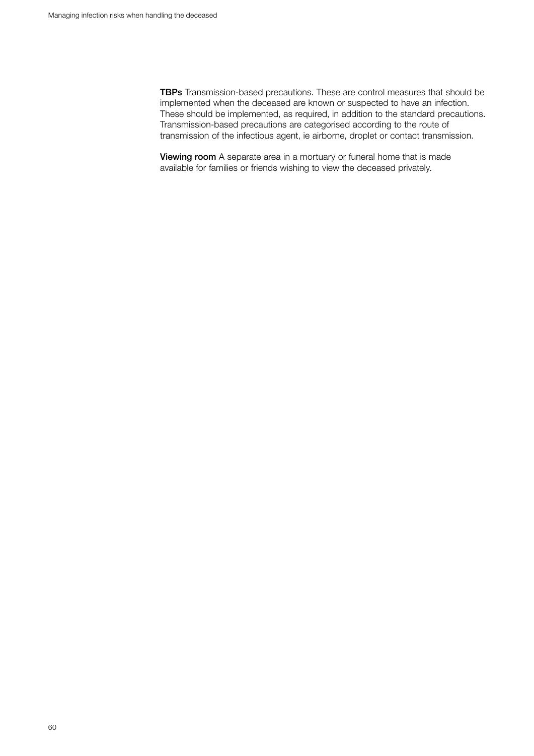TBPs Transmission-based precautions. These are control measures that should be implemented when the deceased are known or suspected to have an infection. These should be implemented, as required, in addition to the standard precautions. Transmission-based precautions are categorised according to the route of transmission of the infectious agent, ie airborne, droplet or contact transmission.

Viewing room A separate area in a mortuary or funeral home that is made available for families or friends wishing to view the deceased privately.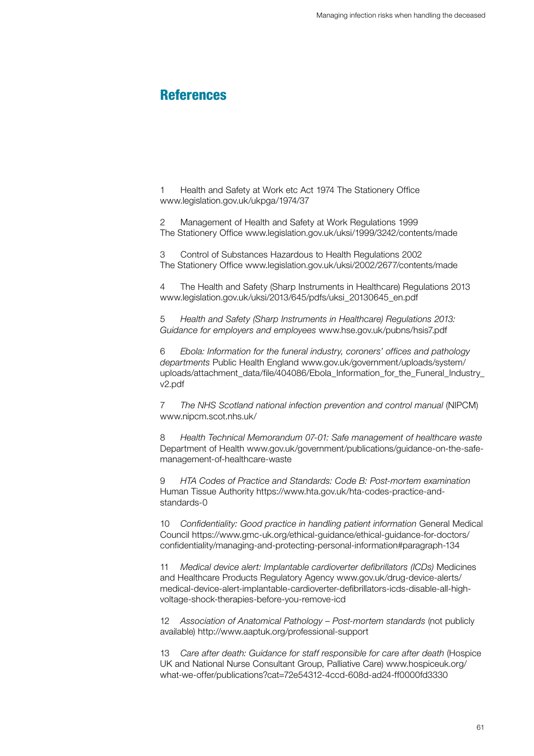## <span id="page-60-0"></span>**References**

Health and Safety at Work etc Act 1974 The Stationery Office [www.legislation.gov.uk/ukpga/1974/37](http://www.legislation.gov.uk/ukpga/1974/37)

2 Management of Health and Safety at Work Regulations 1999 The Stationery Office [www.legislation.gov.uk/uksi/1999/3242/contents/made](http://www.legislation.gov.uk/uksi/1999/3242/contents/made)

3 Control of Substances Hazardous to Health Regulations 2002 The Stationery Office [www.legislation.gov.uk/uksi/2002/2677/contents/made](http://www.legislation.gov.uk/uksi/2002/2677/contents/made)

4 The Health and Safety (Sharp Instruments in Healthcare) Regulations 2013 [www.legislation.gov.uk/uksi/2013/645/pdfs/uksi\\_20130645\\_en.pdf](http://www.legislation.gov.uk/uksi/2013/645/pdfs/uksi_20130645_en.pdf)

5 *Health and Safety (Sharp Instruments in Healthcare) Regulations 2013: Guidance for employers and employees* [www.hse.gov.uk/pubns/hsis7.pdf](http://www.hse.gov.uk/pubns/hsis7.pdf)

6 *Ebola: Information for the funeral industry, coroners' offices and pathology departments* Public Health England [www.gov.uk/government/uploads/system/](https://www.gov.uk/government/uploads/system/uploads/attachment_data/file/404086/Ebola_Information_for_the_Funeral_Industry_v2.pdf) [uploads/attachment\\_data/file/404086/Ebola\\_Information\\_for\\_the\\_Funeral\\_Industry\\_](https://www.gov.uk/government/uploads/system/uploads/attachment_data/file/404086/Ebola_Information_for_the_Funeral_Industry_v2.pdf) [v2.pdf](https://www.gov.uk/government/uploads/system/uploads/attachment_data/file/404086/Ebola_Information_for_the_Funeral_Industry_v2.pdf)

7 *The NHS Scotland national infection prevention and control manual* (NIPCM) [www.nipcm.scot.nhs.uk/](http://www.nipcm.scot.nhs.uk/)

8 *Health Technical Memorandum 07-01: Safe management of healthcare waste* Department of Health [www.gov.uk/government/publications/guidance-on-the-safe](https://www.gov.uk/government/publications/guidance-on-the-safe-management-of-healthcare-waste)[management-of-healthcare-waste](https://www.gov.uk/government/publications/guidance-on-the-safe-management-of-healthcare-waste)

9 *HTA Codes of Practice and Standards: Code B: Post-mortem examination* Human Tissue Authority [https://www.hta.gov.uk/hta-codes-practice-and](https://www.hta.gov.uk/hta-codes-practice-and-standards-0)[standards-0](https://www.hta.gov.uk/hta-codes-practice-and-standards-0)

10 *Confidentiality: Good practice in handling patient information* General Medical Council [https://www.gmc-uk.org/ethical-guidance/ethical-guidance-for-doctors/](https://www.gmc-uk.org/ethical-guidance/ethical-guidance-for-doctors/confidentiality/managing-and-protecting-personal-information#paragraph-134) [confidentiality/managing-and-protecting-personal-information#paragraph-134](https://www.gmc-uk.org/ethical-guidance/ethical-guidance-for-doctors/confidentiality/managing-and-protecting-personal-information#paragraph-134)

11 *Medical device alert: Implantable cardioverter defibrillators (ICDs)* Medicines and Healthcare Products Regulatory Agency [www.gov.uk/drug-device-alerts/](https://www.gov.uk/drug-device-alerts/medical-device-alert-implantable-cardioverter-defibrillators-icds-disable-all-high-voltage-shock-therapies-before-you-remove-icd) [medical-device-alert-implantable-cardioverter-defibrillators-icds-disable-all-high](https://www.gov.uk/drug-device-alerts/medical-device-alert-implantable-cardioverter-defibrillators-icds-disable-all-high-voltage-shock-therapies-before-you-remove-icd)[voltage-shock-therapies-before-you-remove-icd](https://www.gov.uk/drug-device-alerts/medical-device-alert-implantable-cardioverter-defibrillators-icds-disable-all-high-voltage-shock-therapies-before-you-remove-icd)

12 *Association of Anatomical Pathology – Post-mortem standards* (not publicly available) <http://www.aaptuk.org/professional-support>

13 *Care after death: Guidance for staff responsible for care after death* (Hospice UK and National Nurse Consultant Group, Palliative Care) [www.hospiceuk.org/](https://www.hospiceuk.org/what-we-offer/publications?cat=72e54312-4ccd-608d-ad24-ff0000fd3330) [what-we-offer/publications?cat=72e54312-4ccd-608d-ad24-ff0000fd3330](https://www.hospiceuk.org/what-we-offer/publications?cat=72e54312-4ccd-608d-ad24-ff0000fd3330)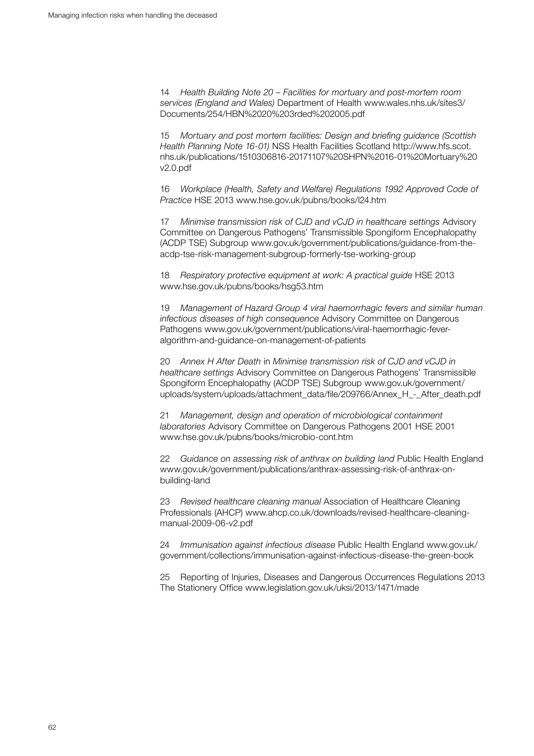14 *Health Building Note 20 – Facilities for mortuary and post-mortem room services (England and Wales)* Department of Health [www.wales.nhs.uk/sites3/](http://www.wales.nhs.uk/sites3/Documents/254/HBN%2020%203rded%202005.pdf) [Documents/254/HBN%2020%203rded%202005.pdf](http://www.wales.nhs.uk/sites3/Documents/254/HBN%2020%203rded%202005.pdf)

15 *Mortuary and post mortem facilities: Design and briefing guidance (Scottish Health Planning Note 16-01)* NSS Health Facilities Scotland [http://www.hfs.scot.](http://www.hfs.scot.nhs.uk/publications/1510306816-20171107%20SHPN%2016-01%20Mortuary%20v2.0.pdf) [nhs.uk/publications/1510306816-20171107%20SHPN%2016-01%20Mortuary%20](http://www.hfs.scot.nhs.uk/publications/1510306816-20171107%20SHPN%2016-01%20Mortuary%20v2.0.pdf) [v2.0.pdf](http://www.hfs.scot.nhs.uk/publications/1510306816-20171107%20SHPN%2016-01%20Mortuary%20v2.0.pdf)

16 *Workplace (Health, Safety and Welfare) Regulations 1992 Approved Code of Practice* HSE 2013 [www.hse.gov.uk/pubns/books/l24.htm](http://www.hse.gov.uk/pubns/books/l24.htm)

17 *Minimise transmission risk of CJD and vCJD in healthcare settings* Advisory Committee on Dangerous Pathogens' Transmissible Spongiform Encephalopathy (ACDP TSE) Subgroup [www.gov.uk/government/publications/guidance-from-the](http://www.gov.uk/government/publications/guidance-from-the-acdp-tse-risk-management-subgroup-formerly-tse-working-group)[acdp-tse-risk-management-subgroup-formerly-tse-working-group](http://www.gov.uk/government/publications/guidance-from-the-acdp-tse-risk-management-subgroup-formerly-tse-working-group)

18 *Respiratory protective equipment at work: A practical guide* HSE 2013 [www.hse.gov.uk/pubns/books/hsg53.htm](http://www.hse.gov.uk/pubns/books/hsg53.htm)

19 *Management of Hazard Group 4 viral haemorrhagic fevers and similar human infectious diseases of high consequence* Advisory Committee on Dangerous Pathogens [www.gov.uk/government/publications/viral-haemorrhagic-fever](https://www.gov.uk/government/publications/viral-haemorrhagic-fever-algorithm-and-guidance-on-management-of-patients)[algorithm-and-guidance-on-management-of-patients](https://www.gov.uk/government/publications/viral-haemorrhagic-fever-algorithm-and-guidance-on-management-of-patients)

20 *Annex H After Death* in *Minimise transmission risk of CJD and vCJD in healthcare settings* Advisory Committee on Dangerous Pathogens' Transmissible Spongiform Encephalopathy (ACDP TSE) Subgroup [www.gov.uk/government/](http://www.gov.uk/government/uploads/system/uploads/attachment_data/file/209766/Annex_H_-_After_death.pdf) [uploads/system/uploads/attachment\\_data/file/209766/Annex\\_H\\_-\\_After\\_death.pdf](http://www.gov.uk/government/uploads/system/uploads/attachment_data/file/209766/Annex_H_-_After_death.pdf)

21 *Management, design and operation of microbiological containment laboratories* Advisory Committee on Dangerous Pathogens 2001 HSE 2001 [www.hse.gov.uk/pubns/books/microbio-cont.htm](http://www.hse.gov.uk/pubns/books/microbio-cont.htm)

22 *Guidance on assessing risk of anthrax on building land* Public Health England [www.gov.uk/government/publications/anthrax-assessing-risk-of-anthrax-on](http://www.gov.uk/government/publications/anthrax-assessing-risk-of-anthrax-on-building-land)[building-land](http://www.gov.uk/government/publications/anthrax-assessing-risk-of-anthrax-on-building-land)

23 *Revised healthcare cleaning manual* Association of Healthcare Cleaning Professionals (AHCP) [www.ahcp.co.uk/downloads/revised-healthcare-cleaning](http://www.ahcp.co.uk/downloads/revised-healthcare-cleaning-manual-2009-06-v2.pdf)[manual-2009-06-v2.pdf](http://www.ahcp.co.uk/downloads/revised-healthcare-cleaning-manual-2009-06-v2.pdf)

24 *Immunisation against infectious disease* Public Health England [www.gov.uk/](https://www.gov.uk/government/collections/immunisation-against-infectious-disease-the-green-book) [government/collections/immunisation-against-infectious-disease-the-green-book](https://www.gov.uk/government/collections/immunisation-against-infectious-disease-the-green-book)

25 Reporting of Injuries, Diseases and Dangerous Occurrences Regulations 2013 The Stationery Office [www.legislation.gov.uk/uksi/2013/1471/made](http://www.legislation.gov.uk/uksi/2013/1471/made)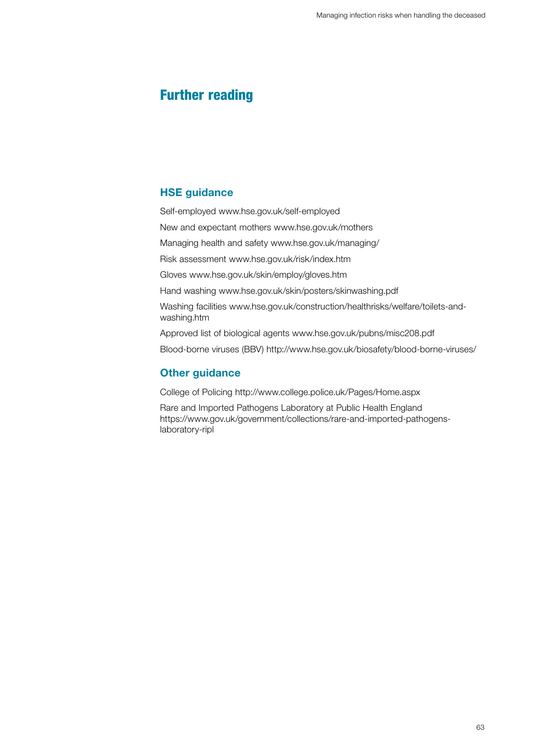# <span id="page-62-0"></span>Further reading

#### HSE guidance

Self-employed [www.hse.gov.uk/self-employed](http://www.hse.gov.uk/self-employed)

New and expectant mothers [www.hse.gov.uk/mothers](http://www.hse.gov.uk/mothers)

Managing health and safety [www.hse.gov.uk/managing/](http://www.hse.gov.uk/managing/)

Risk assessment [www.hse.gov.uk/risk/index.htm](http://www.hse.gov.uk/risk/index.htm)

Gloves [www.hse.gov.uk/skin/employ/gloves.htm](http://www.hse.gov.uk/skin/employ/gloves.htm)

Hand washing [www.hse.gov.uk/skin/posters/skinwashing.pdf](http://www.hse.gov.uk/skin/posters/skinwashing.pdf)

Washing facilities [www.hse.gov.uk/construction/healthrisks/welfare/toilets-and](http://www.hse.gov.uk/construction/healthrisks/welfare/toilets-and-washing.htm)[washing.htm](http://www.hse.gov.uk/construction/healthrisks/welfare/toilets-and-washing.htm)

Approved list of biological agents [www.hse.gov.uk/pubns/misc208.pdf](http://www.hse.gov.uk/pubns/misc208.pdf) Blood-borne viruses (BBV)<http://www.hse.gov.uk/biosafety/blood-borne-viruses/>

#### Other guidance

College of Policing <http://www.college.police.uk/Pages/Home.aspx>

Rare and Imported Pathogens Laboratory at Public Health England [https://www.gov.uk/government/collections/rare-and-imported-pathogens](https://www.gov.uk/government/collections/rare-and-imported-pathogens-laboratory-ripl)[laboratory-ripl](https://www.gov.uk/government/collections/rare-and-imported-pathogens-laboratory-ripl)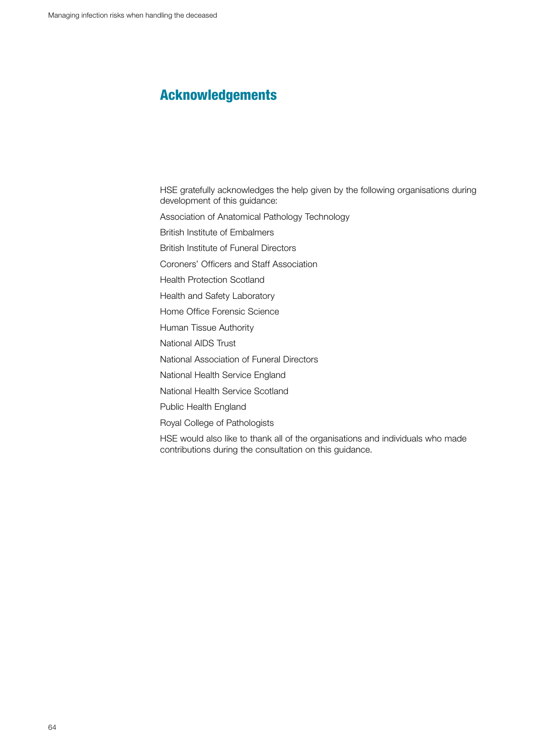# <span id="page-63-0"></span>Acknowledgements

HSE gratefully acknowledges the help given by the following organisations during development of this guidance:

Association of Anatomical Pathology Technology

British Institute of Embalmers

British Institute of Funeral Directors

Coroners' Officers and Staff Association

Health Protection Scotland

Health and Safety Laboratory

Home Office Forensic Science

Human Tissue Authority

National AIDS Trust

National Association of Funeral Directors

National Health Service England

National Health Service Scotland

Public Health England

Royal College of Pathologists

HSE would also like to thank all of the organisations and individuals who made contributions during the consultation on this guidance.